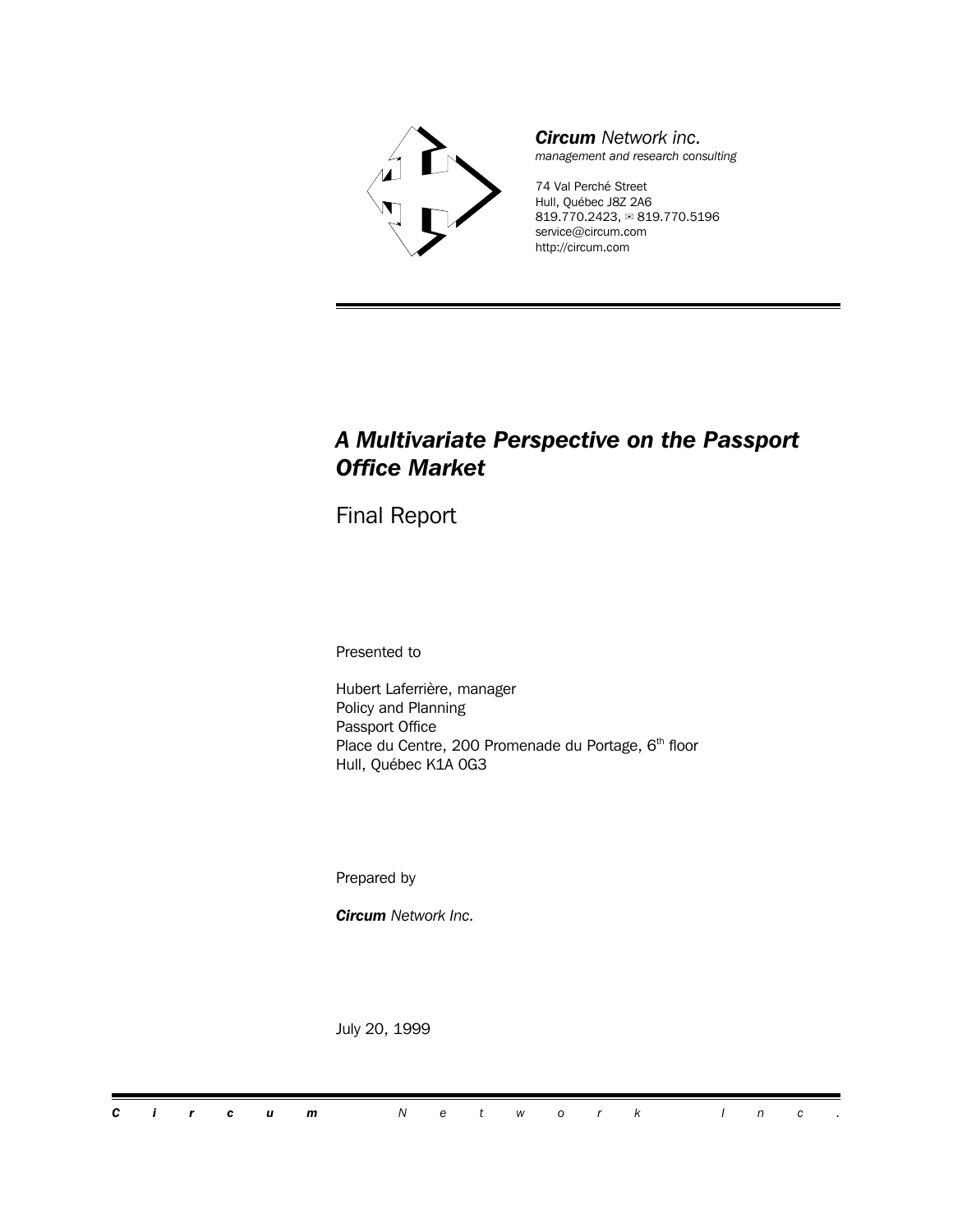

*Circum Network inc. management and research consulting*

74 Val Perché Street Hull, Québec J8Z 2A6 819.770.2423, ■ 819.770.5196 service@circum.com http://circum.com

### *A Multivariate Perspective on the Passport Office Market*

Final Report

Presented to

Hubert Laferrière, manager Policy and Planning Passport Office Place du Centre, 200 Promenade du Portage, 6<sup>th</sup> floor Hull, Québec K1A 0G3

Prepared by

*Circum Network Inc.*

July 20, 1999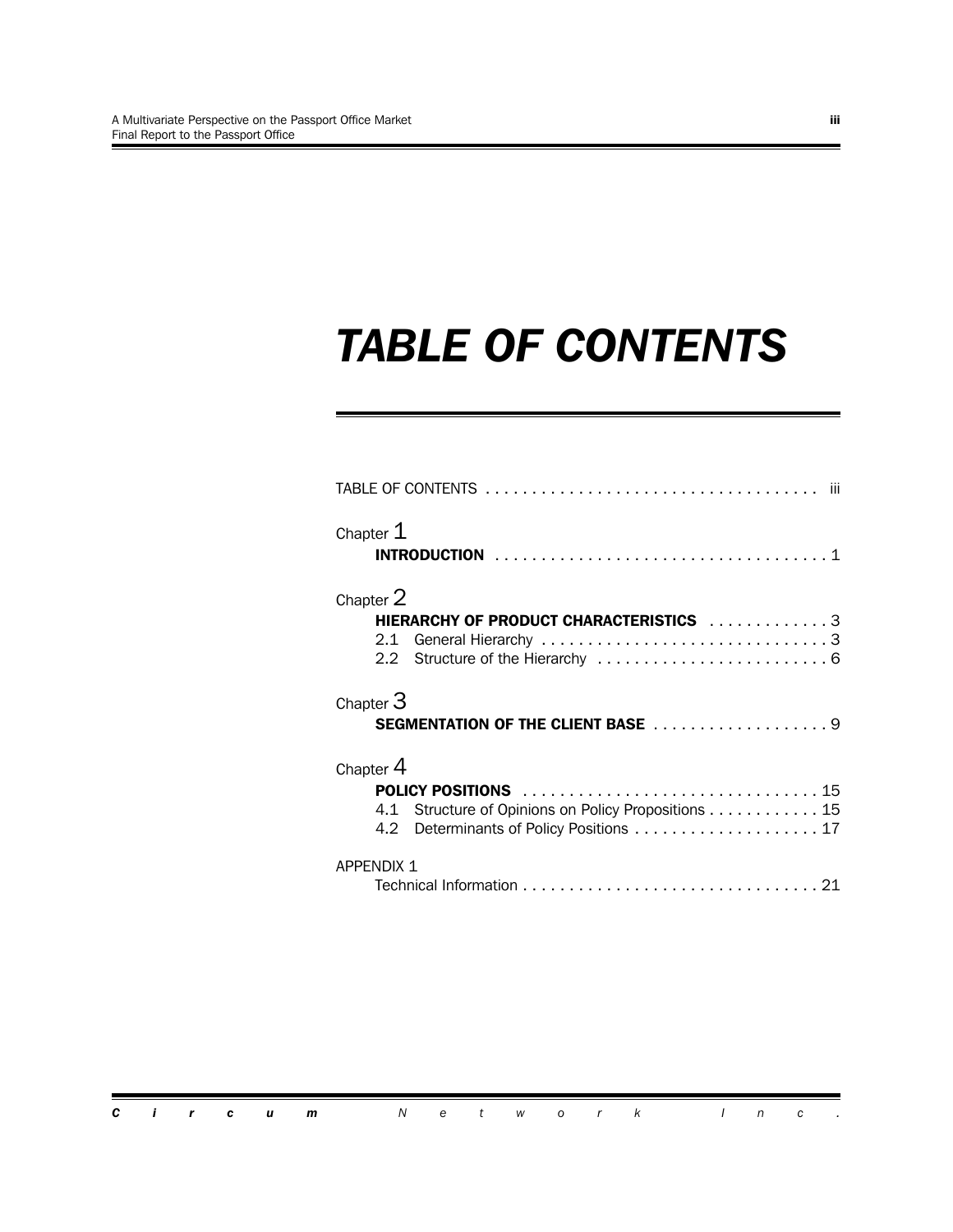# *TABLE OF CONTENTS*

| ш                                                                                                                  |
|--------------------------------------------------------------------------------------------------------------------|
| Chapter $1$                                                                                                        |
| Chapter 2<br>HIERARCHY OF PRODUCT CHARACTERISTICS 3<br>2.1<br>2.2 Structure of the Hierarchy  6                    |
| Chapter $3$<br><b>SEGMENTATION OF THE CLIENT BASE</b> 9                                                            |
| Chapter 4<br>Structure of Opinions on Policy Propositions 15<br>4.1<br>Determinants of Policy Positions  17<br>4.2 |
| <b>APPENDIX 1</b>                                                                                                  |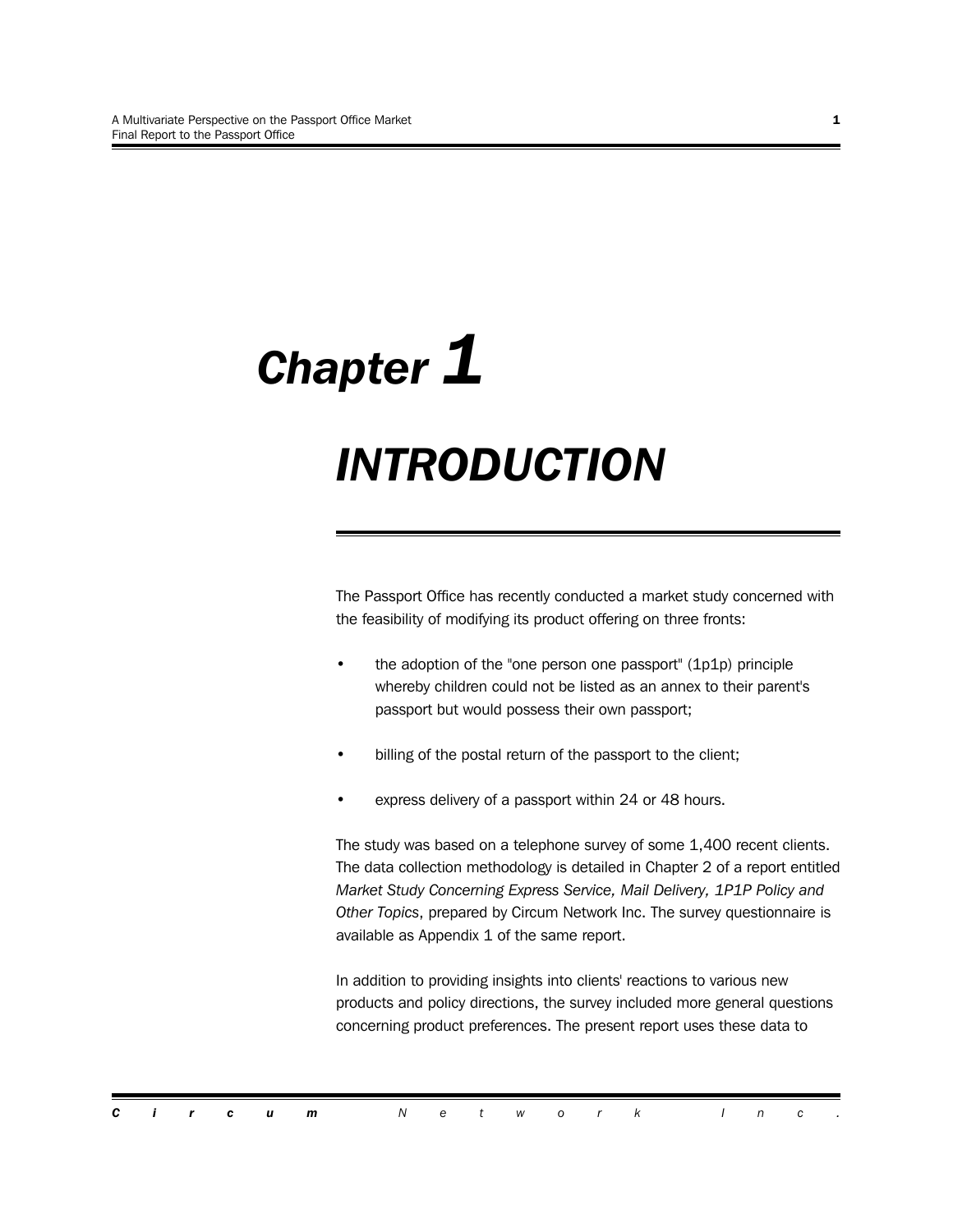# *Chapter 1*

# *INTRODUCTION*

The Passport Office has recently conducted a market study concerned with the feasibility of modifying its product offering on three fronts:

- the adoption of the "one person one passport"  $(1p1p)$  principle whereby children could not be listed as an annex to their parent's passport but would possess their own passport;
- billing of the postal return of the passport to the client;
- express delivery of a passport within 24 or 48 hours.

The study was based on a telephone survey of some 1,400 recent clients. The data collection methodology is detailed in Chapter 2 of a report entitled *Market Study Concerning Express Service, Mail Delivery, 1P1P Policy and Other Topics*, prepared by Circum Network Inc. The survey questionnaire is available as Appendix 1 of the same report.

In addition to providing insights into clients' reactions to various new products and policy directions, the survey included more general questions concerning product preferences. The present report uses these data to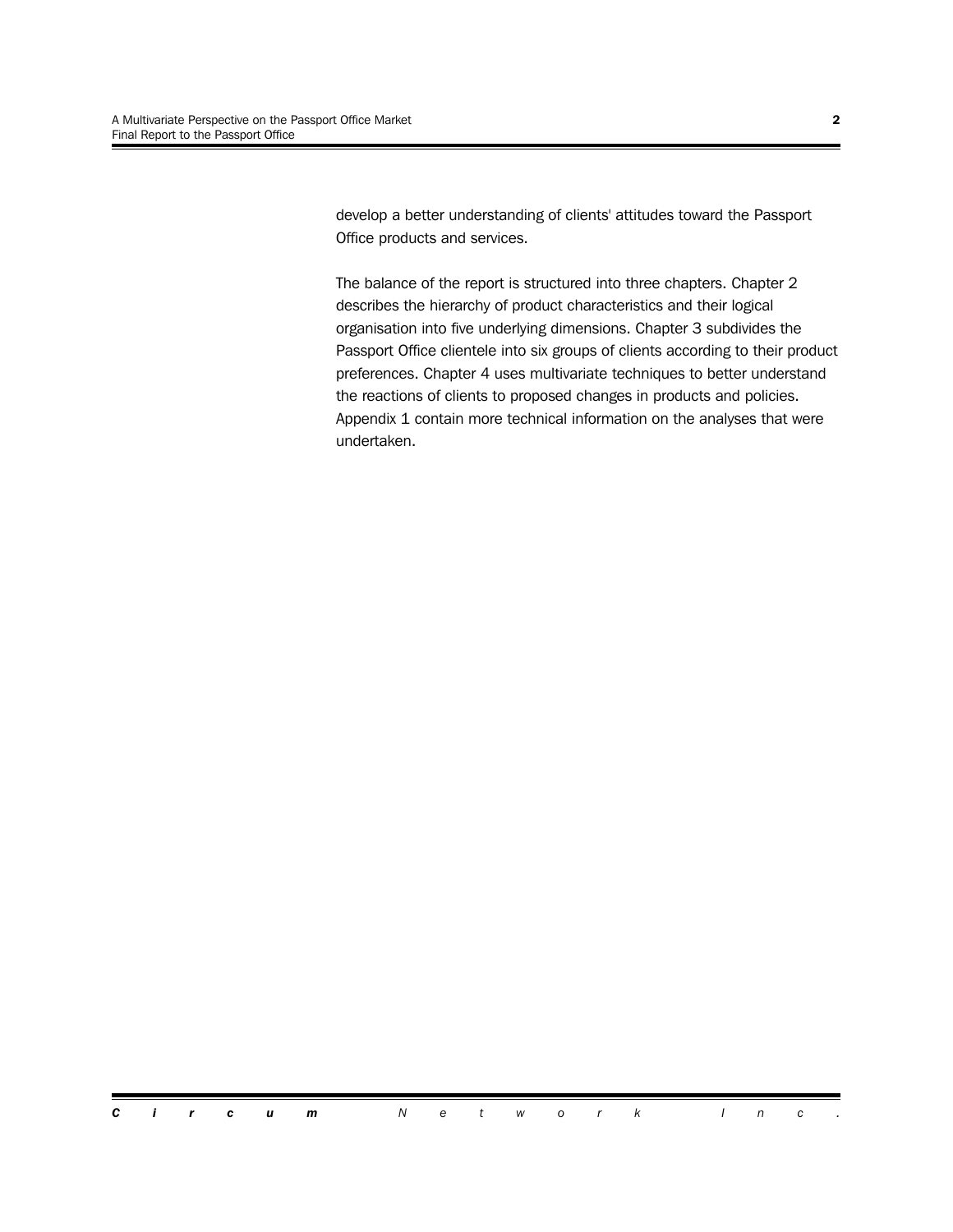develop a better understanding of clients' attitudes toward the Passport Office products and services.

The balance of the report is structured into three chapters. Chapter 2 describes the hierarchy of product characteristics and their logical organisation into five underlying dimensions. Chapter 3 subdivides the Passport Office clientele into six groups of clients according to their product preferences. Chapter 4 uses multivariate techniques to better understand the reactions of clients to proposed changes in products and policies. Appendix 1 contain more technical information on the analyses that were undertaken.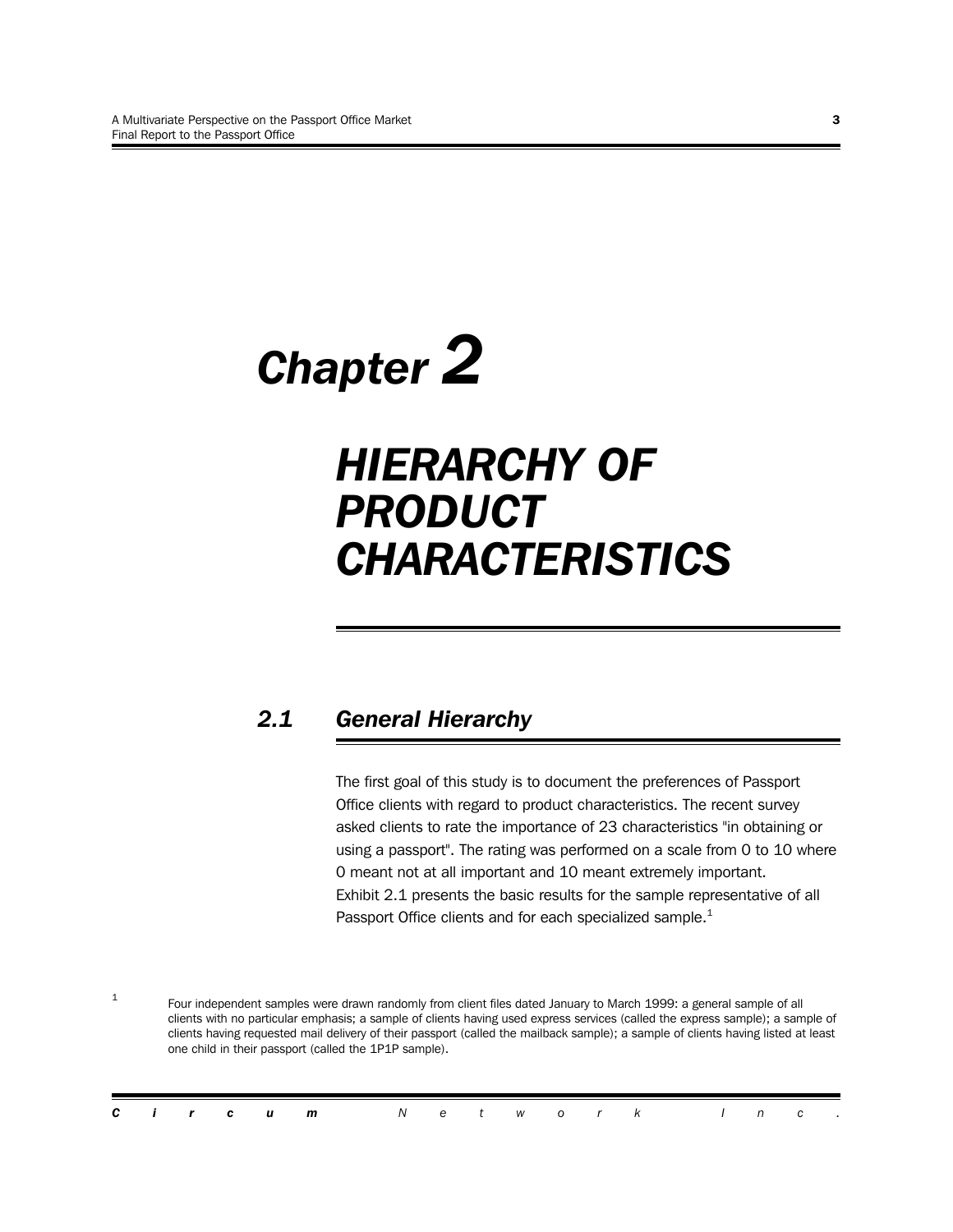# *Chapter 2*

### *HIERARCHY OF PRODUCT CHARACTERISTICS*

### *2.1 General Hierarchy*

The first goal of this study is to document the preferences of Passport Office clients with regard to product characteristics. The recent survey asked clients to rate the importance of 23 characteristics "in obtaining or using a passport". The rating was performed on a scale from 0 to 10 where 0 meant not at all important and 10 meant extremely important. Exhibit 2.1 presents the basic results for the sample representative of all Passport Office clients and for each specialized sample.<sup>1</sup>

1

Four independent samples were drawn randomly from client files dated January to March 1999: a general sample of all clients with no particular emphasis; a sample of clients having used express services (called the express sample); a sample of clients having requested mail delivery of their passport (called the mailback sample); a sample of clients having listed at least one child in their passport (called the 1P1P sample).

|  |  | <b>Circum</b> Network Inc. |  |  |  |  |  |  |
|--|--|----------------------------|--|--|--|--|--|--|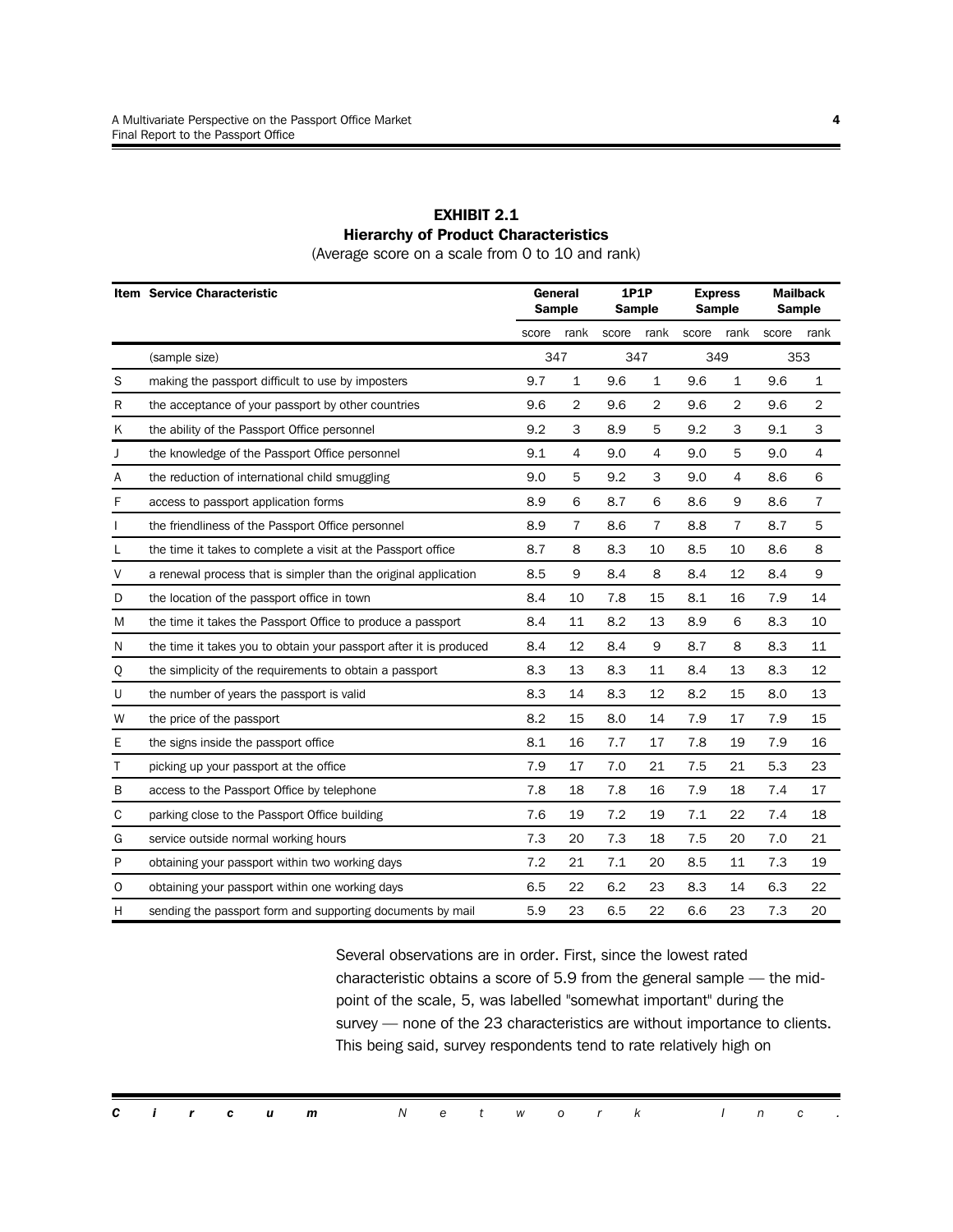### **EXHIBIT 2.1 Hierarchy of Product Characteristics**

(Average score on a scale from 0 to 10 and rank)

|   | <b>Item Service Characteristic</b>                                 |       | General<br><b>Sample</b> | <b>1P1P</b><br><b>Sample</b> |                  | <b>Express</b><br><b>Sample</b> |                |       | <b>Mailback</b><br><b>Sample</b> |
|---|--------------------------------------------------------------------|-------|--------------------------|------------------------------|------------------|---------------------------------|----------------|-------|----------------------------------|
|   |                                                                    | score | rank                     | score                        | rank             | score                           | rank           | score | rank                             |
|   | (sample size)                                                      |       | 347                      | 347                          |                  | 349                             |                |       | 353                              |
| S | making the passport difficult to use by imposters                  | 9.7   | $\mathbf{1}$             | 9.6                          | $\mathbf{1}$     | 9.6                             | $\mathbf{1}$   | 9.6   | $\mathbf{1}$                     |
| R | the acceptance of your passport by other countries                 | 9.6   | 2                        | 9.6                          | $\overline{2}$   | 9.6                             | $\overline{2}$ | 9.6   | $\overline{2}$                   |
| Κ | the ability of the Passport Office personnel                       | 9.2   | 3                        | 8.9                          | 5                | 9.2                             | 3              | 9.1   | 3                                |
| J | the knowledge of the Passport Office personnel                     | 9.1   | 4                        | 9.0                          | $\overline{4}$   | 9.0                             | 5              | 9.0   | $\overline{4}$                   |
| Α | the reduction of international child smuggling                     | 9.0   | 5                        | 9.2                          | 3                | 9.0                             | $\overline{4}$ | 8.6   | 6                                |
| F | access to passport application forms                               | 8.9   | 6                        | 8.7                          | 6                | 8.6                             | 9              | 8.6   | $\overline{7}$                   |
| T | the friendliness of the Passport Office personnel                  | 8.9   | $\overline{7}$           | 8.6                          | $\overline{7}$   | 8.8                             | $\overline{7}$ | 8.7   | 5                                |
| L | the time it takes to complete a visit at the Passport office       | 8.7   | 8                        | 8.3                          | 10               | 8.5                             | 10             | 8.6   | 8                                |
| V | a renewal process that is simpler than the original application    | 8.5   | 9                        | 8.4                          | 8                | 8.4                             | 12             | 8.4   | 9                                |
| D | the location of the passport office in town                        | 8.4   | 10                       | 7.8                          | 15               | 8.1                             | 16             | 7.9   | 14                               |
| M | the time it takes the Passport Office to produce a passport        | 8.4   | 11                       | 8.2                          | 13               | 8.9                             | 6              | 8.3   | 10                               |
| N | the time it takes you to obtain your passport after it is produced | 8.4   | 12                       | 8.4                          | $\boldsymbol{9}$ | 8.7                             | 8              | 8.3   | 11                               |
| Q | the simplicity of the requirements to obtain a passport            | 8.3   | 13                       | 8.3                          | 11               | 8.4                             | 13             | 8.3   | 12                               |
| U | the number of years the passport is valid                          | 8.3   | 14                       | 8.3                          | 12               | 8.2                             | 15             | 8.0   | 13                               |
| W | the price of the passport                                          | 8.2   | 15                       | 8.0                          | 14               | 7.9                             | 17             | 7.9   | 15                               |
| Е | the signs inside the passport office                               | 8.1   | 16                       | 7.7                          | 17               | 7.8                             | 19             | 7.9   | 16                               |
| Τ | picking up your passport at the office                             | 7.9   | 17                       | 7.0                          | 21               | 7.5                             | 21             | 5.3   | 23                               |
| B | access to the Passport Office by telephone                         | 7.8   | 18                       | 7.8                          | 16               | 7.9                             | 18             | 7.4   | 17                               |
| С | parking close to the Passport Office building                      | 7.6   | 19                       | 7.2                          | 19               | 7.1                             | 22             | 7.4   | 18                               |
| G | service outside normal working hours                               | 7.3   | 20                       | 7.3                          | 18               | 7.5                             | 20             | 7.0   | 21                               |
| P | obtaining your passport within two working days                    | 7.2   | 21                       | 7.1                          | 20               | 8.5                             | 11             | 7.3   | 19                               |
| O | obtaining your passport within one working days                    | 6.5   | 22                       | 6.2                          | 23               | 8.3                             | 14             | 6.3   | 22                               |
| н | sending the passport form and supporting documents by mail         | 5.9   | 23                       | 6.5                          | 22               | 6.6                             | 23             | 7.3   | 20                               |

Several observations are in order. First, since the lowest rated characteristic obtains a score of 5.9 from the general sample — the midpoint of the scale, 5, was labelled "somewhat important" during the survey — none of the 23 characteristics are without importance to clients. This being said, survey respondents tend to rate relatively high on

*Circum Network Inc .*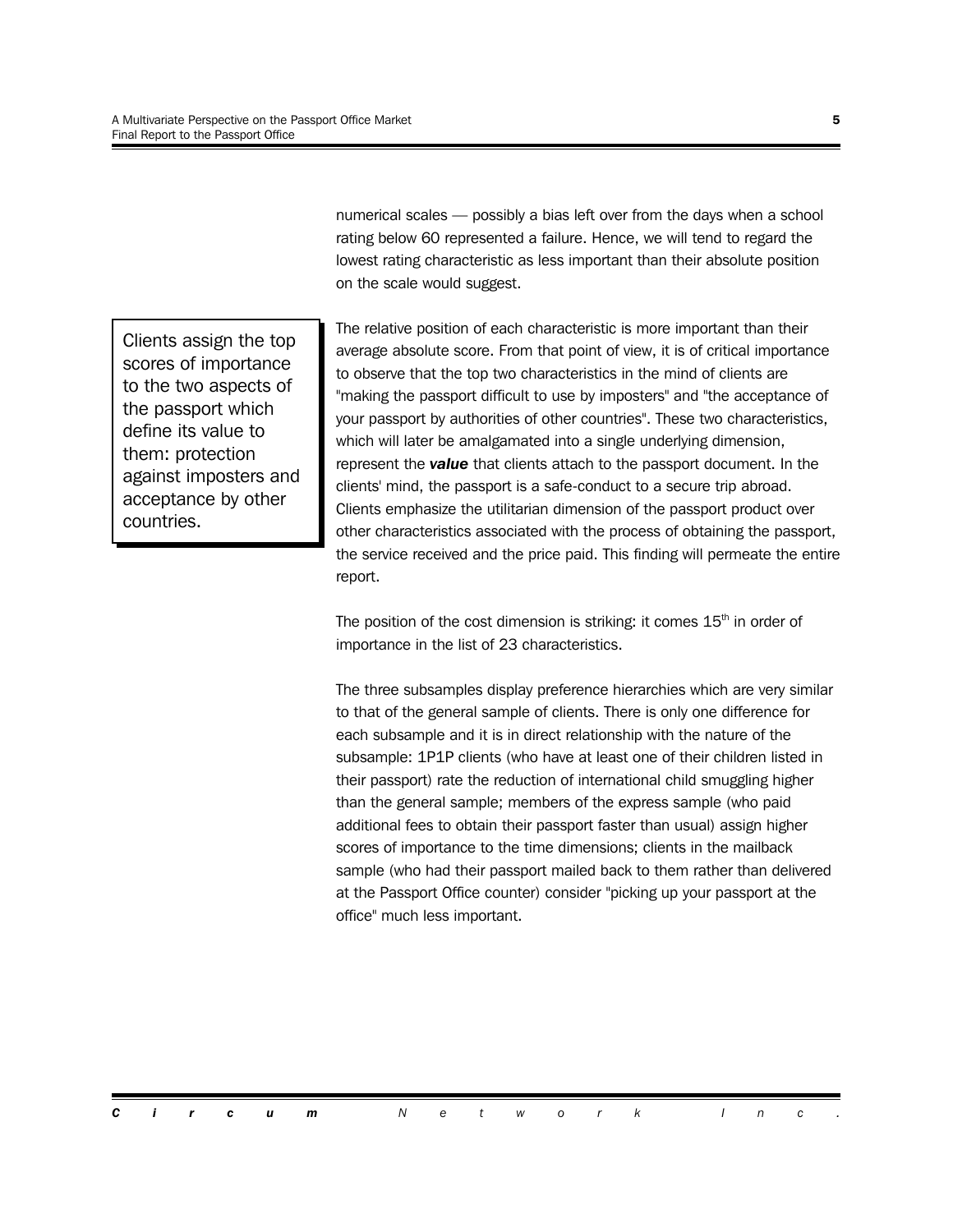Clients assign the top scores of importance to the two aspects of the passport which define its value to them: protection against imposters and acceptance by other countries.

numerical scales — possibly a bias left over from the days when a school rating below 60 represented a failure. Hence, we will tend to regard the lowest rating characteristic as less important than their absolute position on the scale would suggest.

The relative position of each characteristic is more important than their average absolute score. From that point of view, it is of critical importance to observe that the top two characteristics in the mind of clients are "making the passport difficult to use by imposters" and "the acceptance of your passport by authorities of other countries". These two characteristics, which will later be amalgamated into a single underlying dimension, represent the *value* that clients attach to the passport document. In the clients' mind, the passport is a safe-conduct to a secure trip abroad. Clients emphasize the utilitarian dimension of the passport product over other characteristics associated with the process of obtaining the passport, the service received and the price paid. This finding will permeate the entire report.

The position of the cost dimension is striking: it comes  $15<sup>th</sup>$  in order of importance in the list of 23 characteristics.

The three subsamples display preference hierarchies which are very similar to that of the general sample of clients. There is only one difference for each subsample and it is in direct relationship with the nature of the subsample: 1P1P clients (who have at least one of their children listed in their passport) rate the reduction of international child smuggling higher than the general sample; members of the express sample (who paid additional fees to obtain their passport faster than usual) assign higher scores of importance to the time dimensions; clients in the mailback sample (who had their passport mailed back to them rather than delivered at the Passport Office counter) consider "picking up your passport at the office" much less important.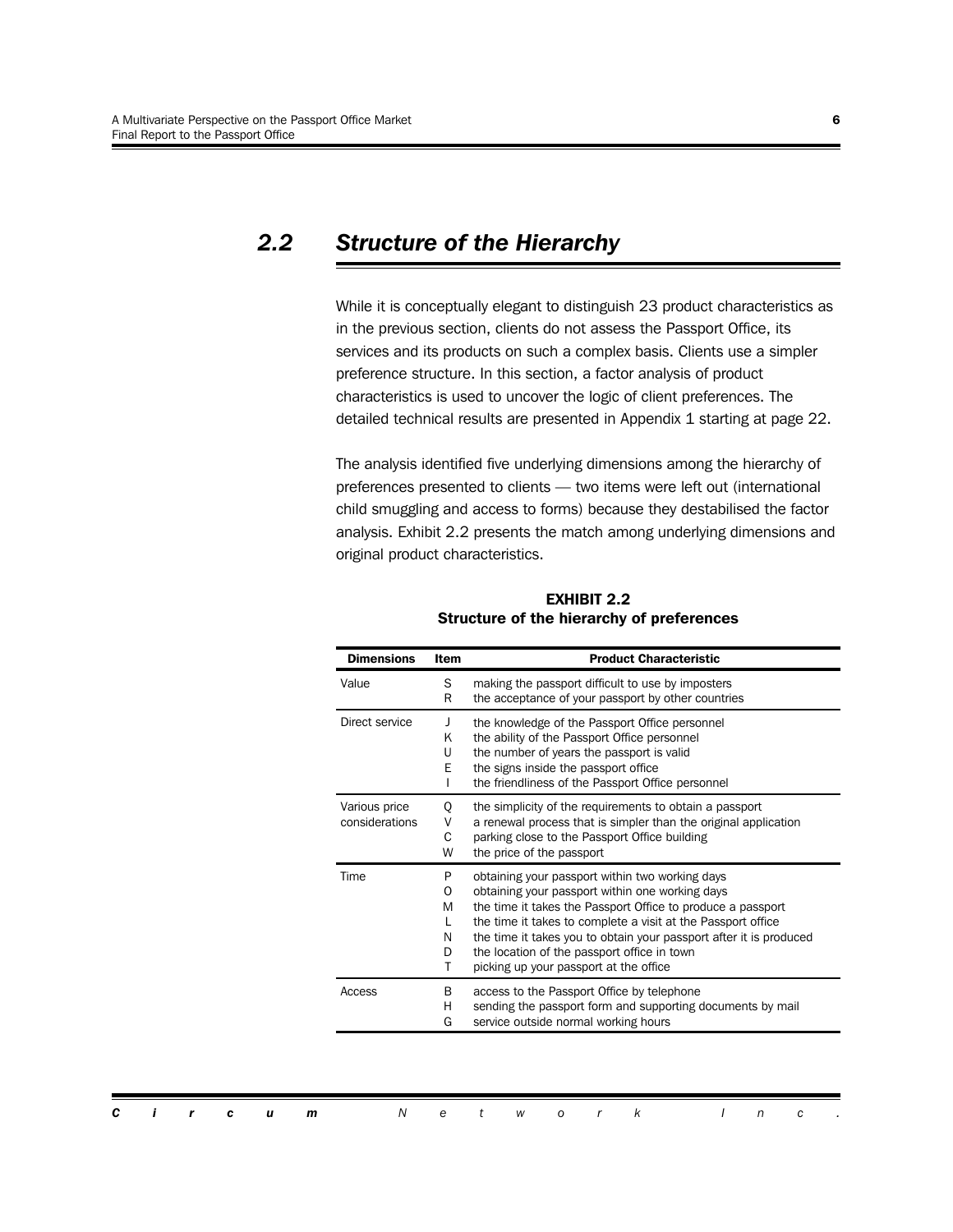### *2.2 Structure of the Hierarchy*

While it is conceptually elegant to distinguish 23 product characteristics as in the previous section, clients do not assess the Passport Office, its services and its products on such a complex basis. Clients use a simpler preference structure. In this section, a factor analysis of product characteristics is used to uncover the logic of client preferences. The detailed technical results are presented in Appendix 1 starting at page 22.

The analysis identified five underlying dimensions among the hierarchy of preferences presented to clients — two items were left out (international child smuggling and access to forms) because they destabilised the factor analysis. Exhibit 2.2 presents the match among underlying dimensions and original product characteristics.

| <b>Dimensions</b>               | Item                            | <b>Product Characteristic</b>                                                                                                                                                                                                                                                                                                                                                                    |
|---------------------------------|---------------------------------|--------------------------------------------------------------------------------------------------------------------------------------------------------------------------------------------------------------------------------------------------------------------------------------------------------------------------------------------------------------------------------------------------|
| Value                           | S<br>R                          | making the passport difficult to use by imposters<br>the acceptance of your passport by other countries                                                                                                                                                                                                                                                                                          |
| Direct service                  | J<br>K<br>U<br>E<br>ı           | the knowledge of the Passport Office personnel<br>the ability of the Passport Office personnel<br>the number of years the passport is valid<br>the signs inside the passport office<br>the friendliness of the Passport Office personnel                                                                                                                                                         |
| Various price<br>considerations | Q<br>V<br>C<br>W                | the simplicity of the requirements to obtain a passport<br>a renewal process that is simpler than the original application<br>parking close to the Passport Office building<br>the price of the passport                                                                                                                                                                                         |
| Time                            | P<br>0<br>M<br>L<br>N<br>D<br>Τ | obtaining your passport within two working days<br>obtaining your passport within one working days<br>the time it takes the Passport Office to produce a passport<br>the time it takes to complete a visit at the Passport office<br>the time it takes you to obtain your passport after it is produced<br>the location of the passport office in town<br>picking up your passport at the office |
| Access                          | B<br>н<br>G                     | access to the Passport Office by telephone<br>sending the passport form and supporting documents by mail<br>service outside normal working hours                                                                                                                                                                                                                                                 |

**EXHIBIT 2.2 Structure of the hierarchy of preferences**

|  |  |  | <b>Circum</b> Network Inc. |  |  |  |  |  |  |
|--|--|--|----------------------------|--|--|--|--|--|--|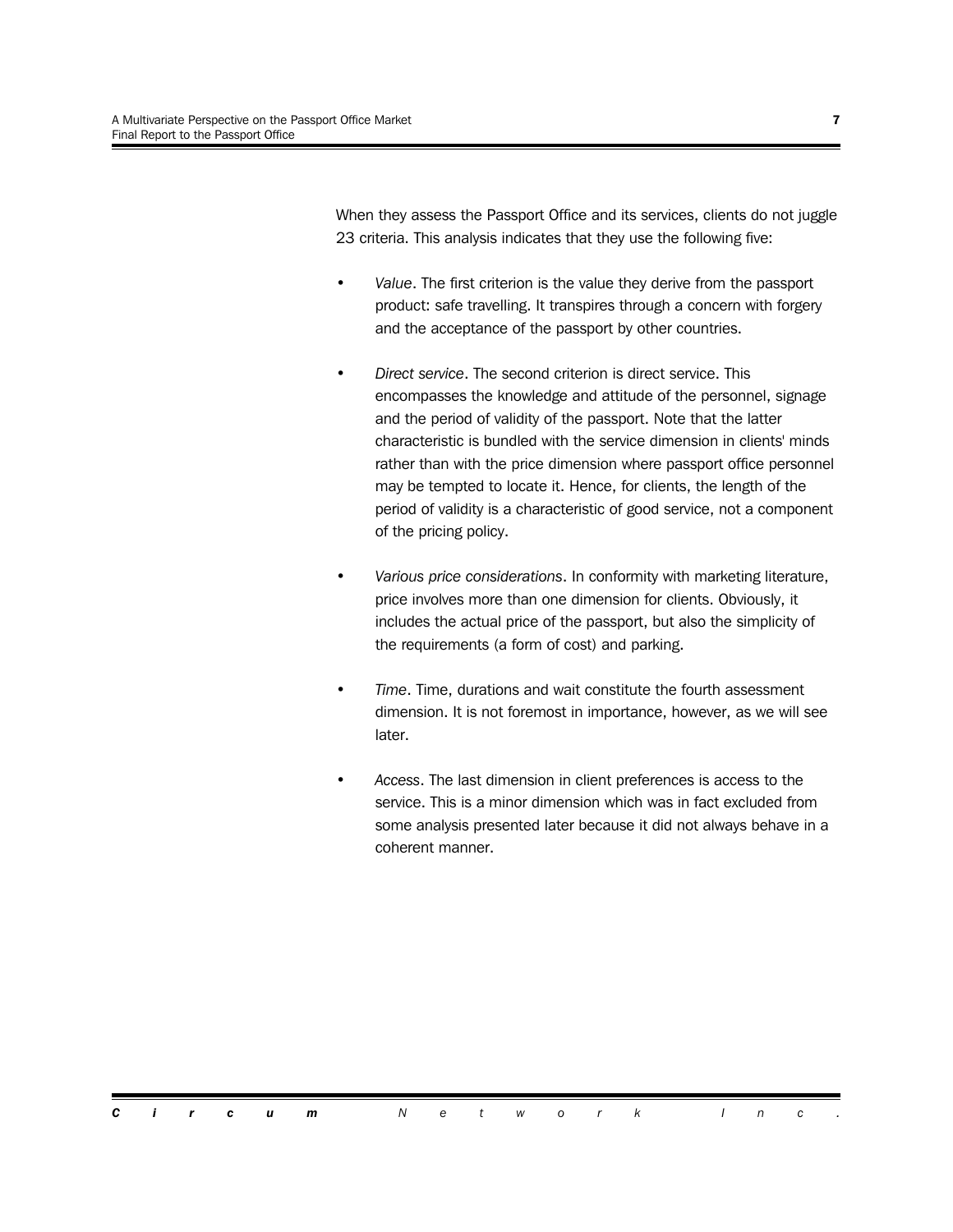When they assess the Passport Office and its services, clients do not juggle 23 criteria. This analysis indicates that they use the following five:

- *Value*. The first criterion is the value they derive from the passport product: safe travelling. It transpires through a concern with forgery and the acceptance of the passport by other countries.
- *Direct service*. The second criterion is direct service. This encompasses the knowledge and attitude of the personnel, signage and the period of validity of the passport. Note that the latter characteristic is bundled with the service dimension in clients' minds rather than with the price dimension where passport office personnel may be tempted to locate it. Hence, for clients, the length of the period of validity is a characteristic of good service, not a component of the pricing policy.
- *Various price considerations*. In conformity with marketing literature, price involves more than one dimension for clients. Obviously, it includes the actual price of the passport, but also the simplicity of the requirements (a form of cost) and parking.
- *Time*. Time, durations and wait constitute the fourth assessment dimension. It is not foremost in importance, however, as we will see later.
- *Access*. The last dimension in client preferences is access to the service. This is a minor dimension which was in fact excluded from some analysis presented later because it did not always behave in a coherent manner.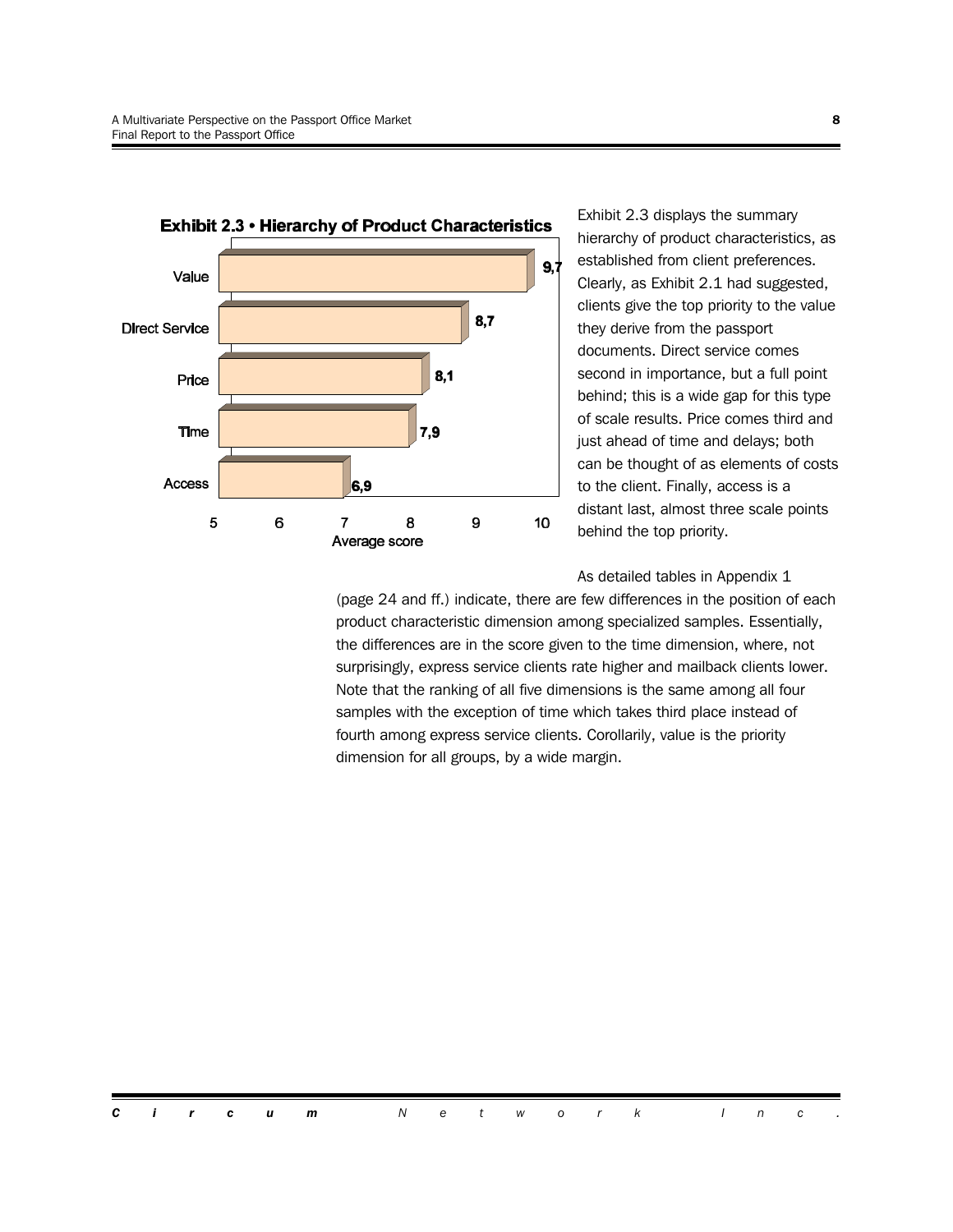

Exhibit 2.3 displays the summary hierarchy of product characteristics, as established from client preferences. Clearly, as Exhibit 2.1 had suggested, clients give the top priority to the value they derive from the passport documents. Direct service comes second in importance, but a full point behind; this is a wide gap for this type of scale results. Price comes third and just ahead of time and delays; both can be thought of as elements of costs to the client. Finally, access is a distant last, almost three scale points behind the top priority.

As detailed tables in Appendix 1

(page 24 and ff.) indicate, there are few differences in the position of each product characteristic dimension among specialized samples. Essentially, the differences are in the score given to the time dimension, where, not surprisingly, express service clients rate higher and mailback clients lower. Note that the ranking of all five dimensions is the same among all four samples with the exception of time which takes third place instead of fourth among express service clients. Corollarily, value is the priority dimension for all groups, by a wide margin.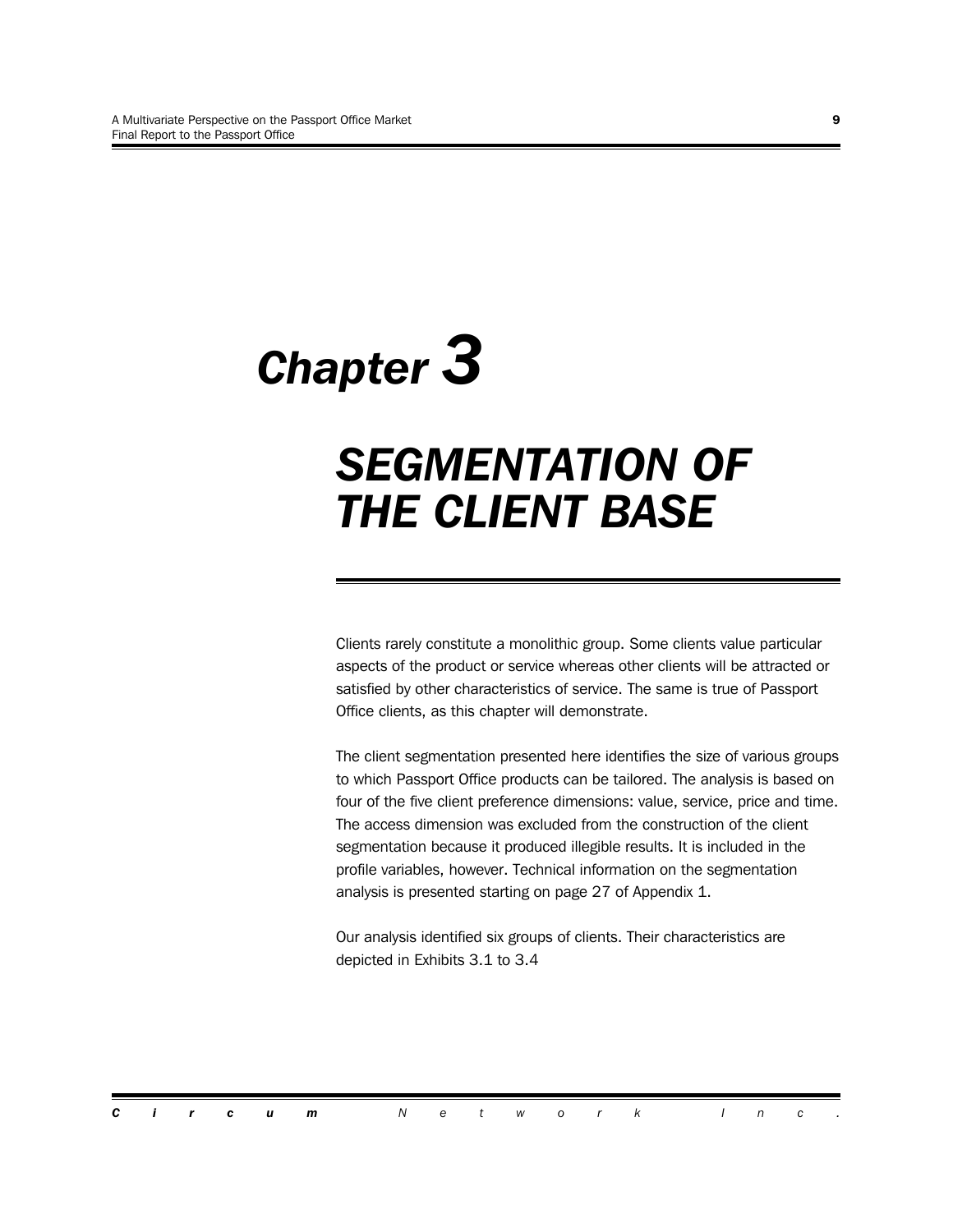# *Chapter 3*

## *SEGMENTATION OF THE CLIENT BASE*

Clients rarely constitute a monolithic group. Some clients value particular aspects of the product or service whereas other clients will be attracted or satisfied by other characteristics of service. The same is true of Passport Office clients, as this chapter will demonstrate.

The client segmentation presented here identifies the size of various groups to which Passport Office products can be tailored. The analysis is based on four of the five client preference dimensions: value, service, price and time. The access dimension was excluded from the construction of the client segmentation because it produced illegible results. It is included in the profile variables, however. Technical information on the segmentation analysis is presented starting on page 27 of Appendix 1.

Our analysis identified six groups of clients. Their characteristics are depicted in Exhibits 3.1 to 3.4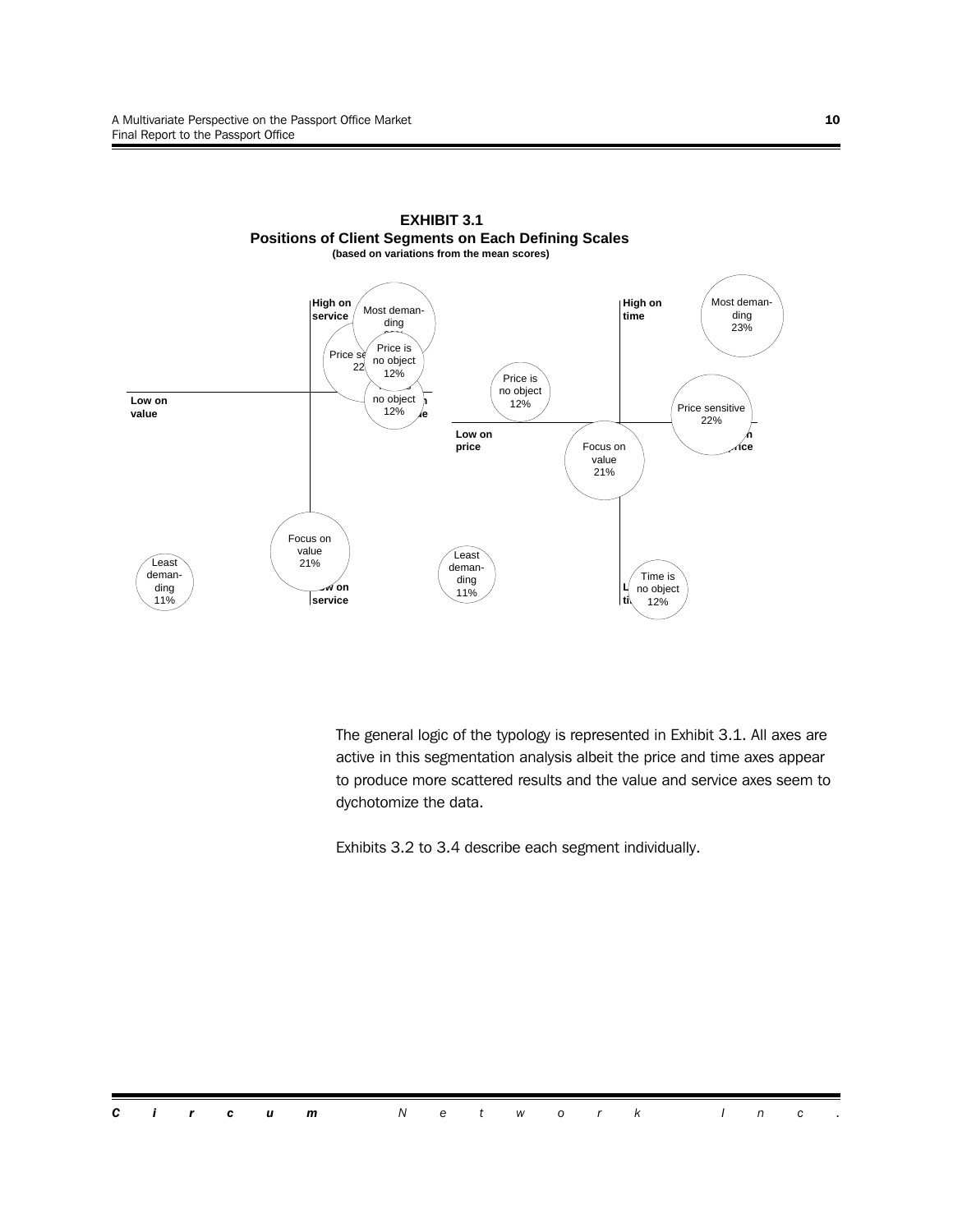

The general logic of the typology is represented in Exhibit 3.1. All axes are active in this segmentation analysis albeit the price and time axes appear to produce more scattered results and the value and service axes seem to dychotomize the data.

Exhibits 3.2 to 3.4 describe each segment individually.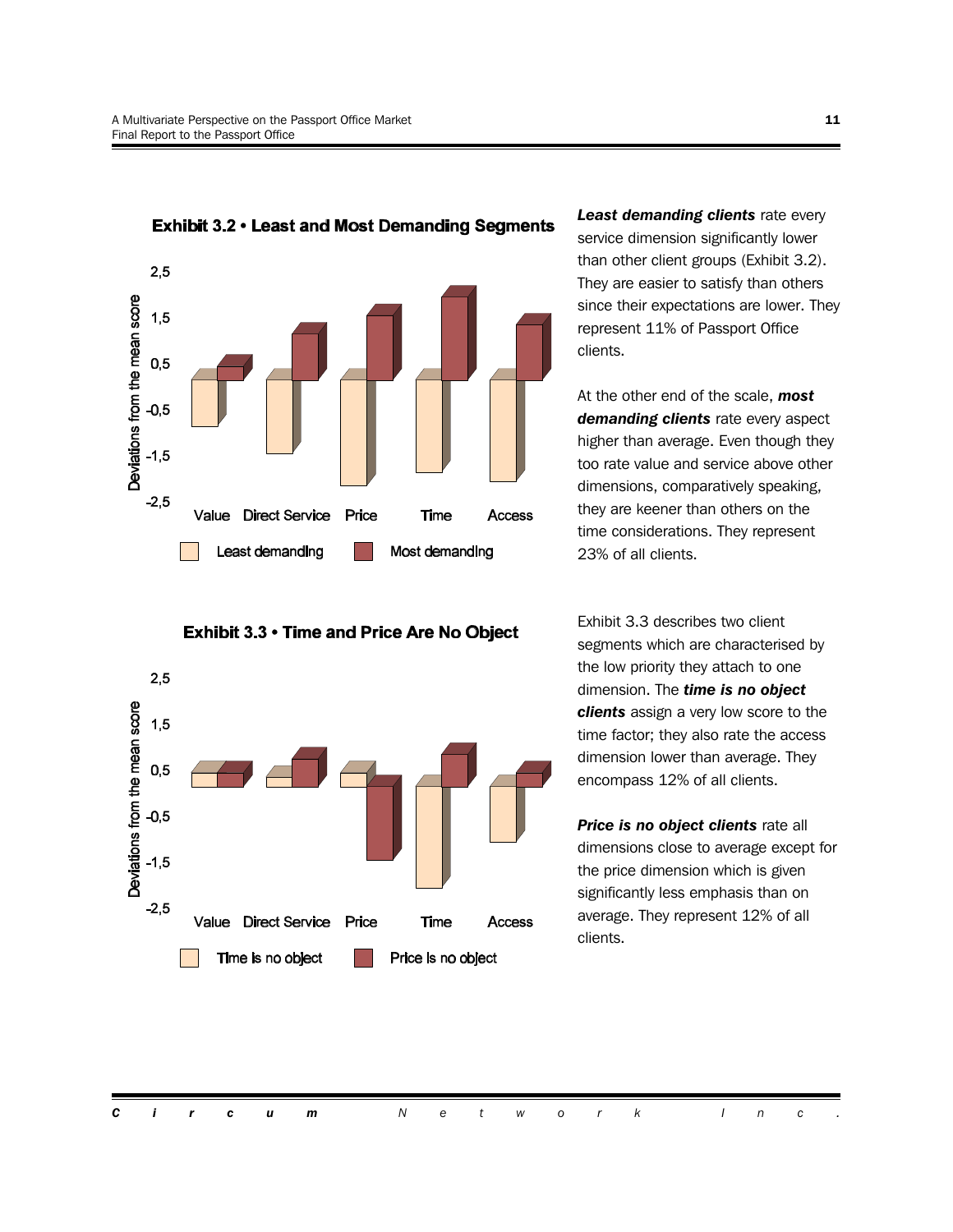

**Exhibit 3.2 • Least and Most Demanding Segments** 

**Least demanding clients** rate every service dimension significantly lower than other client groups (Exhibit 3.2). They are easier to satisfy than others since their expectations are lower. They represent 11% of Passport Office clients.

At the other end of the scale, *most demanding clients* rate every aspect higher than average. Even though they too rate value and service above other dimensions, comparatively speaking, they are keener than others on the time considerations. They represent 23% of all clients.

Exhibit 3.3 describes two client segments which are characterised by the low priority they attach to one dimension. The *time is no object clients* assign a very low score to the time factor; they also rate the access dimension lower than average. They encompass 12% of all clients.

*Price is no object clients* rate all dimensions close to average except for the price dimension which is given significantly less emphasis than on average. They represent 12% of all clients.

 $2.5$ Deviations from the mean score  $1,5$  $0,5$  $-0,5$  $-1,5$  $-2,5$ Value **Direct Service** Price Time Access Time is no object Price is no object

Exhibit 3.3 . Time and Price Are No Object

*Circum Network Inc .*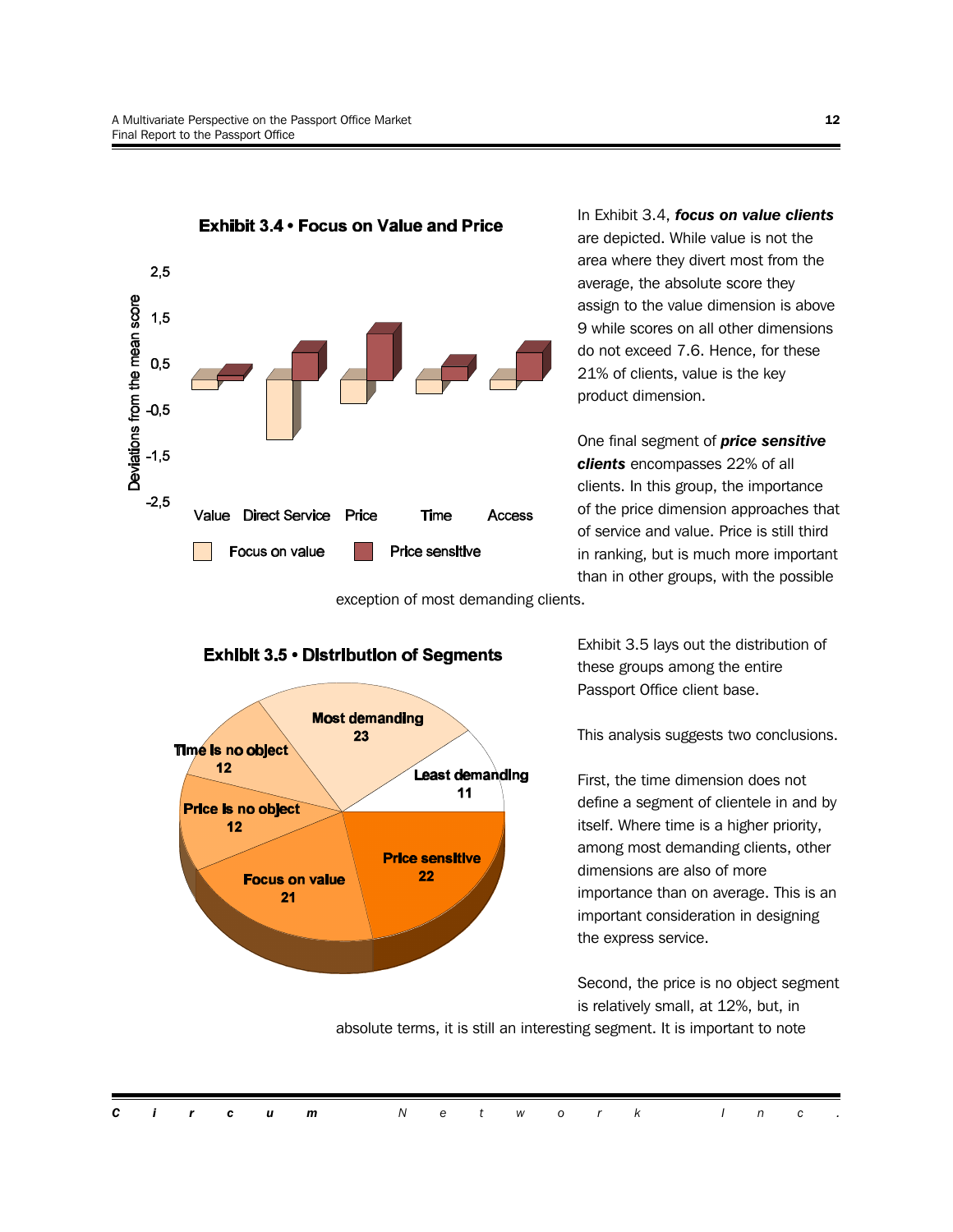

**Exhibit 3.4 • Focus on Value and Price** 

In Exhibit 3.4, *focus on value clients* are depicted. While value is not the area where they divert most from the average, the absolute score they assign to the value dimension is above 9 while scores on all other dimensions do not exceed 7.6. Hence, for these 21% of clients, value is the key product dimension.

One final segment of *price sensitive clients* encompasses 22% of all clients. In this group, the importance of the price dimension approaches that of service and value. Price is still third in ranking, but is much more important than in other groups, with the possible

exception of most demanding clients.



### **Exhibit 3.5 • Distribution of Segments**

Exhibit 3.5 lays out the distribution of

these groups among the entire Passport Office client base.

This analysis suggests two conclusions.

First, the time dimension does not define a segment of clientele in and by itself. Where time is a higher priority, among most demanding clients, other dimensions are also of more importance than on average. This is an important consideration in designing the express service.

Second, the price is no object segment is relatively small, at 12%, but, in

absolute terms, it is still an interesting segment. It is important to note

*Circum Network Inc .*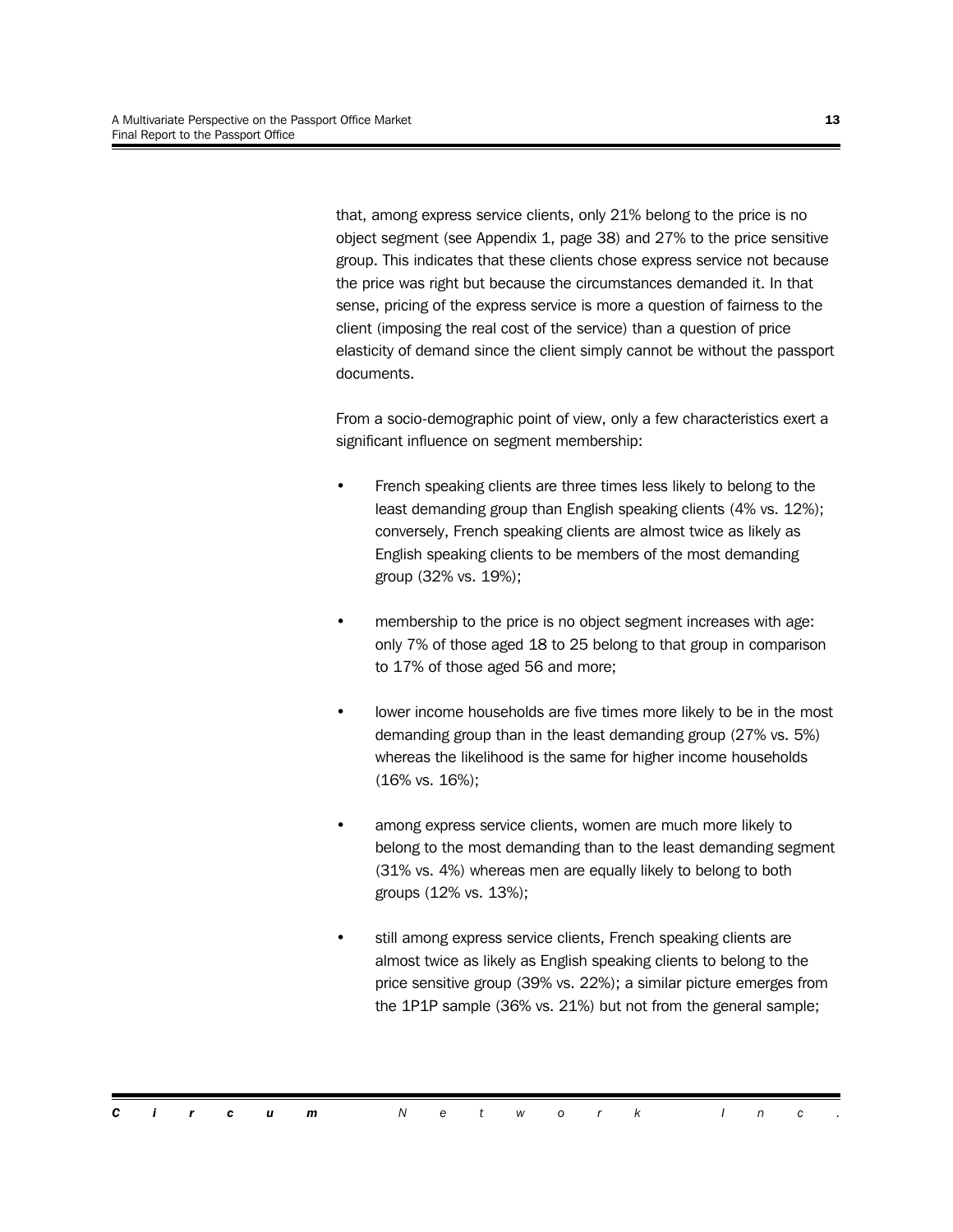that, among express service clients, only 21% belong to the price is no object segment (see Appendix 1, page 38) and 27% to the price sensitive group. This indicates that these clients chose express service not because the price was right but because the circumstances demanded it. In that sense, pricing of the express service is more a question of fairness to the client (imposing the real cost of the service) than a question of price elasticity of demand since the client simply cannot be without the passport documents.

From a socio-demographic point of view, only a few characteristics exert a significant influence on segment membership:

- French speaking clients are three times less likely to belong to the least demanding group than English speaking clients (4% vs. 12%); conversely, French speaking clients are almost twice as likely as English speaking clients to be members of the most demanding group (32% vs. 19%);
- membership to the price is no object segment increases with age: only 7% of those aged 18 to 25 belong to that group in comparison to 17% of those aged 56 and more;
- lower income households are five times more likely to be in the most demanding group than in the least demanding group (27% vs. 5%) whereas the likelihood is the same for higher income households (16% vs. 16%);
- among express service clients, women are much more likely to belong to the most demanding than to the least demanding segment (31% vs. 4%) whereas men are equally likely to belong to both groups (12% vs. 13%);
- still among express service clients, French speaking clients are almost twice as likely as English speaking clients to belong to the price sensitive group (39% vs. 22%); a similar picture emerges from the 1P1P sample (36% vs. 21%) but not from the general sample;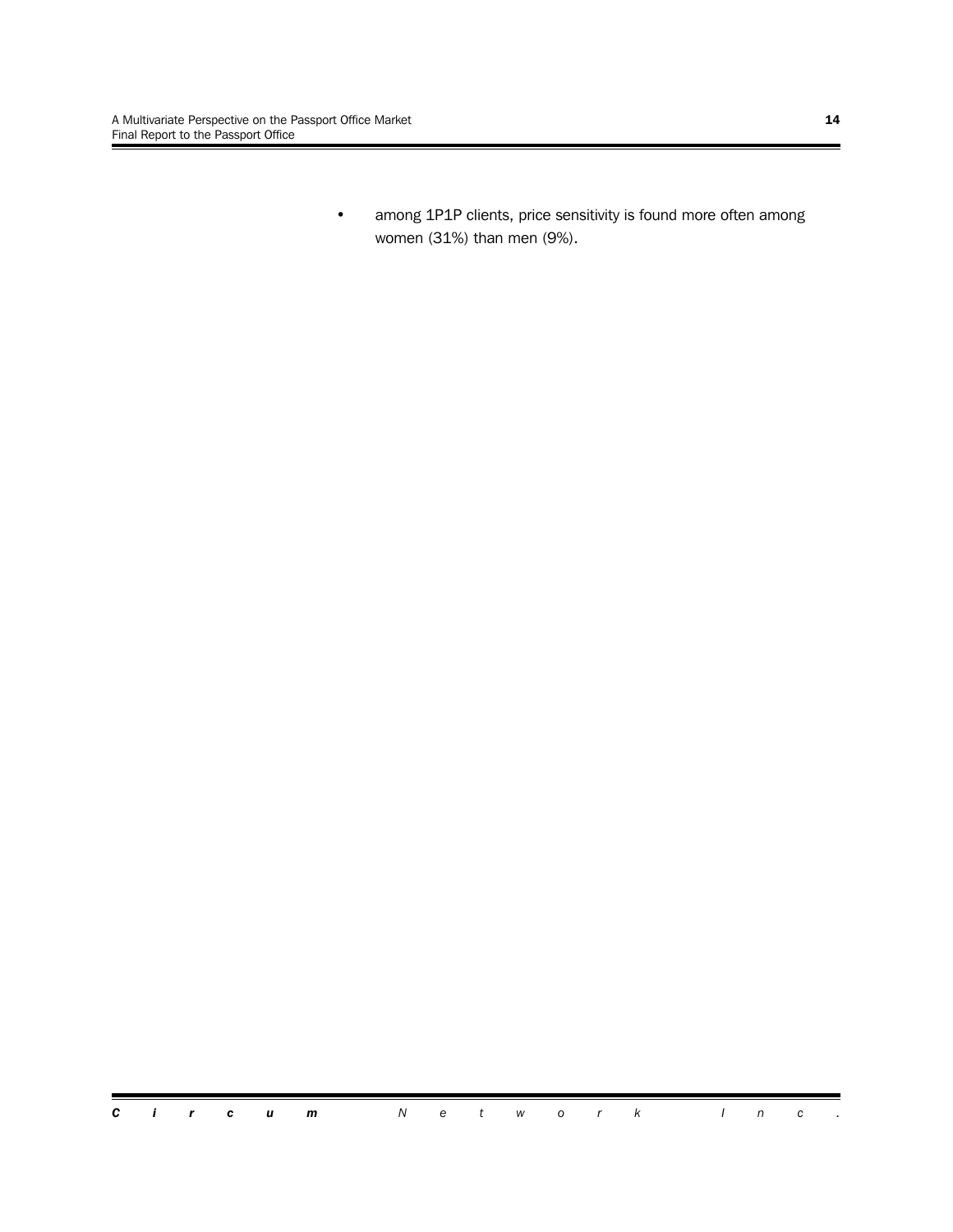• among 1P1P clients, price sensitivity is found more often among women (31%) than men (9%).

*Circum Network Inc .*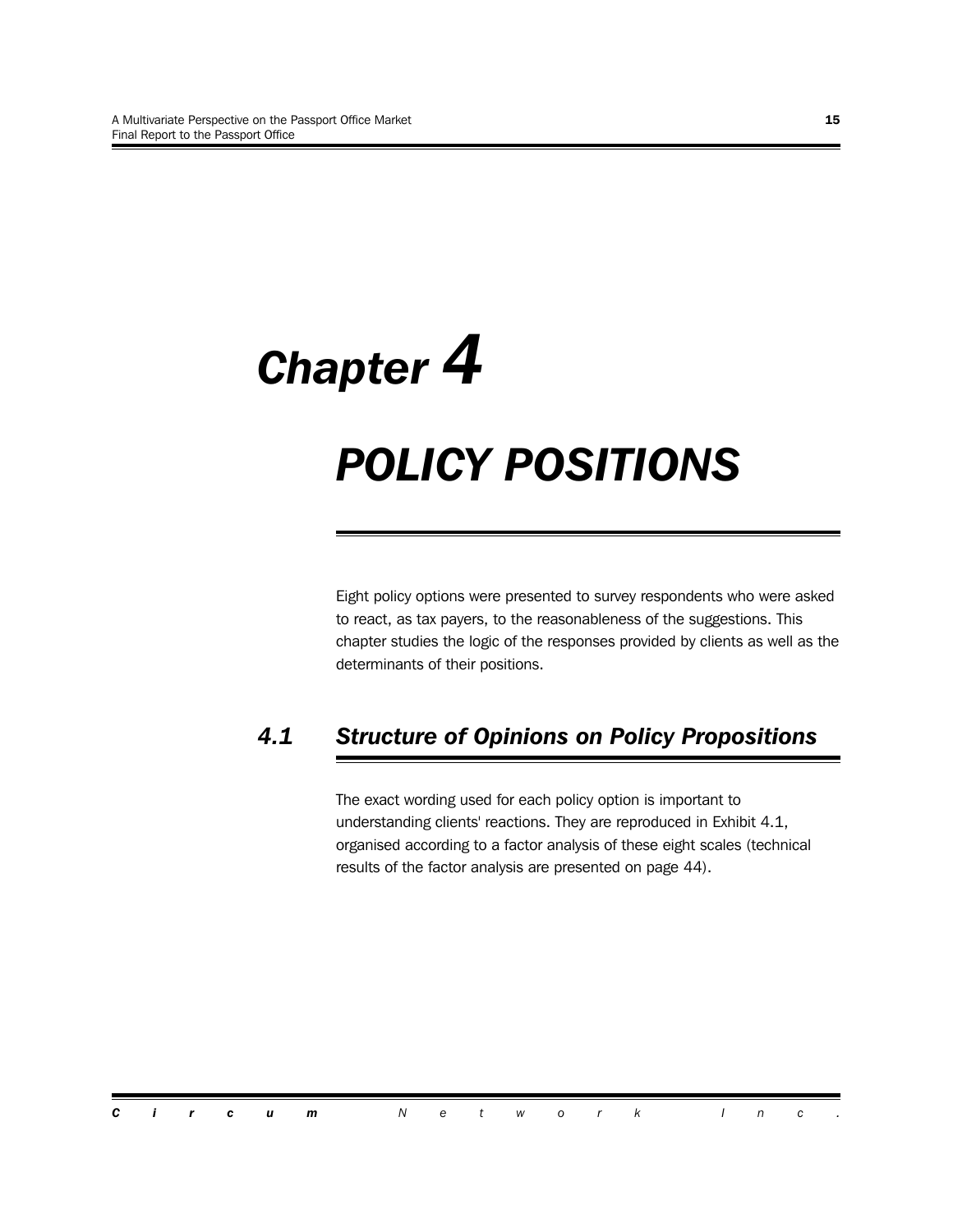# *Chapter 4*

# *POLICY POSITIONS*

Eight policy options were presented to survey respondents who were asked to react, as tax payers, to the reasonableness of the suggestions. This chapter studies the logic of the responses provided by clients as well as the determinants of their positions.

### *4.1 Structure of Opinions on Policy Propositions*

The exact wording used for each policy option is important to understanding clients' reactions. They are reproduced in Exhibit 4.1, organised according to a factor analysis of these eight scales (technical results of the factor analysis are presented on page 44).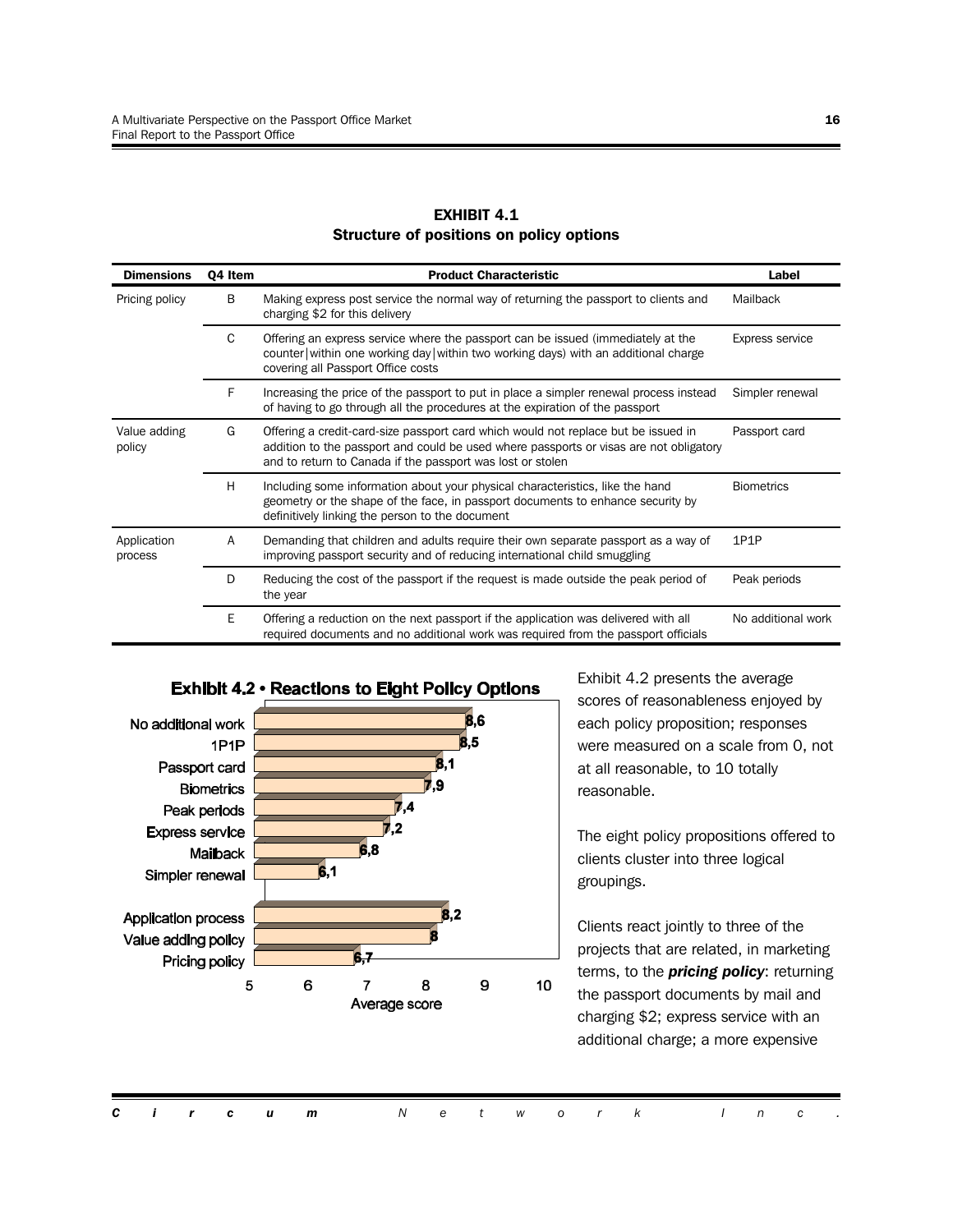| <b>Dimensions</b>      | Q4 Item | <b>Product Characteristic</b>                                                                                                                                                                                                              | Label              |
|------------------------|---------|--------------------------------------------------------------------------------------------------------------------------------------------------------------------------------------------------------------------------------------------|--------------------|
| Pricing policy         | B       | Making express post service the normal way of returning the passport to clients and<br>charging \$2 for this delivery                                                                                                                      | <b>Mailback</b>    |
|                        | C       | Offering an express service where the passport can be issued (immediately at the<br>counter within one working day within two working days) with an additional charge<br>covering all Passport Office costs                                | Express service    |
|                        | F       | Increasing the price of the passport to put in place a simpler renewal process instead<br>of having to go through all the procedures at the expiration of the passport                                                                     | Simpler renewal    |
| Value adding<br>policy | G       | Offering a credit-card-size passport card which would not replace but be issued in<br>addition to the passport and could be used where passports or visas are not obligatory<br>and to return to Canada if the passport was lost or stolen | Passport card      |
|                        | H       | Including some information about your physical characteristics, like the hand<br>geometry or the shape of the face, in passport documents to enhance security by<br>definitively linking the person to the document                        | <b>Biometrics</b>  |
| Application<br>process | A       | Demanding that children and adults require their own separate passport as a way of<br>improving passport security and of reducing international child smuggling                                                                            | 1P1P               |
|                        | D       | Reducing the cost of the passport if the request is made outside the peak period of<br>the year                                                                                                                                            | Peak periods       |
|                        | E       | Offering a reduction on the next passport if the application was delivered with all<br>required documents and no additional work was required from the passport officials                                                                  | No additional work |





Exhibit 4.2 presents the average scores of reasonableness enjoyed by each policy proposition; responses were measured on a scale from 0, not at all reasonable, to 10 totally reasonable.

The eight policy propositions offered to clients cluster into three logical groupings.

Clients react jointly to three of the projects that are related, in marketing terms, to the *pricing policy*: returning the passport documents by mail and charging \$2; express service with an additional charge; a more expensive

*Circum Network Inc .*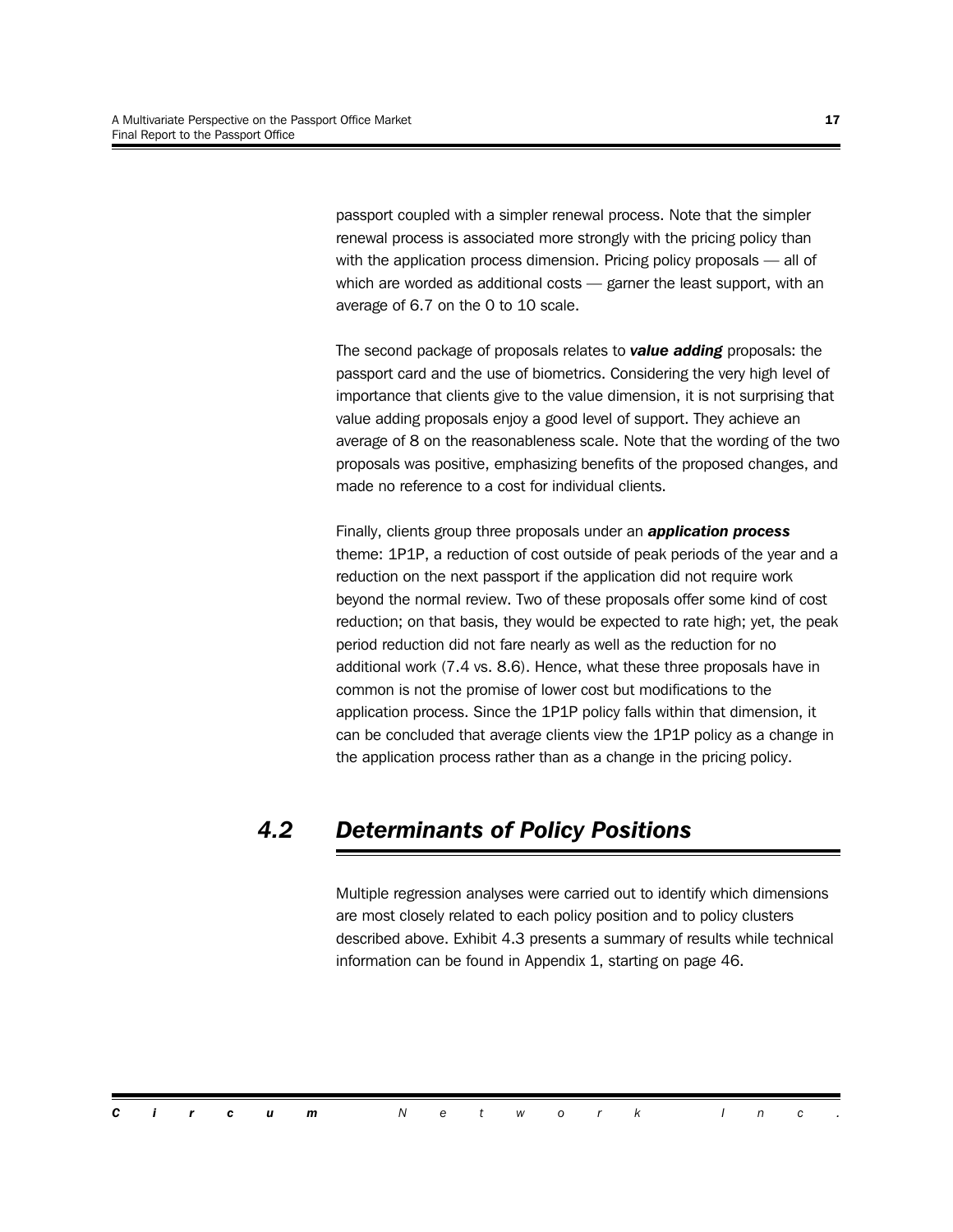passport coupled with a simpler renewal process. Note that the simpler renewal process is associated more strongly with the pricing policy than with the application process dimension. Pricing policy proposals — all of which are worded as additional costs – garner the least support, with an average of 6.7 on the 0 to 10 scale.

The second package of proposals relates to *value adding* proposals: the passport card and the use of biometrics. Considering the very high level of importance that clients give to the value dimension, it is not surprising that value adding proposals enjoy a good level of support. They achieve an average of 8 on the reasonableness scale. Note that the wording of the two proposals was positive, emphasizing benefits of the proposed changes, and made no reference to a cost for individual clients.

Finally, clients group three proposals under an *application process* theme: 1P1P, a reduction of cost outside of peak periods of the year and a reduction on the next passport if the application did not require work beyond the normal review. Two of these proposals offer some kind of cost reduction; on that basis, they would be expected to rate high; yet, the peak period reduction did not fare nearly as well as the reduction for no additional work (7.4 vs. 8.6). Hence, what these three proposals have in common is not the promise of lower cost but modifications to the application process. Since the 1P1P policy falls within that dimension, it can be concluded that average clients view the 1P1P policy as a change in the application process rather than as a change in the pricing policy.

### *4.2 Determinants of Policy Positions*

Multiple regression analyses were carried out to identify which dimensions are most closely related to each policy position and to policy clusters described above. Exhibit 4.3 presents a summary of results while technical information can be found in Appendix 1, starting on page 46.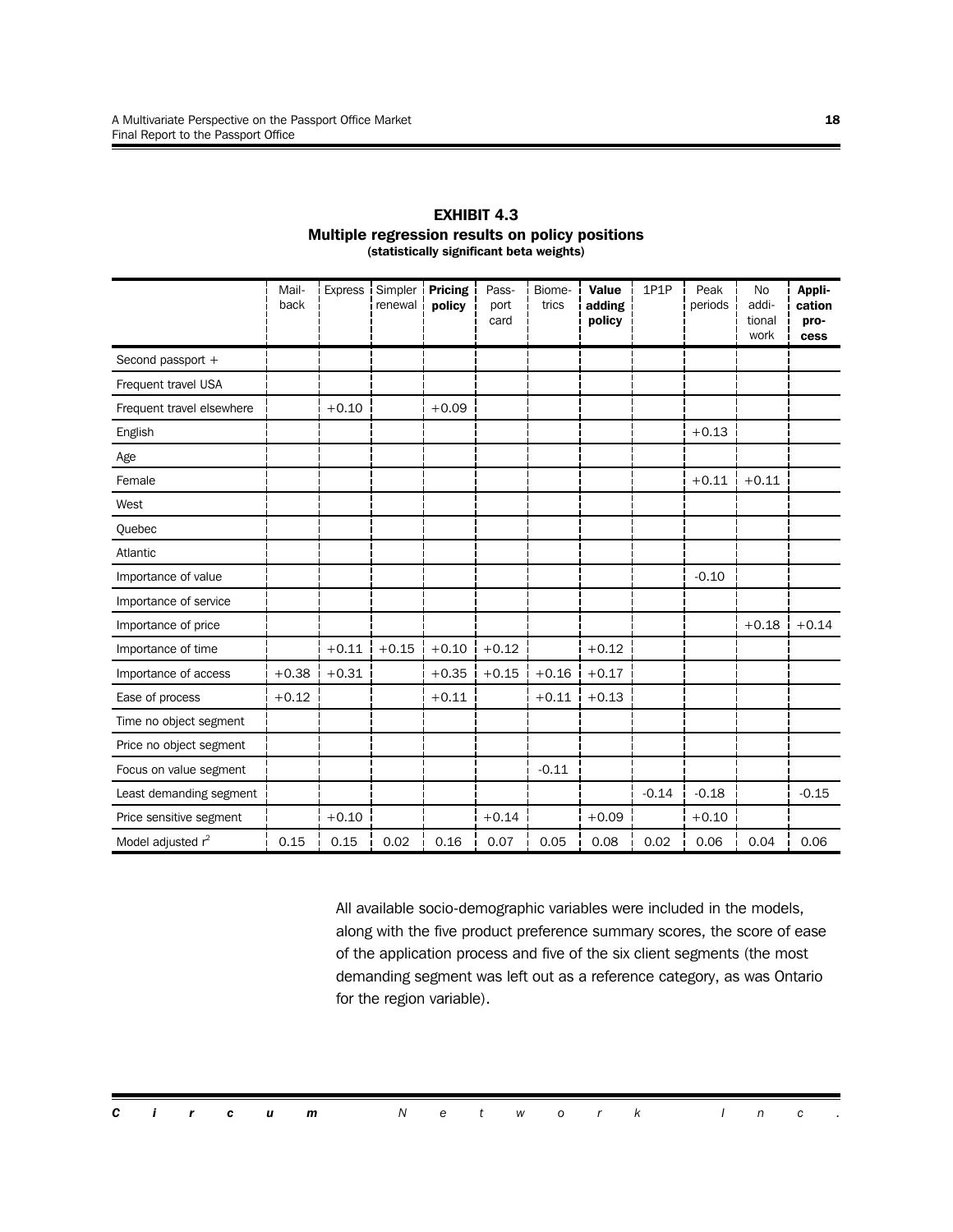|                               | Mail-<br>back | <b>Express</b> | Simpler<br>renewal | <b>Pricing</b><br>policy | Pass-<br>port<br>card | Biome-<br>trics | Value<br>adding<br>policy | 1P1P    | Peak<br>periods | No<br>addi-<br>tional<br>work | Appli-<br>cation<br>pro-<br>cess |
|-------------------------------|---------------|----------------|--------------------|--------------------------|-----------------------|-----------------|---------------------------|---------|-----------------|-------------------------------|----------------------------------|
| Second passport +             |               |                |                    |                          |                       |                 |                           |         |                 |                               |                                  |
| Frequent travel USA           |               |                |                    |                          |                       |                 |                           |         |                 |                               |                                  |
| Frequent travel elsewhere     |               | $+0.10$        |                    | $+0.09$                  |                       |                 |                           |         |                 |                               |                                  |
| English                       |               |                |                    |                          |                       |                 |                           |         | $+0.13$         |                               |                                  |
| Age                           |               |                |                    |                          |                       |                 |                           |         |                 |                               |                                  |
| Female                        |               |                |                    |                          |                       |                 |                           |         | $+0.11$         | $+0.11$                       |                                  |
| West                          |               |                |                    |                          |                       |                 |                           |         |                 |                               |                                  |
| Quebec                        |               |                |                    |                          |                       |                 |                           |         |                 |                               |                                  |
| Atlantic                      |               |                |                    |                          |                       |                 |                           |         |                 |                               |                                  |
| Importance of value           |               |                |                    |                          |                       |                 |                           |         | $-0.10$         |                               |                                  |
| Importance of service         |               |                |                    |                          |                       |                 |                           |         |                 |                               |                                  |
| Importance of price           |               |                |                    |                          |                       |                 |                           |         |                 | $+0.18$                       | $+0.14$                          |
| Importance of time            |               | $+0.11$        | $+0.15$            | $+0.10$                  | $+0.12$               |                 | $+0.12$                   |         |                 |                               |                                  |
| Importance of access          | $+0.38$       | $+0.31$        |                    | $+0.35$                  | $+0.15$               | $+0.16$         | $+0.17$                   |         |                 |                               |                                  |
| Ease of process               | $+0.12$       |                |                    | $+0.11$                  |                       | $+0.11$         | $+0.13$                   |         |                 |                               |                                  |
| Time no object segment        |               |                |                    |                          |                       |                 |                           |         |                 |                               |                                  |
| Price no object segment       |               |                |                    |                          |                       |                 |                           |         |                 |                               |                                  |
| Focus on value segment        |               |                |                    |                          |                       | $-0.11$         |                           |         |                 |                               |                                  |
| Least demanding segment       |               |                |                    |                          |                       |                 |                           | $-0.14$ | $-0.18$         |                               | $-0.15$                          |
| Price sensitive segment       |               | $+0.10$        |                    |                          | $+0.14$               |                 | $+0.09$                   |         | $+0.10$         |                               |                                  |
| Model adjusted r <sup>2</sup> | 0.15          | 0.15           | 0.02               | 0.16                     | 0.07                  | 0.05            | 0.08                      | 0.02    | 0.06            | 0.04                          | 0.06                             |

### **EXHIBIT 4.3 Multiple regression results on policy positions (statistically significant beta weights)**

All available socio-demographic variables were included in the models, along with the five product preference summary scores, the score of ease of the application process and five of the six client segments (the most demanding segment was left out as a reference category, as was Ontario for the region variable).

*Circum Network Inc .*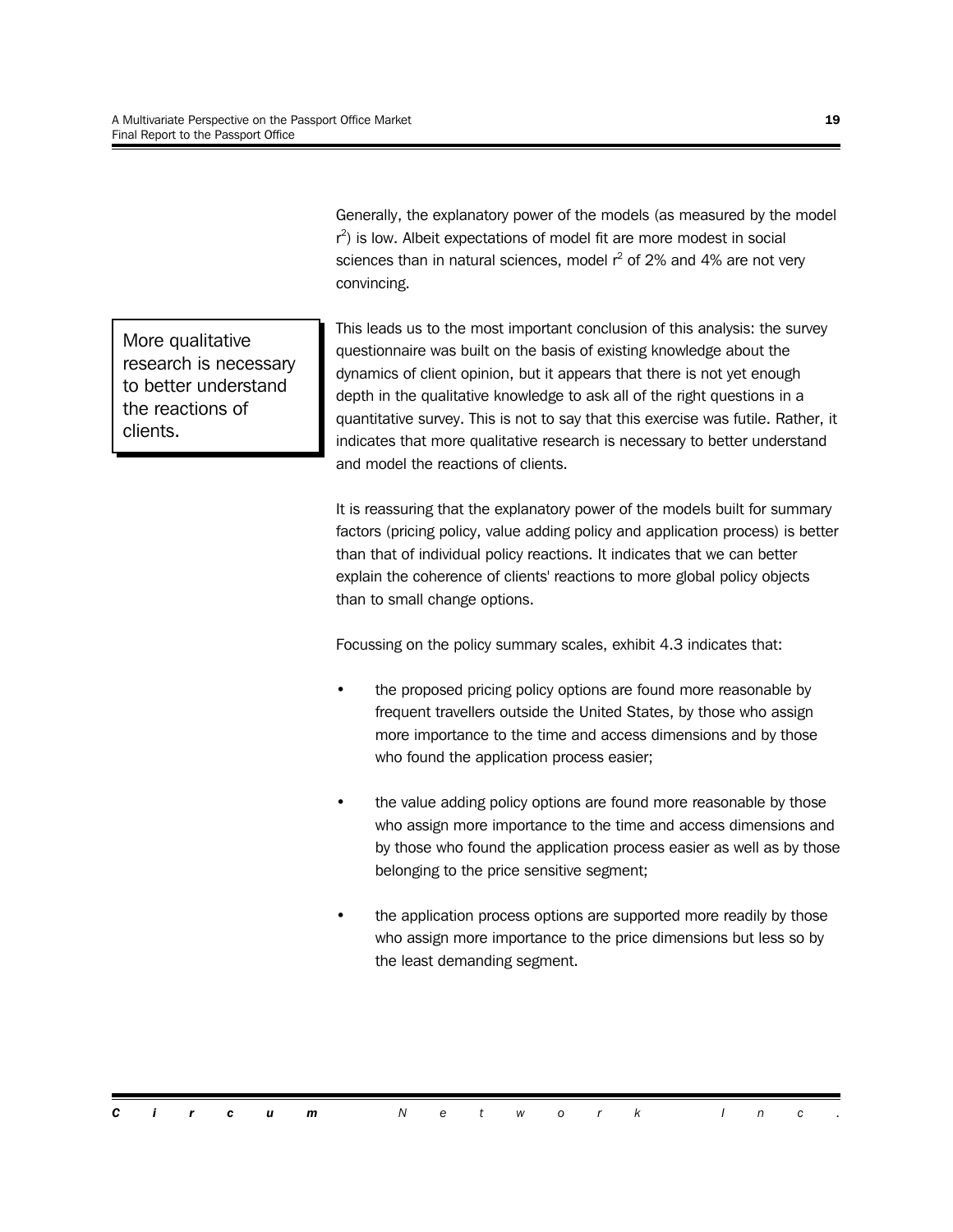Generally, the explanatory power of the models (as measured by the model  $r^2$ ) is low. Albeit expectations of model fit are more modest in social sciences than in natural sciences, model  $r^2$  of 2% and 4% are not very convincing.

More qualitative research is necessary to better understand the reactions of clients.

This leads us to the most important conclusion of this analysis: the survey questionnaire was built on the basis of existing knowledge about the dynamics of client opinion, but it appears that there is not yet enough depth in the qualitative knowledge to ask all of the right questions in a quantitative survey. This is not to say that this exercise was futile. Rather, it indicates that more qualitative research is necessary to better understand and model the reactions of clients.

It is reassuring that the explanatory power of the models built for summary factors (pricing policy, value adding policy and application process) is better than that of individual policy reactions. It indicates that we can better explain the coherence of clients' reactions to more global policy objects than to small change options.

Focussing on the policy summary scales, exhibit 4.3 indicates that:

- the proposed pricing policy options are found more reasonable by frequent travellers outside the United States, by those who assign more importance to the time and access dimensions and by those who found the application process easier;
- the value adding policy options are found more reasonable by those who assign more importance to the time and access dimensions and by those who found the application process easier as well as by those belonging to the price sensitive segment;
- the application process options are supported more readily by those who assign more importance to the price dimensions but less so by the least demanding segment.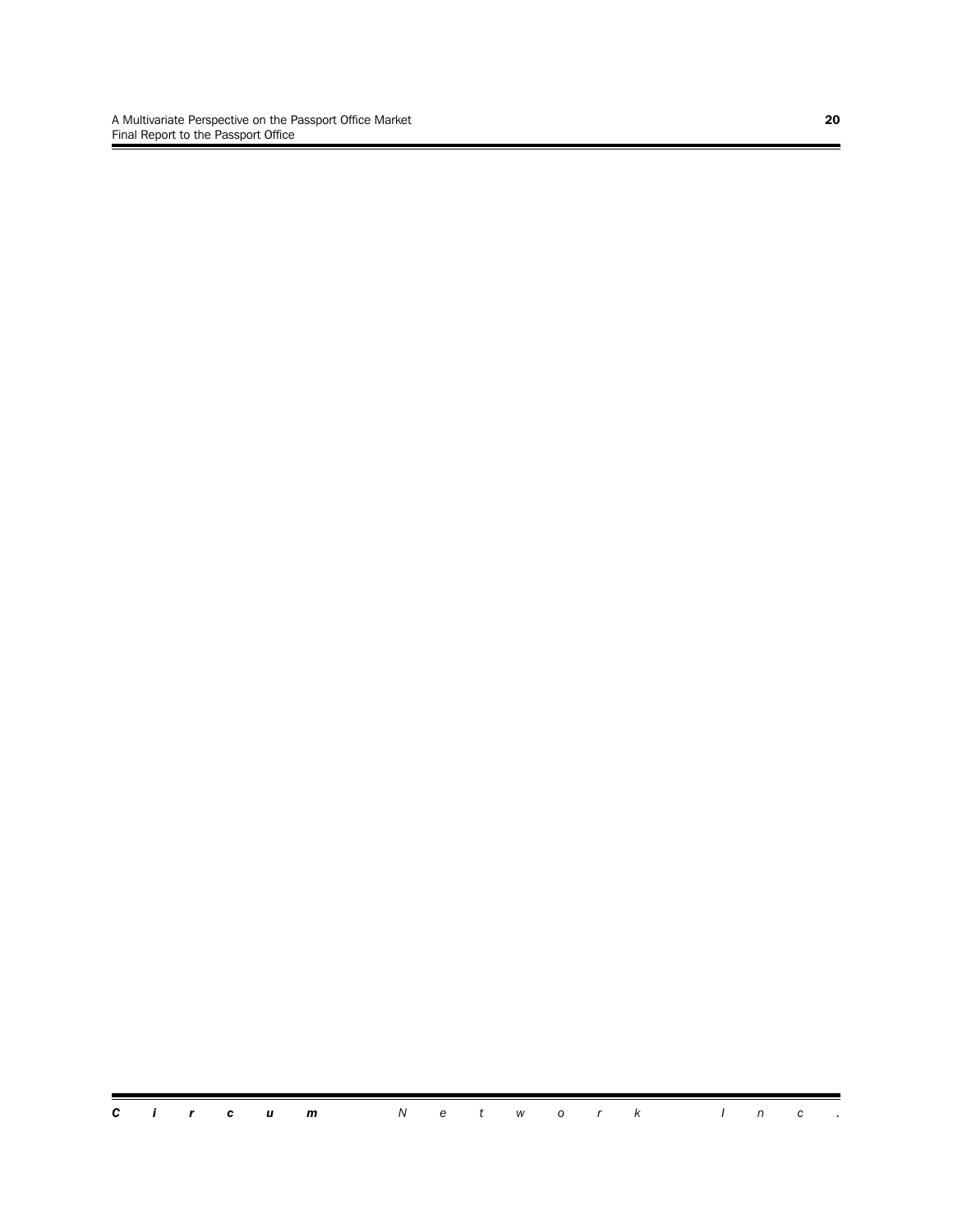**Service Contract Contract**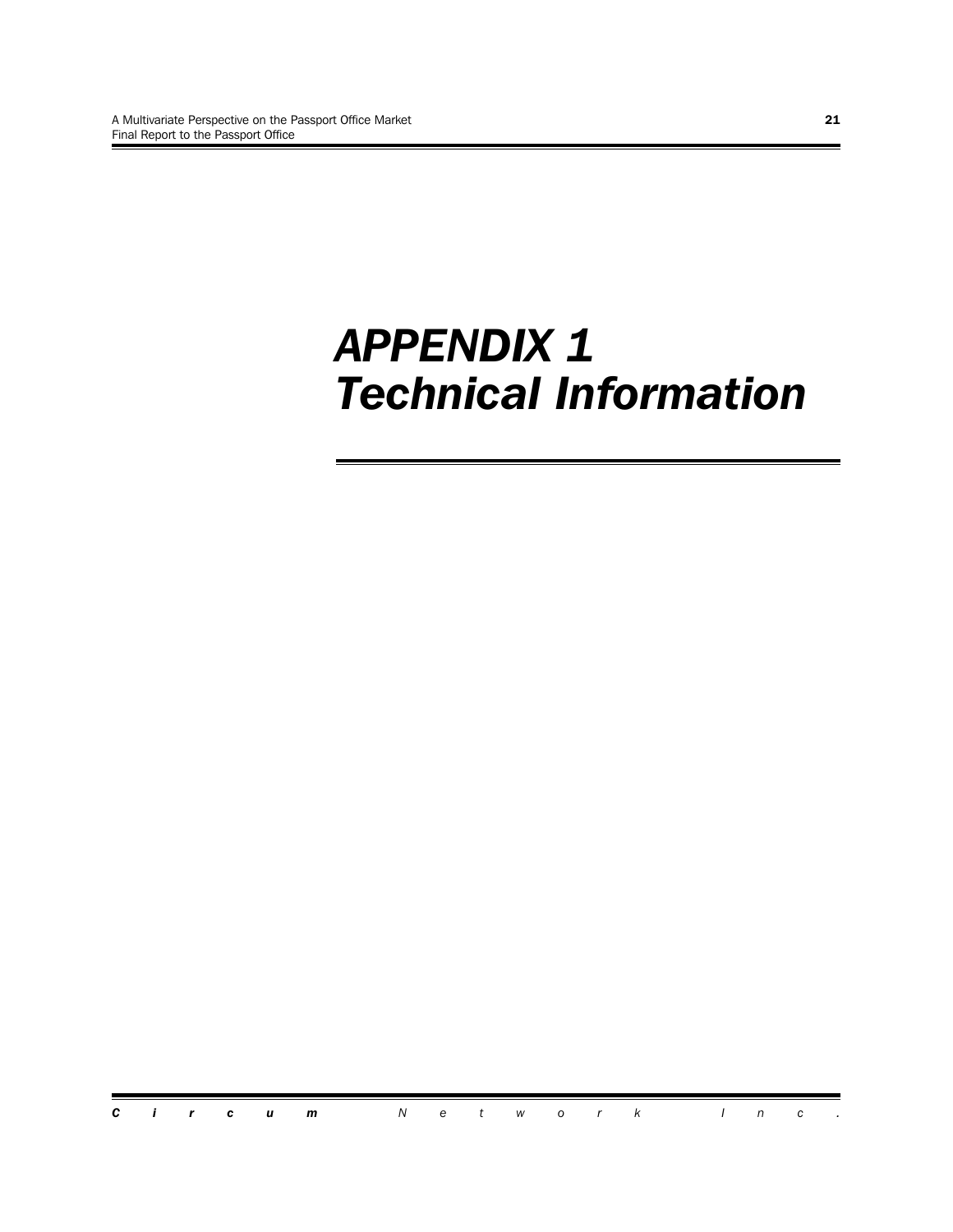### *APPENDIX 1 Technical Information*

*Circum Network Inc .*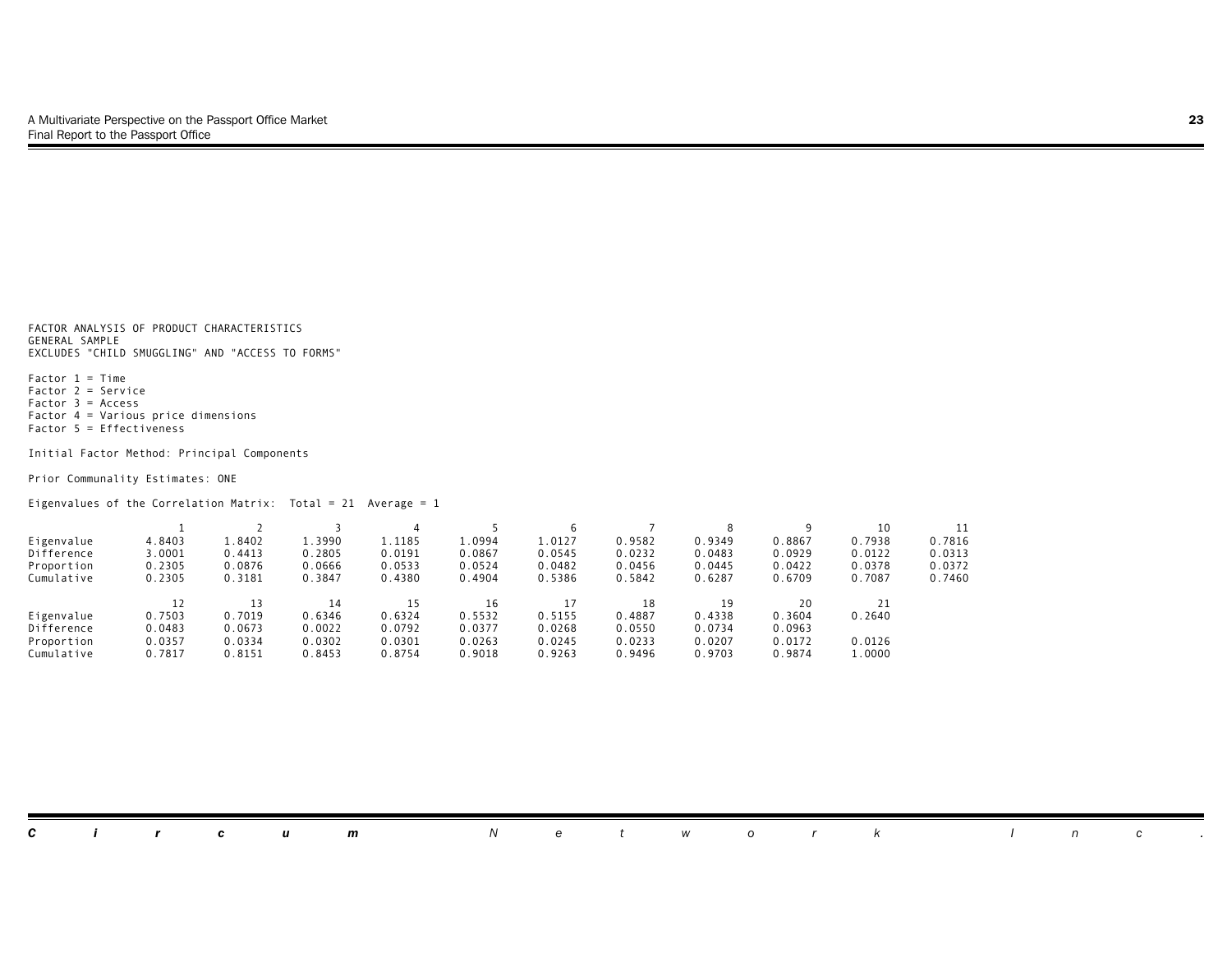FACTOR ANALYSIS OF PRODUCT CHARACTERISTICS GENERAL SAMPLE EXCLUDES "CHILD SMUGGLING" AND "ACCESS TO FORMS"

Factor  $1 =$  Time Factor 2 = Service Factor 3 = Access Factor 4 = Various price dimensions Factor 5 = Effectiveness

Initial Factor Method: Principal Components

Prior Communality Estimates: ONE

Eigenvalues of the Correlation Matrix: Total = 21 Average = 1

|            |        |        |        |        |        |        |        | 8      |        | 10     |        |
|------------|--------|--------|--------|--------|--------|--------|--------|--------|--------|--------|--------|
| Eigenvalue | 4.8403 | 1.8402 | 1.3990 | 1.1185 | l.0994 | 1.0127 | 0.9582 | 0.9349 | 0.8867 | 0.7938 | 0.7816 |
| Difference | 3.0001 | 0.4413 | 0.2805 | 0.0191 | 0.0867 | 0.0545 | 0.0232 | 0.0483 | 0.0929 | 0.0122 | 0.0313 |
| Proportion | 0.2305 | 0.0876 | 0.0666 | 0.0533 | 0.0524 | 0.0482 | 0.0456 | 0.0445 | 0.0422 | 0.0378 | 0.0372 |
| Cumulative | 0.2305 | 0.3181 | 0.3847 | 0.4380 | 0.4904 | 0.5386 | 0.5842 | 0.6287 | 0.6709 | 0.7087 | 0.7460 |
|            | 12     | 13     | 14     | 15     | 16     |        | 18     | 19     | 20     |        |        |
| Eigenvalue | 0.7503 | 0.7019 | 0.6346 | 0.6324 | 0.5532 | 0.5155 | 0.4887 | 0.4338 | 0.3604 | 0.2640 |        |
| Difference | 0.0483 | 0.0673 | 0.0022 | 0.0792 | 0.0377 | 0.0268 | 0.0550 | 0.0734 | 0.0963 |        |        |
| Proportion | 0.0357 | 0.0334 | 0.0302 | 0.0301 | 0.0263 | 0.0245 | 0.0233 | 0.0207 | 0.0172 | 0.0126 |        |
| Cumulative | 0.7817 | 0.8151 | 0.8453 | 0.8754 | 0.9018 | 0.9263 | 0.9496 | 0.9703 | 0.9874 | 1.0000 |        |

|  |  | <b>Circum</b> Network |  |  |  |  |  |  |
|--|--|-----------------------|--|--|--|--|--|--|
|  |  |                       |  |  |  |  |  |  |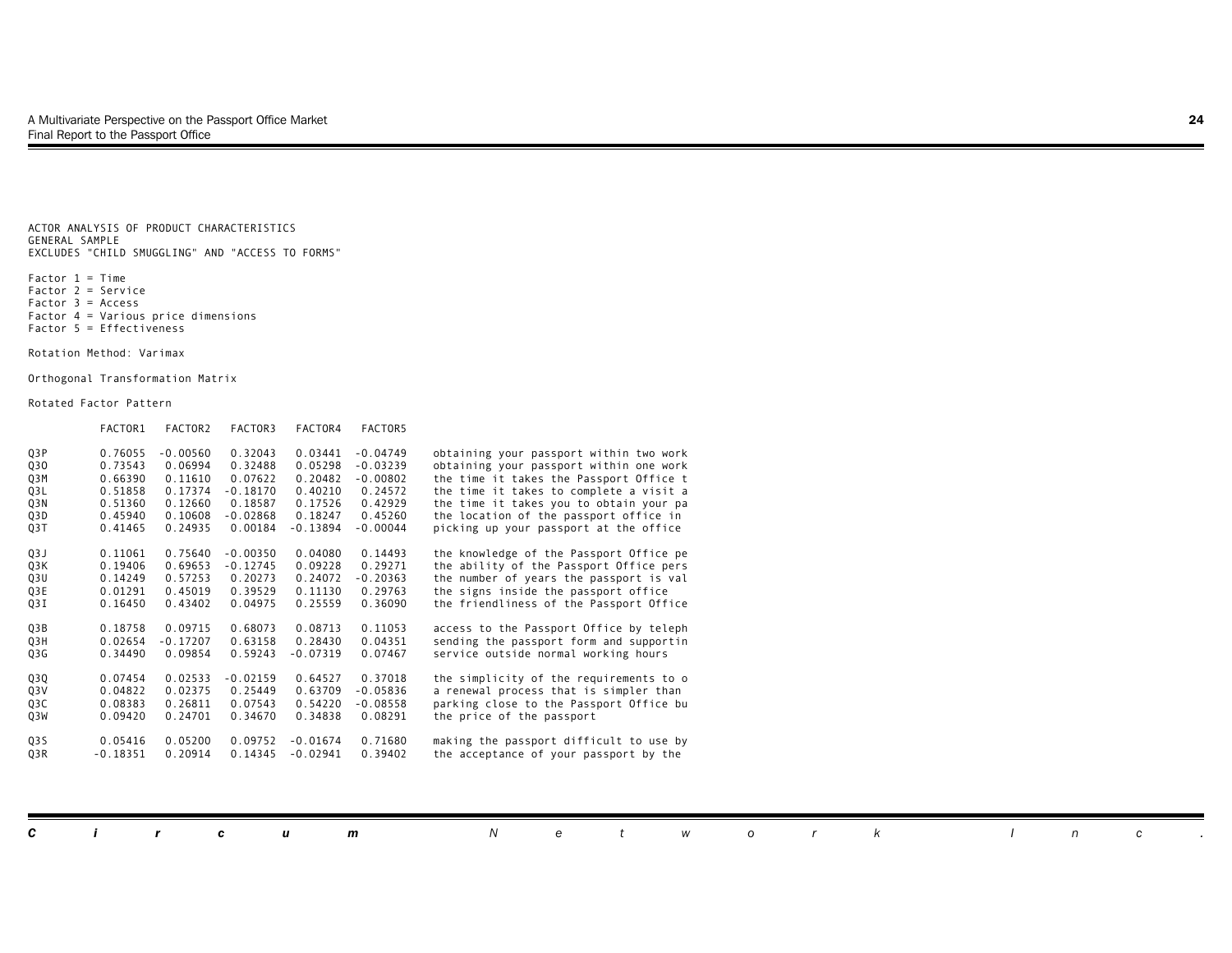ACTOR ANALYSIS OF PRODUCT CHARACTERISTICS GENERAL SAMPLE EXCLUDES "CHILD SMUGGLING" AND "ACCESS TO FORMS"

Factor  $1 =$  Time Factor 2 = Service Factor 3 = Access Factor 4 = Various price dimensions Factor 5 = Effectiveness

Rotation Method: Varimax

Orthogonal Transformation Matrix

#### Rotated Factor Pattern

|      | FACTOR1    | FACTOR2    | FACTOR3    | FACTOR4    | FACTOR5    |                                         |
|------|------------|------------|------------|------------|------------|-----------------------------------------|
| Q3P  | 0.76055    | $-0.00560$ | 0.32043    | 0.03441    | $-0.04749$ | obtaining your passport within two work |
| Q30  | 0.73543    | 0.06994    | 0.32488    | 0.05298    | $-0.03239$ | obtaining your passport within one work |
| Q3M  | 0.66390    | 0.11610    | 0.07622    | 0.20482    | $-0.00802$ | the time it takes the Passport Office t |
| Q3L  | 0.51858    | 0.17374    | $-0.18170$ | 0.40210    | 0.24572    | the time it takes to complete a visit a |
| Q3N  | 0.51360    | 0.12660    | 0.18587    | 0.17526    | 0.42929    | the time it takes you to obtain your pa |
| Q3D  | 0.45940    | 0.10608    | $-0.02868$ | 0.18247    | 0.45260    | the location of the passport office in  |
| Q3T  | 0.41465    | 0.24935    | 0.00184    | $-0.13894$ | $-0.00044$ | picking up your passport at the office  |
| Q3J  | 0.11061    | 0.75640    | $-0.00350$ | 0.04080    | 0.14493    | the knowledge of the Passport Office pe |
| Q3K  | 0.19406    | 0.69653    | $-0.12745$ | 0.09228    | 0.29271    | the ability of the Passport Office pers |
| Q3U  | 0.14249    | 0.57253    | 0.20273    | 0.24072    | $-0.20363$ | the number of years the passport is val |
| Q3E  | 0.01291    | 0.45019    | 0.39529    | 0.11130    | 0.29763    | the signs inside the passport office    |
| Q3 I | 0.16450    | 0.43402    | 0.04975    | 0.25559    | 0.36090    | the friendliness of the Passport Office |
| Q3B  | 0.18758    | 0.09715    | 0.68073    | 0.08713    | 0.11053    | access to the Passport Office by teleph |
| Q3H  | 0.02654    | $-0.17207$ | 0.63158    | 0.28430    | 0.04351    | sending the passport form and supportin |
| Q3G  | 0.34490    | 0.09854    | 0.59243    | $-0.07319$ | 0.07467    | service outside normal working hours    |
| Q3Q  | 0.07454    | 0.02533    | $-0.02159$ | 0.64527    | 0.37018    | the simplicity of the requirements to o |
| Q3V  | 0.04822    | 0.02375    | 0.25449    | 0.63709    | $-0.05836$ | a renewal process that is simpler than  |
| Q3C  | 0.08383    | 0.26811    | 0.07543    | 0.54220    | $-0.08558$ | parking close to the Passport Office bu |
| Q3W  | 0.09420    | 0.24701    | 0.34670    | 0.34838    | 0.08291    | the price of the passport               |
| Q35  | 0.05416    | 0.05200    | 0.09752    | $-0.01674$ | 0.71680    | making the passport difficult to use by |
| Q3R  | $-0.18351$ | 0.20914    | 0.14345    | $-0.02941$ | 0.39402    | the acceptance of your passport by the  |

|  |  | <b>Circum</b> Network Inc. |  |  |  |  |  |  |
|--|--|----------------------------|--|--|--|--|--|--|
|  |  |                            |  |  |  |  |  |  |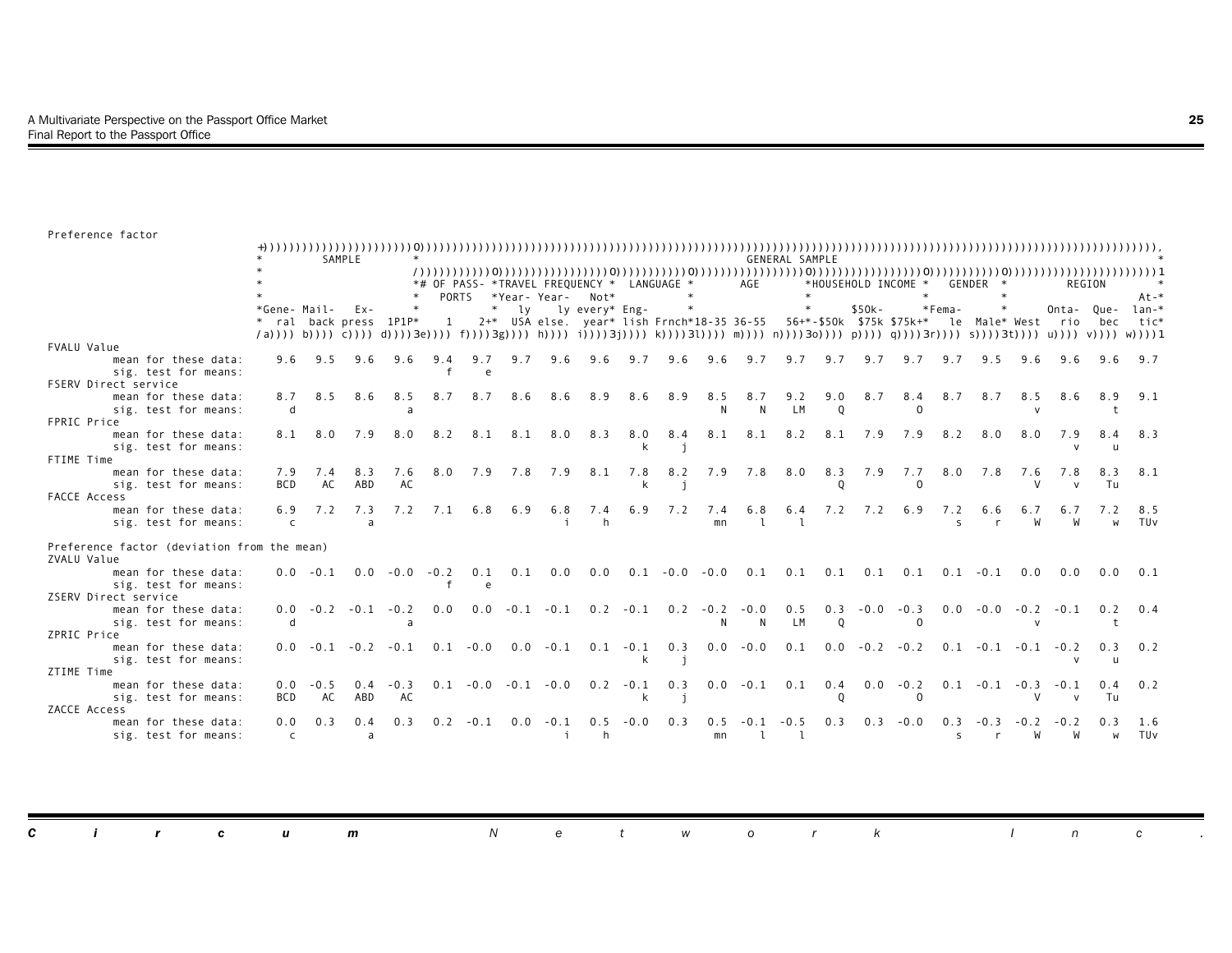| Preference factor                                            |                     |                   |            |                                                                                                                                                                                |     |                                            |           |              |                        |                 |                   |          |                      |                |                |          |                                                                                           |               |        |     |                         |                     |                 |
|--------------------------------------------------------------|---------------------|-------------------|------------|--------------------------------------------------------------------------------------------------------------------------------------------------------------------------------|-----|--------------------------------------------|-----------|--------------|------------------------|-----------------|-------------------|----------|----------------------|----------------|----------------|----------|-------------------------------------------------------------------------------------------|---------------|--------|-----|-------------------------|---------------------|-----------------|
|                                                              |                     |                   | SAMPLE     |                                                                                                                                                                                |     |                                            |           |              |                        |                 |                   |          |                      | GENERAL SAMPLE |                |          |                                                                                           |               |        |     |                         |                     |                 |
|                                                              |                     |                   |            |                                                                                                                                                                                |     | *# OF PASS- *TRAVEL FREOUENCY * LANGUAGE * |           |              |                        |                 |                   |          | AGE                  |                |                |          | *HOUSEHOLD INCOME *                                                                       |               | GENDER |     |                         | REGION              |                 |
|                                                              | *Gene- Mail- Ex-    |                   |            | $\ast$                                                                                                                                                                         |     | PORTS                                      | $*$<br>lv | *Year- Year- | Not*<br>ly every* Eng- |                 | $\ast$            |          |                      |                | $\ast$         | $$50k -$ |                                                                                           | *Fema-        |        |     |                         | Onta- Oue-          | $At -$<br>lan-* |
|                                                              |                     |                   |            | * ral back press 1P1P*<br>/a)))) b)))) c)))) c))))3e))))3e)))) f)))3g)))) h)))) i))))3j)))) k)))3l)))) m)))) m)))30))) p))) q))))3r))) q)))3r))) s)))3t)))) v)))) v)))) w)))]1 | 1   |                                            |           |              |                        |                 |                   |          |                      |                |                |          | 2+* USA else. year* lish Frnch*18-35 36-55 56+*-\$50k \$75k \$75k+* le Male* West rio bec |               |        |     |                         |                     | tic*            |
| FVALU Value                                                  |                     |                   |            |                                                                                                                                                                                |     |                                            |           |              |                        |                 |                   |          |                      |                |                |          |                                                                                           |               |        |     |                         |                     |                 |
| mean for these data:<br>sig. test for means:                 | 9.6                 |                   | 9.6        | 9.6                                                                                                                                                                            |     | $\epsilon$                                 |           |              |                        |                 | 9.6               |          |                      | 9.7            |                | 9.7      | 9.7                                                                                       | 9.7           |        |     |                         |                     | 9.7             |
| FSERV Direct service                                         |                     |                   |            |                                                                                                                                                                                |     |                                            |           |              |                        |                 |                   |          |                      |                |                |          |                                                                                           |               |        |     |                         |                     |                 |
| mean for these data:<br>sig. test for means:                 | 8.7<br>d            | 8.5               | 8.6        | 8.5                                                                                                                                                                            | 8.7 | 8.7                                        | 8.6       | 8.6          | 8.9                    | 8.6             | 8.9               | 8.5<br>N | 8.7<br>N             | L M            | 9.0            | 8.7      | 8.4<br>$\Omega$                                                                           | 8.7           | 8.7    | 8.5 | 8.6                     | 8.9                 | 9.1             |
| FPRIC Price                                                  |                     |                   |            |                                                                                                                                                                                |     |                                            |           |              |                        |                 |                   |          |                      |                |                |          |                                                                                           |               |        |     |                         |                     |                 |
| mean for these data:<br>sig. test for means:                 | 8.1                 | 8.0               | 7.9        | 8.0                                                                                                                                                                            | 8.2 | 8.1                                        | 8.1       | 8.0          | 8.3                    | 8.0             | 8.4               |          | 8.1 8.1              | 8.2            | 8.1            | 7.9      | 7.9                                                                                       | 8.2           | 8.0    | 8.0 | 7.9                     | 8.4                 | 8.3             |
| FTIME Time                                                   |                     |                   |            |                                                                                                                                                                                |     |                                            |           |              |                        |                 |                   |          |                      |                |                |          |                                                                                           |               |        |     |                         |                     |                 |
| mean for these data:<br>sig. test for means:                 | 7.9<br><b>BCD</b>   | 7.4<br>AC         | 8.3<br>ABD | 7.6<br>AC                                                                                                                                                                      | 8.0 | 7.9                                        |           | 7.8 7.9      | 8.1                    | 7.8             | 8.2               | 7.9      | 7.8                  |                | $8.0\quad 8.3$ |          | 7.9 7.7<br>∩                                                                              | 8.0           | 7.8    | 7.6 | 7.8                     | 8.3<br>Tu           | 8.1             |
| <b>FACCE Access</b>                                          |                     |                   |            |                                                                                                                                                                                |     |                                            |           |              |                        |                 |                   |          |                      |                |                |          |                                                                                           |               |        |     |                         |                     |                 |
| mean for these data:<br>sig. test for means:                 | 6.9<br>$\mathsf{C}$ | 7.2               | 7.3<br>a   | 7.2 7.1                                                                                                                                                                        |     | 6.8                                        |           | $6.9$ $6.8$  | 7.4                    |                 | 6.9 7.2 7.4       | mn       |                      | $6.8$ $6.4$    |                | 7.2 7.2  | 6.9                                                                                       | 7.2<br>$\leq$ | 6.6    | 6.7 |                         |                     | 8.5<br>TUv      |
| Preference factor (deviation from the mean)<br>ZVALU Value   |                     |                   |            |                                                                                                                                                                                |     |                                            |           |              |                        |                 |                   |          |                      |                |                |          |                                                                                           |               |        |     |                         |                     |                 |
| mean for these data:<br>sig. test for means:                 |                     | $0.0 - 0.1$       |            | $0.0 - 0.0 - 0.2$                                                                                                                                                              |     | 0.1                                        | 0.1       | 0.0          | 0.0                    |                 | $0.1 - 0.0 - 0.0$ |          | 0.1                  | 0.1            | 0.1            | 0.1      | 0.1                                                                                       | 0.1           | $-0.1$ | 0.0 |                         |                     | 0.1             |
| ZSERV Direct service                                         |                     |                   |            |                                                                                                                                                                                |     |                                            |           |              |                        |                 |                   |          |                      |                |                |          |                                                                                           |               |        |     |                         |                     |                 |
| mean for these data:<br>sig. test for means:                 | <sub>d</sub>        |                   |            | $0.0 - 0.2 - 0.1 - 0.2$                                                                                                                                                        | 0.0 | 0.0                                        |           | $-0.1 - 0.1$ |                        | $0.2 - 0.1$     |                   | N.       | $0.2 -0.2 -0.0$<br>N | 0.5<br>LM.     |                |          | $0.3 - 0.0 - 0.3$                                                                         |               |        |     | $0.0 - 0.0 - 0.2 - 0.1$ | 0.2                 | 0.4             |
| ZPRIC Price                                                  |                     |                   |            |                                                                                                                                                                                |     |                                            |           |              |                        |                 |                   |          |                      |                |                |          |                                                                                           |               |        |     |                         |                     |                 |
| mean for these data:<br>sig. test for means:                 |                     |                   |            | $0.0 -0.1 -0.2 -0.1$                                                                                                                                                           |     | $0.1 - 0.0$                                |           | $0.0 - 0.1$  |                        | $0.1 - 0.1 0.3$ |                   |          | $0.0 - 0.0$          | 0.1            |                |          | $0.0 - 0.2 - 0.2$                                                                         |               |        |     | $0.1 - 0.1 - 0.1 - 0.2$ | 0.3<br>$\mathbf{u}$ | 0.2             |
| ZTIME Time                                                   |                     |                   |            |                                                                                                                                                                                |     |                                            |           |              |                        |                 |                   |          |                      |                |                |          |                                                                                           |               |        |     |                         |                     |                 |
| mean for these data:<br>sig. test for means:<br>ZACCE Access | <b>BCD</b>          | $0.0 - 0.5$<br>AC | 0.4<br>ABD | $-0.3$<br><b>AC</b>                                                                                                                                                            |     | $0.1 - 0.0 - 0.1 - 0.0$ 0.2 $-0.1$ 0.3     |           |              |                        |                 |                   |          |                      |                |                |          | $0.0 -0.1$ $0.1$ $0.4$ $0.0 -0.2$                                                         |               |        |     | $0.1 - 0.1 - 0.3 - 0.1$ | 0.4<br>Tu           | 0.2             |
| mean for these data:                                         | 0.0                 | 0.3               | 0.4        | 0.3                                                                                                                                                                            | 0.2 | $-0.1$                                     |           | $0.0 - 0.1$  | 0.5                    | $-0.0$          | 0.3               | 0.5      |                      | $-0.5$         | 0.3            | 0.3      | $-0.0$                                                                                    | 0.3           | $-0.3$ |     |                         |                     | 1.6             |
| sig. test for means:                                         | $\mathsf{C}$        |                   | a          |                                                                                                                                                                                |     |                                            |           |              |                        |                 |                   | mn       |                      |                |                |          |                                                                                           | $\mathsf{S}$  |        |     |                         | W                   | TUv             |

|  |  | <b>Circum</b> Nettwork Inc. |  |  |  |  |  |  |
|--|--|-----------------------------|--|--|--|--|--|--|
|  |  |                             |  |  |  |  |  |  |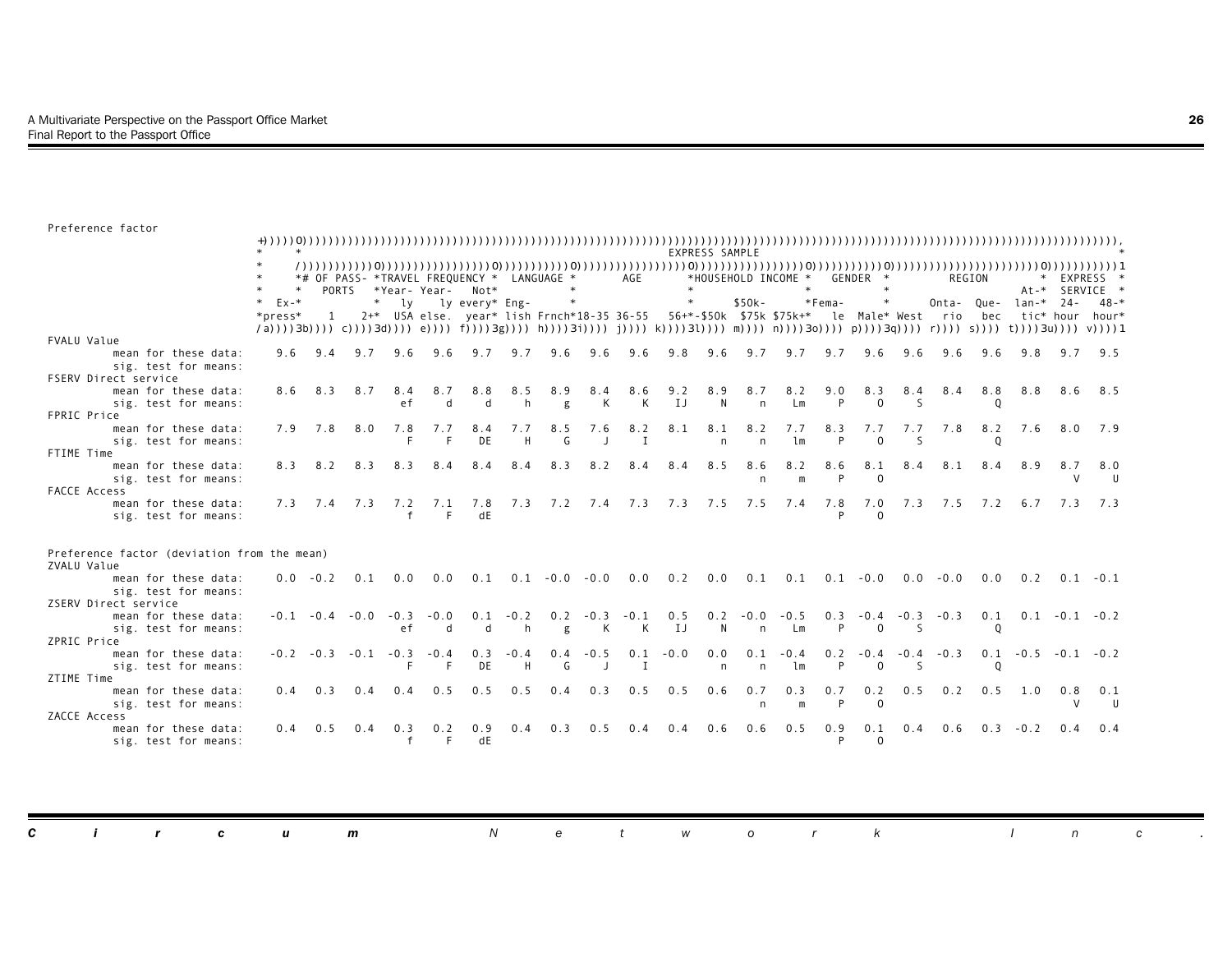|                                                            | $\star$              |             |                                                                                                                                           |              |                |     |        |                                 |              |              | EXPRESS SAMPLE |     |                     |                |          |                                                      |                 |     |             |                                               |              |                             |
|------------------------------------------------------------|----------------------|-------------|-------------------------------------------------------------------------------------------------------------------------------------------|--------------|----------------|-----|--------|---------------------------------|--------------|--------------|----------------|-----|---------------------|----------------|----------|------------------------------------------------------|-----------------|-----|-------------|-----------------------------------------------|--------------|-----------------------------|
|                                                            | $*$<br>$\ast$<br>$*$ | $*$         | *# OF PASS- *TRAVEL FREOUENCY * LANGUAGE *<br>PORTS *Year-Year- Not*                                                                      |              |                |     |        | $\ast$                          |              | AGE          | $*$            |     | *HOUSEHOLD INCOME * |                | $*$      | GENDER *<br>$*$                                      |                 |     | REGION      |                                               |              | EXPRESS *<br>At-* SERVICE * |
|                                                            | $* EX - *$           |             |                                                                                                                                           | $*$ ly       | ly every* Eng- |     |        | $\ast$                          |              |              | $\ast$         |     | $$50k -$            |                | *Fema-   |                                                      |                 |     |             | Onta- Oue- $1an-* 24-$                        |              | - 48 - *                    |
|                                                            | *press*              |             | 1 2+* USA else. year* lish Frnch*18-35 36-55 56+*-\$50k \$75k \$75k+* le Male* West rio bec                                               |              |                |     |        |                                 |              |              |                |     |                     |                |          |                                                      |                 |     |             | tic* hour hour*                               |              |                             |
|                                                            |                      |             | /a))))3b)))) c)))3d)))) e))) f))))3g))) h)))33i)))) i))) k)))31))) m)))31))) m)))30))) p)))330))) p)))3q)))) r)))) s)))) t)))3u)))) v)))1 |              |                |     |        |                                 |              |              |                |     |                     |                |          |                                                      |                 |     |             |                                               |              |                             |
| FVALU Value                                                |                      |             |                                                                                                                                           |              |                |     |        |                                 |              |              |                |     |                     |                |          |                                                      |                 |     |             |                                               |              |                             |
| mean for these data:                                       | 9.6                  | 9.4         | 9.7                                                                                                                                       | 9.6          | 9.6            | 9.7 | 9.7    | 9.6                             | 9.6          | 9.6          | 9.8            |     | 9.6 9.7             | 9.7            | 9.7      | 9.6                                                  | 9.6             | 9.6 | 9.6         | 9.8                                           | 9.7          | 9.5                         |
| sig. test for means:                                       |                      |             |                                                                                                                                           |              |                |     |        |                                 |              |              |                |     |                     |                |          |                                                      |                 |     |             |                                               |              |                             |
| FSERV Direct service                                       | 8.6                  | 8.3         | 8.7                                                                                                                                       | 8.4          | 8.7            | 8.8 | 8.5    | 8.9                             | 8.4          |              |                | 8.9 | 8.7                 | 8.2            | 9.0      | 8.3                                                  | 8.4             | 8.4 | 8.8         |                                               | 8.8 8.6      | 8.5                         |
| mean for these data:<br>sig. test for means:               |                      |             |                                                                                                                                           | e f          | d              | d   | h      | g                               | К            | 8.6<br>K     | 9.2<br>IJ      |     | n                   | Lm             |          | $\Omega$                                             |                 |     | 0           |                                               |              |                             |
| FPRIC Price                                                |                      |             |                                                                                                                                           |              |                |     |        |                                 |              |              |                |     |                     |                |          |                                                      |                 |     |             |                                               |              |                             |
| mean for these data:                                       |                      |             | 7.9 7.8 8.0                                                                                                                               | 7.8          | 7.7            | 8.4 | 7.7    | 8.5                             | 7.6          | 8.2          | 8.1            | 8.1 | 8.2                 | 7.7            | 8.3      | 7.7                                                  | 7.7             | 7.8 |             | 8.2 7.6 8.0 7.9                               |              |                             |
| sig. test for means:                                       |                      |             |                                                                                                                                           |              |                | DE  |        | G                               |              | $\mathsf{T}$ |                | n   | n                   | lm             | P        | $\Omega$                                             |                 |     |             |                                               |              |                             |
| FTIME Time                                                 |                      |             |                                                                                                                                           |              |                |     |        |                                 |              |              |                |     |                     |                |          |                                                      |                 |     |             |                                               |              |                             |
| mean for these data:                                       | 8.3                  | 8.2         | 8.3                                                                                                                                       | 8.3          | 8.4            | 8.4 | 8.4    | 8.3                             | 8.2          | 8.4          | 8.4            | 8.5 | 8.6                 | 8.2            | 8.6      | 8.1                                                  | 8.4             |     | 8.1 8.4     |                                               | 8.9 8.7      | 8.0                         |
| sig. test for means:                                       |                      |             |                                                                                                                                           |              |                |     |        |                                 |              |              |                |     | n.                  | m              |          | $\Omega$                                             |                 |     |             |                                               | $\vee$       | $\mathbf{U}$                |
| <b>FACCE Access</b>                                        |                      |             |                                                                                                                                           |              |                |     |        |                                 |              |              |                |     |                     |                |          |                                                      |                 |     |             |                                               |              |                             |
| mean for these data:<br>sig. test for means:               |                      |             | 7.3 7.4 7.3 7.2 7.1 7.8 7.3 7.2 7.4 7.3 7.3 7.5 7.5 7.4 7.8 7.0 7.3 7.5 7.2 6.7 7.3 7.3                                                   |              |                | dE  |        |                                 |              |              |                |     |                     |                |          |                                                      |                 |     |             |                                               |              |                             |
|                                                            |                      |             |                                                                                                                                           |              |                |     |        |                                 |              |              |                |     |                     |                |          |                                                      |                 |     |             |                                               |              |                             |
| Preference factor (deviation from the mean)<br>ZVALU Value |                      |             |                                                                                                                                           |              |                |     |        |                                 |              |              |                |     |                     |                |          |                                                      |                 |     |             |                                               |              |                             |
| mean for these data:<br>sig. test for means:               |                      | $0.0 - 0.2$ | 0.1                                                                                                                                       | 0.0          | 0.0            |     |        | $0.1$ $0.1$ $-0.0$ $-0.0$ $0.0$ |              |              |                |     |                     |                |          | $0.2$ 0.0 0.1 0.1 0.1 -0.0 0.0 -0.0 0.0 0.2 0.1 -0.1 |                 |     |             |                                               |              |                             |
| ZSERV Direct service                                       |                      |             |                                                                                                                                           |              |                |     |        |                                 |              |              |                |     |                     |                |          |                                                      |                 |     |             |                                               |              |                             |
| mean for these data:                                       |                      |             | $-0.1$ $-0.4$ $-0.0$ $-0.3$ $-0.0$                                                                                                        |              |                | 0.1 | $-0.2$ | 0.2                             | $-0.3$       | $-0.1$       | 0.5            | 0.2 | $-0.0$              | $-0.5$         | 0.3      | $-0.4$ $-0.3$ $-0.3$                                 |                 |     |             | $0.1$ $0.1$ $-0.1$ $-0.2$                     |              |                             |
| sig. test for means:                                       |                      |             |                                                                                                                                           | e f          | d              | d   | h      | g                               | К            | K            | IJ             | N   | n                   | L <sub>m</sub> | P        | $\Omega$                                             | <sub>S</sub>    |     | $\mathbf 0$ |                                               |              |                             |
| ZPRIC Price                                                |                      |             |                                                                                                                                           |              |                |     |        |                                 |              |              |                |     |                     |                |          |                                                      |                 |     |             |                                               |              |                             |
| mean for these data:                                       |                      |             | $-0.2$ $-0.3$ $-0.1$ $-0.3$                                                                                                               |              | -0.4           | 0.3 | $-0.4$ | 0.4                             | $-0.5$       |              | $0.1 - 0.0$    | 0.0 |                     | $0.1 - 0.4$    | 0.2<br>P |                                                      |                 |     |             | $-0.4$ $-0.4$ $-0.3$ 0.1 $-0.5$ $-0.1$ $-0.2$ |              |                             |
| sig. test for means:<br>ZTIME Time                         |                      |             |                                                                                                                                           |              |                | DE  | H      | G                               | $\mathbf{I}$ | I            |                | n   | n                   | 1 m            |          | $\Omega$                                             |                 |     |             |                                               |              |                             |
| mean for these data:                                       | 0.4                  | 0.3         | 0.4                                                                                                                                       | 0.4          | 0.5            | 0.5 | 0.5    | 0.4                             | 0.3          | 0.5          | 0.5            | 0.6 | 0.7                 | 0.3            | 0.7      |                                                      | $0.2 \t 0.5$    |     |             | $0.2$ 0.5 1.0 0.8                             |              | 0.1                         |
| sig. test for means:                                       |                      |             |                                                                                                                                           |              |                |     |        |                                 |              |              |                |     | n                   | m              | P        | $\Omega$                                             |                 |     |             |                                               | $\mathsf{V}$ | U                           |
| ZACCE Access                                               |                      |             |                                                                                                                                           |              |                |     |        |                                 |              |              |                |     |                     |                |          |                                                      |                 |     |             |                                               |              |                             |
| mean for these data:                                       | 0.4                  | 0.5         | 0.4                                                                                                                                       | 0.3          | 0.2            | 0.9 | 0.4    |                                 | $0.3$ 0.5    | 0.4          | 0.4            | 0.6 | 0.6                 | 0.5            | 0.9      |                                                      | $0.1 \quad 0.4$ |     |             | $0.6$ $0.3$ $-0.2$                            | 0.4          | 0.4                         |
| sig. test for means:                                       |                      |             |                                                                                                                                           | $\mathsf{f}$ | F.             | dE  |        |                                 |              |              |                |     |                     |                |          | $\Omega$                                             |                 |     |             |                                               |              |                             |

|  |  | <b>Circum</b> Nettwork Inc. |  |  |  |  |  |  |
|--|--|-----------------------------|--|--|--|--|--|--|
|  |  |                             |  |  |  |  |  |  |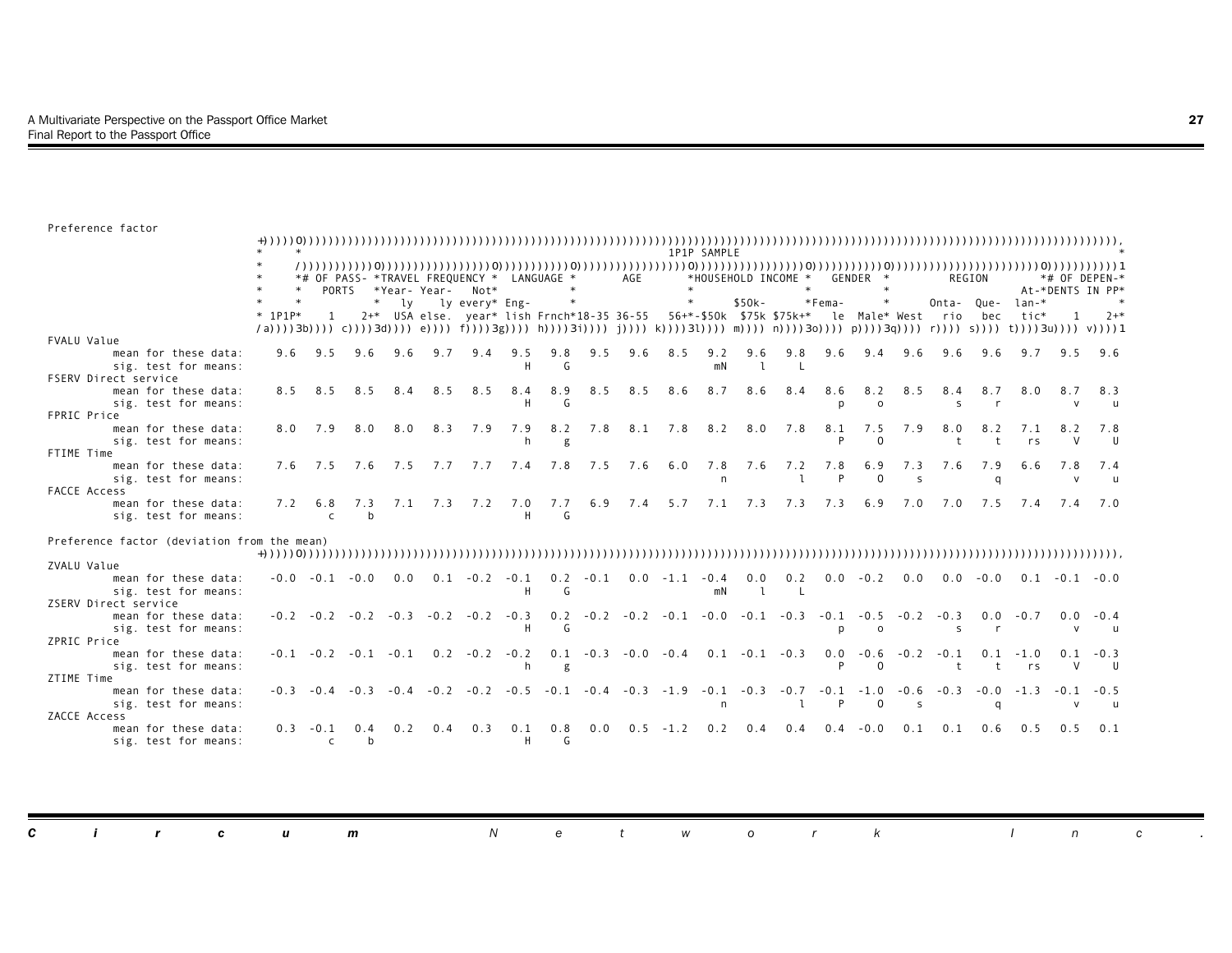| Preference factor                                                    |         |                        |          |              |                                                     |                   |          |            |             |     |                                                                       |             |          |                                                                                                                                            |          |                    |                       |             |          |                    |              |                                         |
|----------------------------------------------------------------------|---------|------------------------|----------|--------------|-----------------------------------------------------|-------------------|----------|------------|-------------|-----|-----------------------------------------------------------------------|-------------|----------|--------------------------------------------------------------------------------------------------------------------------------------------|----------|--------------------|-----------------------|-------------|----------|--------------------|--------------|-----------------------------------------|
|                                                                      |         |                        |          |              |                                                     |                   |          |            |             |     |                                                                       | 1P1P SAMPLE |          |                                                                                                                                            |          |                    |                       |             |          |                    |              |                                         |
|                                                                      | $\ast$  |                        | PORTS    |              | *# OF PASS- *TRAVEL FREOUENCY *<br>*Year-Year- Not* |                   |          | LANGUAGE * |             | AGE | $\star$                                                               |             |          | *HOUSEHOLD INCOME *                                                                                                                        |          | GENDER             |                       |             | REGION   |                    |              | $*$ # OF DEPEN- $*$<br>At-*DENTS IN PP* |
|                                                                      |         |                        |          | $\ast$<br>lv |                                                     | ly every* Eng-    |          | $\ast$     |             |     |                                                                       |             | $$50k -$ |                                                                                                                                            | *Fema-   |                    |                       | Onta- Oue-  |          | $1an-*$            |              |                                         |
|                                                                      | * 1P1P* | 1                      |          |              |                                                     |                   |          |            |             |     |                                                                       |             |          | 2+* USA else. year* lish Frnch*18-35 36-55 56+*-\$50k \$75k \$75k+*                                                                        |          | le Male*West rio   |                       |             | bec      | tic*               |              | $7+$                                    |
| FVALU Value                                                          |         |                        |          |              |                                                     |                   |          |            |             |     |                                                                       |             |          | /a))))35)))) c)))3d)))) e))))3g)))) f))))3g)))) h)))3i)))) j))) k))))3l)))) m)))) m)))30))) p)))3q))) r)))]3q))) r))))3u)))) v)))3u)))) r) |          |                    |                       |             |          |                    |              |                                         |
| mean for these data:<br>sig. test for means:                         | 9.6     | 9.5                    | 9.6      | 9.6          | 9.7                                                 | 9.4               | 9.5<br>H | 9.8<br>G   | 9.5         | 9.6 | 8.5                                                                   | 9.2<br>mN   | 9.6      | 9.8                                                                                                                                        | 9.6      | 9.4                | 9.6                   | 9.6         | 9.6      | 9.7                | 9.5          | 9.6                                     |
| FSERV Direct service                                                 |         |                        |          |              |                                                     |                   |          |            |             |     |                                                                       |             |          |                                                                                                                                            |          |                    |                       |             |          |                    |              |                                         |
| mean for these data:<br>sig. test for means:                         | 8.5     | 8.5                    | 8.5      | 8.4          | 8.5                                                 | 8.5               | 8.4      | 8.9        | 8.5         | 8.5 | 8.6                                                                   | 8.7         | 8.6      | 8.4                                                                                                                                        | 8.6      | 8.2<br>$\Omega$    | 8.5                   | 8.4         | 8.7      | 8.0                |              | 8.3<br>u                                |
| FPRIC Price<br>mean for these data:<br>sig. test for means:          |         | 7.9                    | 8.0      | 8.0          | 8.3                                                 | 7.9               | 7.9<br>h |            |             |     | 8.2 7.8 8.1 7.8                                                       |             | 8.2 8.0  | 7.8                                                                                                                                        | 8.1<br>D | 7.5                | 7.9                   | 8.0         | 8.2      | 7.1<br>r s         | 8.2          | 7.8                                     |
| FTIME Time                                                           |         |                        |          |              |                                                     |                   |          |            |             |     |                                                                       |             |          |                                                                                                                                            |          |                    |                       |             |          |                    |              |                                         |
| mean for these data:<br>sig. test for means:                         |         | 7.6 7.5                | 7.6      | 7.5          |                                                     | 7.7 7.7 7.4       |          | 7.8 7.5    |             | 7.6 | 6.0                                                                   | 7.8<br>n    | 7.6      | 7.2                                                                                                                                        | 7.8<br>P | 6.9<br>$\Omega$    | 7.3                   | 7.6         | 7.9<br>a | 6.6                | 7.8          | 7.4<br>$\mathbf{u}$                     |
| <b>FACCE Access</b>                                                  |         |                        |          |              |                                                     |                   |          |            |             |     |                                                                       |             |          |                                                                                                                                            |          |                    |                       |             |          |                    |              |                                         |
| mean for these data:<br>sig. test for means:                         | 7.2     | 6.8<br>$\mathsf{C}$    | 7.3<br>h |              | 7.1 7.3                                             | 7.2 7.0           | H        | 7.7<br>G   |             |     |                                                                       |             |          | 6.9 7.4 5.7 7.1 7.3 7.3 7.3                                                                                                                |          | 6.9                | 7.0                   | 7.0         | 7.5      | 7.4                |              | 7.4 7.0                                 |
| Preference factor (deviation from the mean)                          |         |                        |          |              |                                                     |                   |          |            |             |     |                                                                       |             |          |                                                                                                                                            |          |                    |                       |             |          |                    |              |                                         |
| ZVALU Value                                                          |         |                        |          |              |                                                     |                   |          |            |             |     |                                                                       |             |          |                                                                                                                                            |          |                    |                       |             |          |                    |              |                                         |
| mean for these data:<br>sig. test for means:                         |         | -0.0 -0.1              | $-0.0$   | 0.0          |                                                     | $0.1 - 0.2 - 0.1$ |          |            | $0.2 - 0.1$ |     | $0.0 - 1.1 - 0.4$                                                     | mN          | 0.0      | 0.2                                                                                                                                        | 0.0      | $-0.2$             | 0.0                   | 0.0         | $-0.0$   | 0.1                |              | $-0.1 - 0.0$                            |
| ZSERV Direct service<br>mean for these data:<br>sig. test for means: |         |                        |          |              |                                                     |                   |          |            |             |     |                                                                       |             |          | $-0.2$ $-0.2$ $-0.2$ $-0.3$ $-0.2$ $-0.2$ $-0.3$ $0.2$ $-0.2$ $-0.2$ $-0.1$ $-0.0$ $-0.1$ $-0.3$ $-0.1$ $-0.5$ $-0.2$ $-0.3$               | n        | $\Omega$           |                       | $\varsigma$ |          | $0.0 - 0.7$        |              | $0.0 - 0.4$<br>$\mathbf{u}$             |
| ZPRIC Price                                                          |         |                        |          |              |                                                     |                   |          |            |             |     |                                                                       |             |          |                                                                                                                                            |          |                    |                       |             |          |                    |              |                                         |
| mean for these data:<br>sig. test for means:                         | $-0.1$  | $-0.2$                 |          | $-0.1 - 0.1$ |                                                     | $0.2 -0.2 -0.2$   |          |            |             |     |                                                                       |             |          | $0.1 - 0.3 - 0.0 - 0.4$ 0.1 $-0.1 - 0.3$                                                                                                   |          | $0.0 - 0.6$        | $-0.2$                | $-0.1$      | 0.1      | $-1.0$<br>rs       |              | $-0.3$<br>U                             |
| ZTIME Time<br>mean for these data:<br>sig. test for means:           |         | $-0.3 - 0.4$           |          | $-0.3 - 0.4$ |                                                     |                   |          |            |             |     | $-0.2$ $-0.2$ $-0.5$ $-0.1$ $-0.4$ $-0.3$ $-1.9$ $-0.1$ $-0.3$ $-0.7$ |             |          |                                                                                                                                            | $-0.1$   | $-1.0$<br>$\Omega$ | $-0.6$<br>$\varsigma$ |             |          | $-0.3 - 0.0 - 1.3$ | $-0.1 - 0.5$ | u                                       |
| ZACCE Access                                                         |         |                        |          |              |                                                     |                   |          |            |             |     |                                                                       |             |          |                                                                                                                                            |          |                    |                       |             |          |                    |              |                                         |
| mean for these data:<br>sig. test for means:                         | 0.3     | $-0.1$<br>$\mathsf{C}$ | h        | 0.2          | 0.4                                                 | 0.3               | 0.1<br>н | 0.8        | 0.0         |     | $0.5 - 1.2$                                                           | 0.2         | 0.4      | 0.4                                                                                                                                        | 0.4      | $-0.0$             | 0.1                   | 0.1         | 0.6      | 0.5                | 0.5          | 0.1                                     |

|  |  | <b>Circum</b> Network Inc. |  |  |  |  |  |  |
|--|--|----------------------------|--|--|--|--|--|--|
|  |  |                            |  |  |  |  |  |  |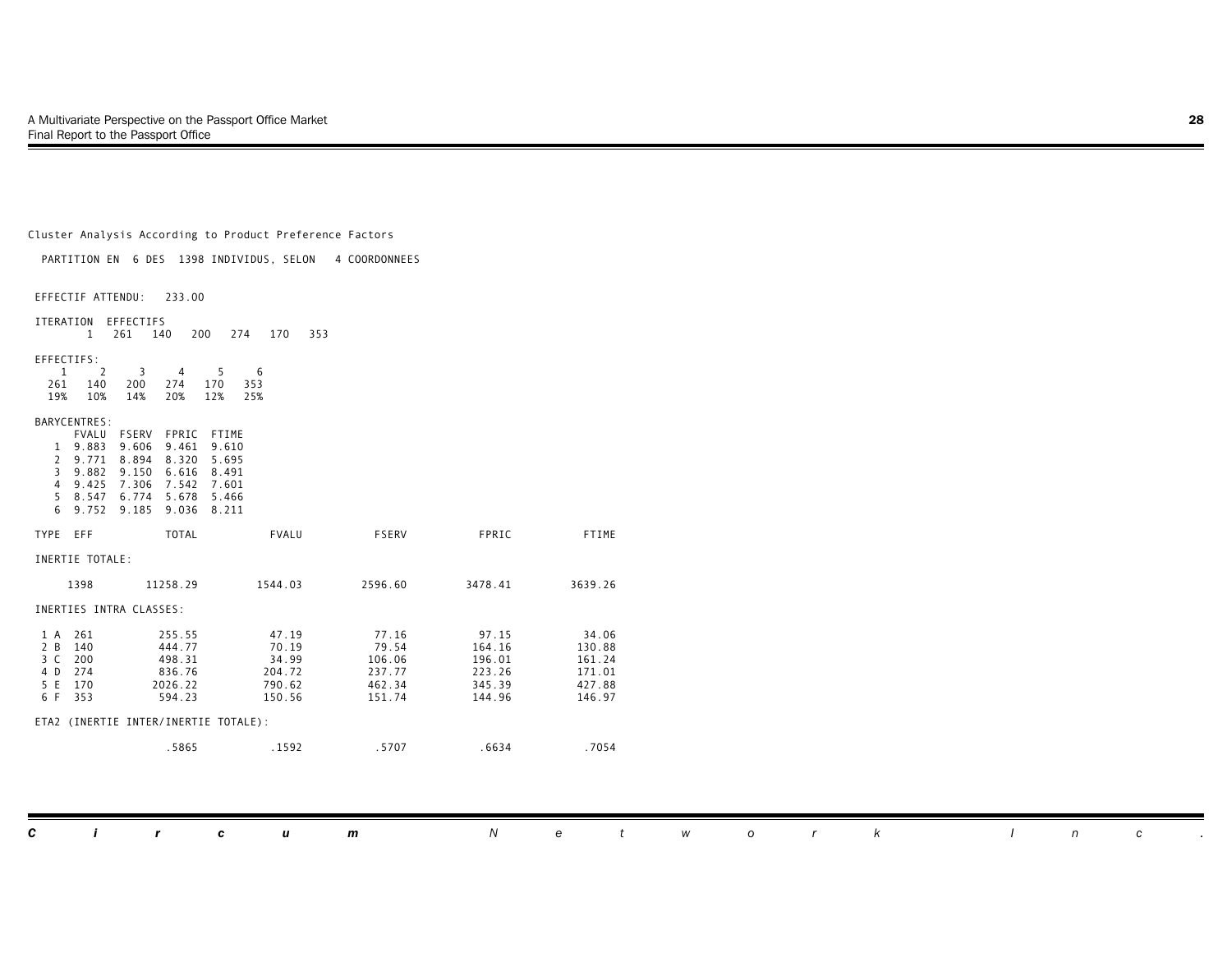Cluster Analysis According to Product Preference Factors PARTITION EN 6 DES 1398 INDIVIDUS, SELON 4 COORDONNEES EFFECTIF ATTENDU: 233.00 ITERATION EFFECTIFS 1 261 140 200 274 170 353 EFFECTIFS: 1 2 3 4 5 6 261 140 200 274 170 353 19% 10% 14% 20% 12% 25% BARYCENTRES: FVALU FSERV FPRIC FTIME 1 9.883 9.606 9.461 9.610 2 9.771 8.894 8.320 5.695 3 9.882 9.150 6.616 8.491 4 9.425 7.306 7.542 7.601 5 8.547 6.774 5.678 5.466 6 9.752 9.185 9.036 8.211 TYPE EFF TOTAL FVALU FSERV FPRIC FTIME INERTIE TOTALE: 1398 11258.29 1544.03 2596.60 3478.41 3639.26 INERTIES INTRA CLASSES: 1 A 261 255.55 47.19 77.16 97.15 34.06 2 B 140 444.77 70.19 79.54 164.16 130.88 3 C 200 498.31 34.99 106.06 196.01 161.24 4 D 274 836.76 204.72 237.77 223.26 171.01 5 E 170 2026.22 790.62 462.34 345.39 427.88 6 F 353 594.23 150.56 151.74 144.96 146.97 ETA2 (INERTIE INTER/INERTIE TOTALE): .5865 .1592 .5707 .6634 .7054

|  |  | <b>Circum</b> Nettwork Inc. |  |  |  |  |  |  |
|--|--|-----------------------------|--|--|--|--|--|--|
|  |  |                             |  |  |  |  |  |  |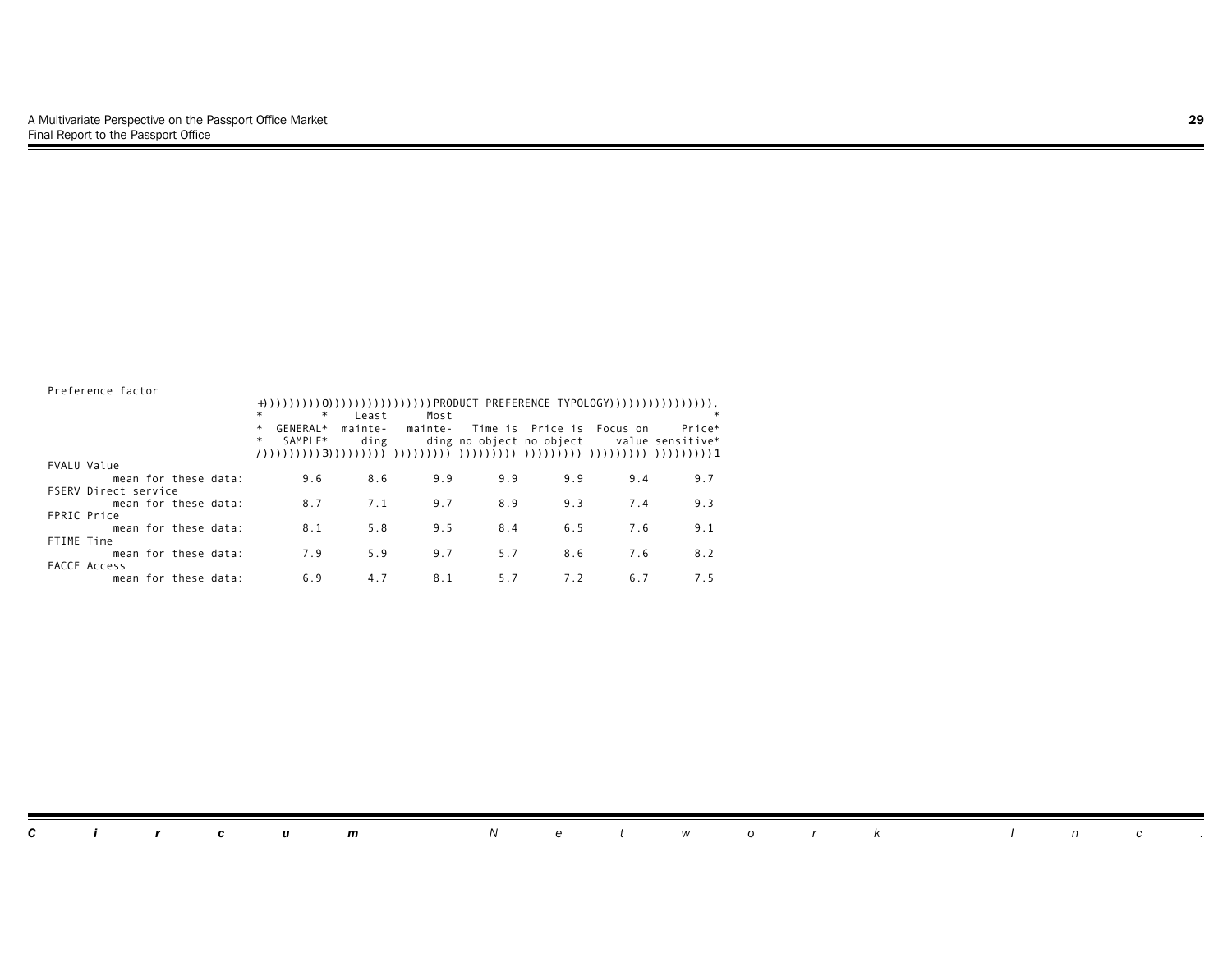### Preference factor

|                      |                                                                             |         |         |     |                           |     | ))))))PRODUCT PREFERENCE TYPOLOGY)))))))))))))))))), |
|----------------------|-----------------------------------------------------------------------------|---------|---------|-----|---------------------------|-----|------------------------------------------------------|
|                      | $\ast$<br>∗                                                                 | Least   | Most    |     |                           |     |                                                      |
|                      | GENERAL*                                                                    | mainte- | mainte- |     | Time is Price is Focus on |     | Price*                                               |
|                      | SAMPLE*<br>$\ast$                                                           | ding    |         |     |                           |     | ding no object no object value sensitive*            |
|                      | 1) במתוכנות ונותנות ותוכנות ותוכנות ותוכנות ותוכנות ותוכנות (1913) (1913) ב |         |         |     |                           |     |                                                      |
| FVALU Value          |                                                                             |         |         |     |                           |     |                                                      |
| mean for these data: | 9.6                                                                         | 8.6     | 9.9     | 9.9 | 9.9                       | 9.4 | 9.7                                                  |
| FSERV Direct service |                                                                             |         |         |     |                           |     |                                                      |
| mean for these data: | 8.7                                                                         | 7.1     | 9.7     | 8.9 | 9.3                       | 7.4 | 9.3                                                  |
| FPRIC Price          |                                                                             |         |         |     |                           |     |                                                      |
| mean for these data: | 8.1                                                                         | 5.8     | 9.5     | 8.4 | 6.5                       | 7.6 | 9.1                                                  |
| FTIME Time           |                                                                             |         |         |     |                           |     |                                                      |
| mean for these data: | 7.9                                                                         | 5.9     | 9.7     | 5.7 | 8.6                       | 7.6 | 8.2                                                  |
| <b>FACCE Access</b>  |                                                                             |         |         |     |                           |     |                                                      |
| mean for these data: | 6.9                                                                         | 4.7     | 8.1     | 5.7 | 7.2                       | 6.7 | 7.5                                                  |

| <b>Circum</b> Network Inc. |  |  |  |
|----------------------------|--|--|--|
|----------------------------|--|--|--|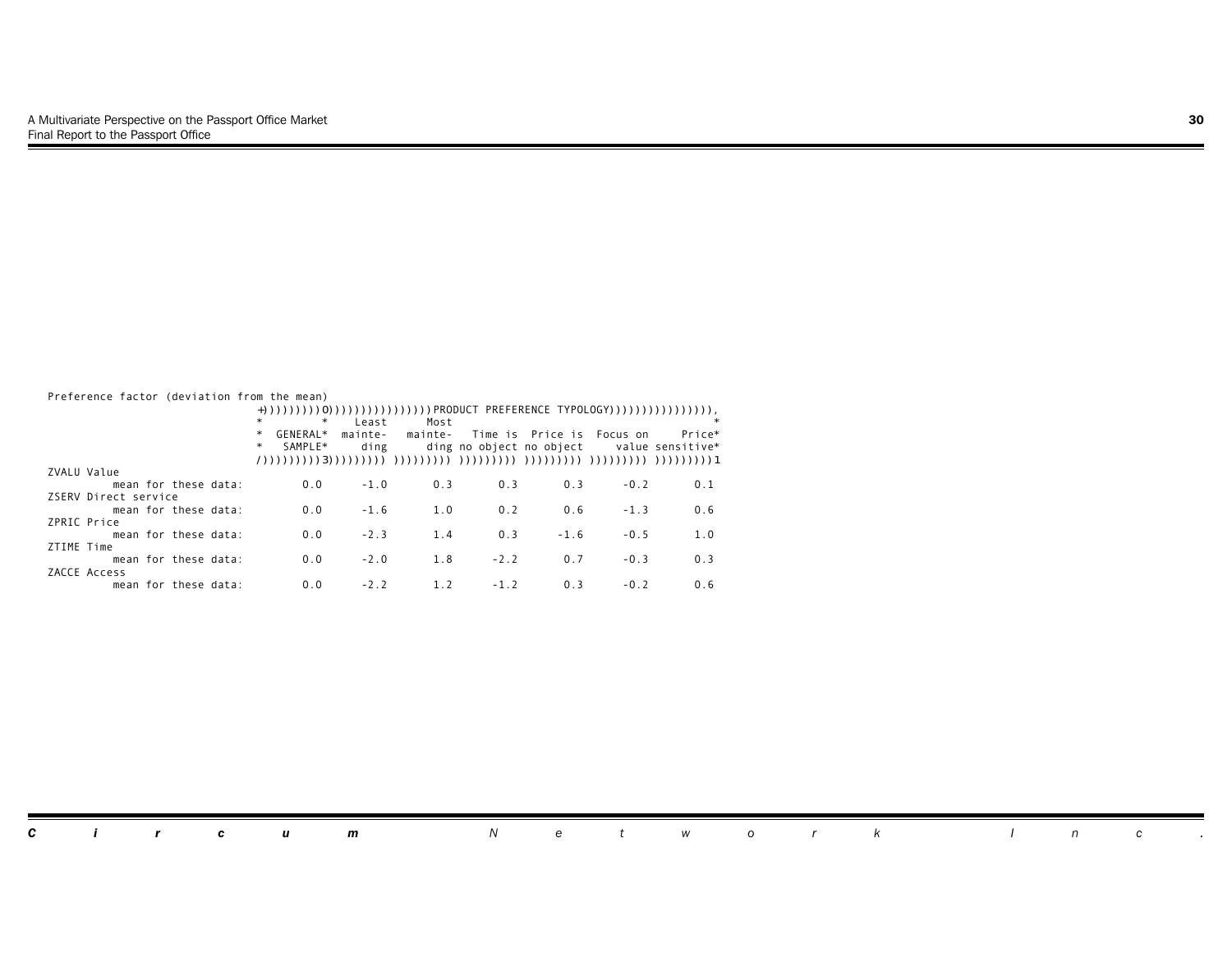|  |  | Preference factor (deviation from the mean) |  |  |  |  |
|--|--|---------------------------------------------|--|--|--|--|
|--|--|---------------------------------------------|--|--|--|--|

|                      | $+))))))))))))))))))))))))))))))))))))))))))))))))))))))0)0000U$ PREFERENCE TYPOLOGY $))1))1))1))1))1))1)$ |         |         |        |        |                           |                                           |
|----------------------|------------------------------------------------------------------------------------------------------------|---------|---------|--------|--------|---------------------------|-------------------------------------------|
|                      | ∗                                                                                                          | Least   | Most    |        |        |                           |                                           |
|                      | GENERAL*                                                                                                   | mainte- | mainte- |        |        | Time is Price is Focus on | Price*                                    |
|                      | SAMPLE*                                                                                                    | ding    |         |        |        |                           | ding no object no object yalue sensitive* |
|                      |                                                                                                            |         |         |        |        |                           |                                           |
| ZVALU Value          |                                                                                                            |         |         |        |        |                           |                                           |
| mean for these data: | 0.0                                                                                                        | $-1.0$  | 0.3     | 0.3    | 0.3    | $-0.2$                    | 0.1                                       |
| ZSERV Direct service |                                                                                                            |         |         |        |        |                           |                                           |
| mean for these data: | 0.0                                                                                                        | $-1.6$  | 1.0     | 0.2    | 0.6    | $-1.3$                    | 0.6                                       |
| ZPRIC Price          |                                                                                                            |         |         |        |        |                           |                                           |
| mean for these data: | 0.0                                                                                                        | $-2.3$  | 1.4     | 0.3    | $-1.6$ | $-0.5$                    | 1.0                                       |
| ZTIME Time           |                                                                                                            |         |         |        |        |                           |                                           |
| mean for these data: | 0.0                                                                                                        | $-2.0$  | 1.8     | $-2.2$ | 0.7    | $-0.3$                    | 0.3                                       |
| ZACCE Access         |                                                                                                            |         |         |        |        |                           |                                           |
| mean for these data: | 0.0                                                                                                        | $-2.2$  | 1.2     | $-1.2$ | 0.3    | $-0.2$                    | 0.6                                       |

| Circum Network Inc. |  |  |  |  |  |  |  |  |  |  |  |  |  |  |  |  |  |  |
|---------------------|--|--|--|--|--|--|--|--|--|--|--|--|--|--|--|--|--|--|
|---------------------|--|--|--|--|--|--|--|--|--|--|--|--|--|--|--|--|--|--|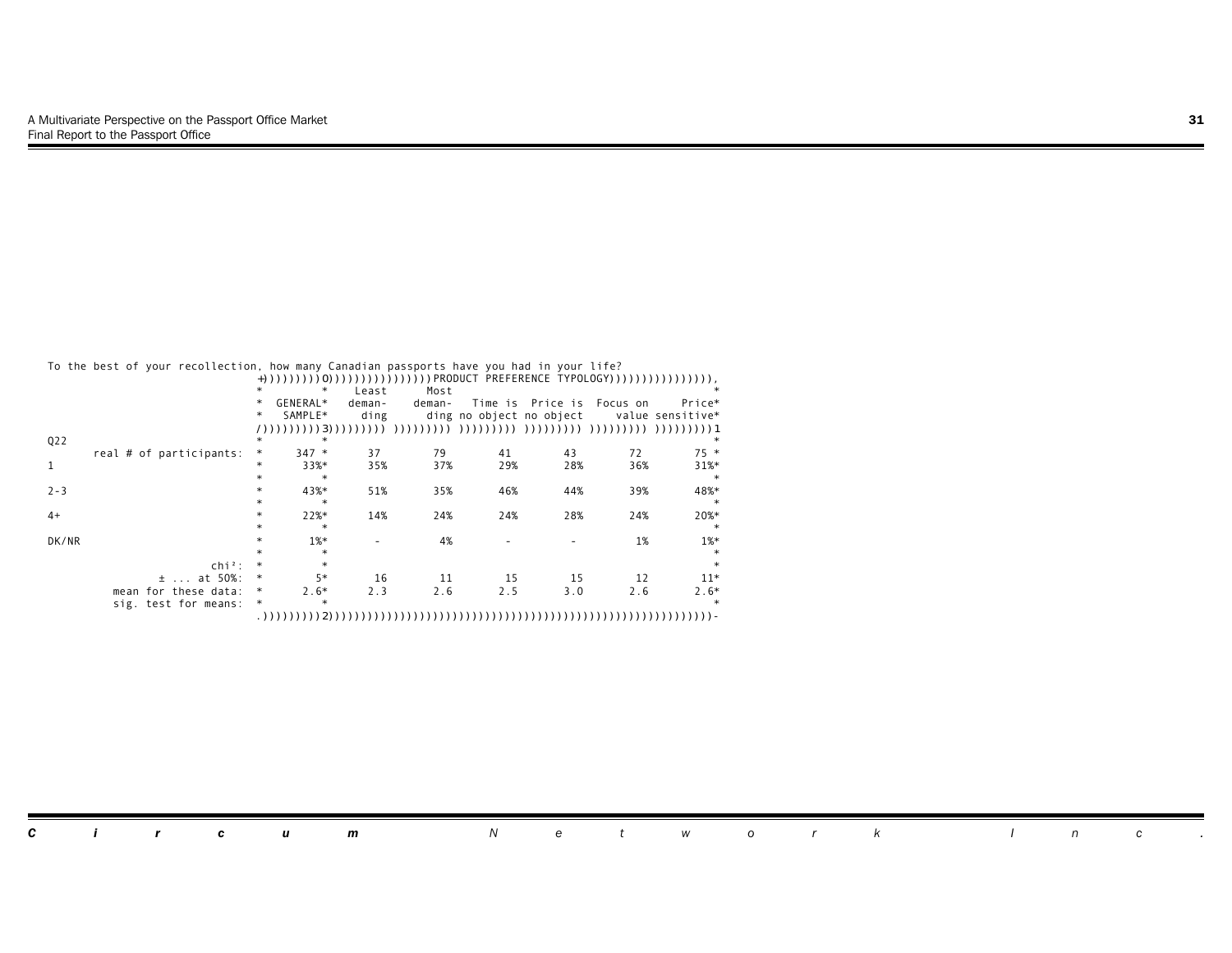|                         |        |          | Least  | Most   |     |                          |          |                  |
|-------------------------|--------|----------|--------|--------|-----|--------------------------|----------|------------------|
|                         | ∗      | GENERAL* | deman- | deman- |     | Time is Price is         | Focus on | Price*           |
|                         | ∗      | SAMPLE*  | ding   |        |     | ding no object no object |          | value sensitive* |
|                         |        |          |        |        |     |                          |          |                  |
| Q <sub>22</sub>         |        |          |        |        |     |                          |          |                  |
| real # of participants: | $\ast$ | $347 *$  | 37     | 79     | 41  | 43                       | 72       | $75 *$           |
|                         |        | 33%*     | 35%    | 37%    | 29% | 28%                      | 36%      | 31%*             |
|                         |        |          |        |        |     |                          |          |                  |
| $2 - 3$                 |        | 43%*     | 51%    | 35%    | 46% | 44%                      | 39%      | 48%*             |
|                         |        |          |        |        |     |                          |          |                  |
| $4+$                    |        | $22%$ *  | 14%    | 24%    | 24% | 28%                      | 24%      | 20%*             |
|                         |        |          |        |        |     |                          |          |                  |
| DK/NR                   |        | 1%       |        | 4%     |     |                          | 1%       | 1%               |
|                         |        |          |        |        |     |                          |          |                  |
| $\ch{i}^2$ :            | $\ast$ |          |        |        |     |                          |          |                  |
| $\pm$ at 50%:           | $\ast$ | $5*$     | 16     | 11     | 15  | 15                       | 12       | $11*$            |
| mean for these data:    | ∗      | $2.6*$   | 2.3    | 2.6    | 2.5 | 3.0                      | 2.6      | $2.6*$           |
| sig. test for means:    | $\ast$ |          |        |        |     |                          |          |                  |

| Circum Network Inc. |  |  |  |  |  |  |
|---------------------|--|--|--|--|--|--|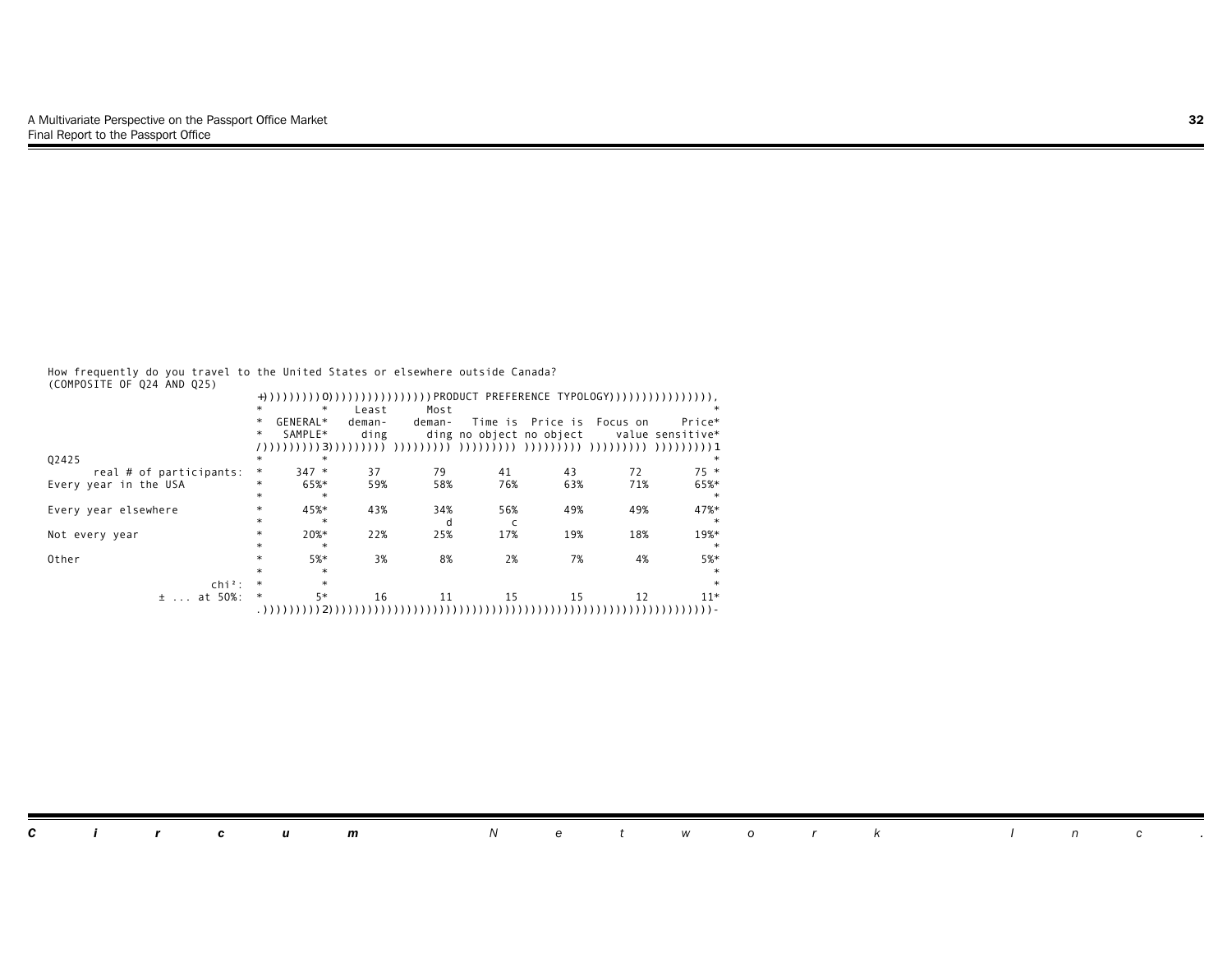| How frequently do you travel to the United States or elsewhere outside Canada?<br>(COMPOSITE OF Q24 AND Q25) |        |          |        |        |                          |                  |                                           |                  |
|--------------------------------------------------------------------------------------------------------------|--------|----------|--------|--------|--------------------------|------------------|-------------------------------------------|------------------|
|                                                                                                              |        |          |        |        |                          |                  | )))PRODUCT PREFERENCE TYPOLOGY))))))))))) |                  |
|                                                                                                              | $\ast$ | ∗        | Least  | Most   |                          |                  |                                           |                  |
|                                                                                                              | ∗      | GENERAL* | deman- | deman- |                          | Time is Price is | Focus on                                  | Price*           |
|                                                                                                              | *      | SAMPLE*  | ding   |        | ding no object no object |                  |                                           | value sensitive* |
|                                                                                                              |        |          |        |        |                          |                  |                                           |                  |
| 02425                                                                                                        |        |          |        |        |                          |                  |                                           |                  |
| real # of participants:                                                                                      | $\ast$ | $347 *$  | 37     | 79     | 41                       | 43               | 72                                        | $75 *$           |
| Every year in the USA                                                                                        | *      | 65%*     | 59%    | 58%    | 76%                      | 63%              | 71%                                       | 65%*             |
|                                                                                                              | $*$    | ×.       |        |        |                          |                  |                                           | $\ast$           |
| Every year elsewhere                                                                                         | *      | 45%*     | 43%    | 34%    | 56%                      | 49%              | 49%                                       | 47%*             |
|                                                                                                              | ×.     |          |        | d      | $\mathsf{C}$             |                  |                                           |                  |
| Not every year                                                                                               | $\ast$ | $20%$ *  | 22%    | 25%    | 17%                      | 19%              | 18%                                       | 19%*             |
|                                                                                                              | $\ast$ | $\ast$   |        |        |                          |                  |                                           | $\ast$           |
| Other                                                                                                        | *      | $5%$ *   | 3%     | 8%     | 2%                       | 7%               | 4%                                        | $5%$ *           |
|                                                                                                              | ×.     |          |        |        |                          |                  |                                           |                  |
| $\mathsf{chi}^2$ :                                                                                           | ∗      | $*$      |        |        |                          |                  |                                           |                  |
| $\pm$ at 50%:                                                                                                | ∗      | $5*$     | 16     | 11     | 15                       | 15               | 12                                        | $11*$            |

|  |  |  | <b>Circum</b> Network |  |  |  |  |  |  |
|--|--|--|-----------------------|--|--|--|--|--|--|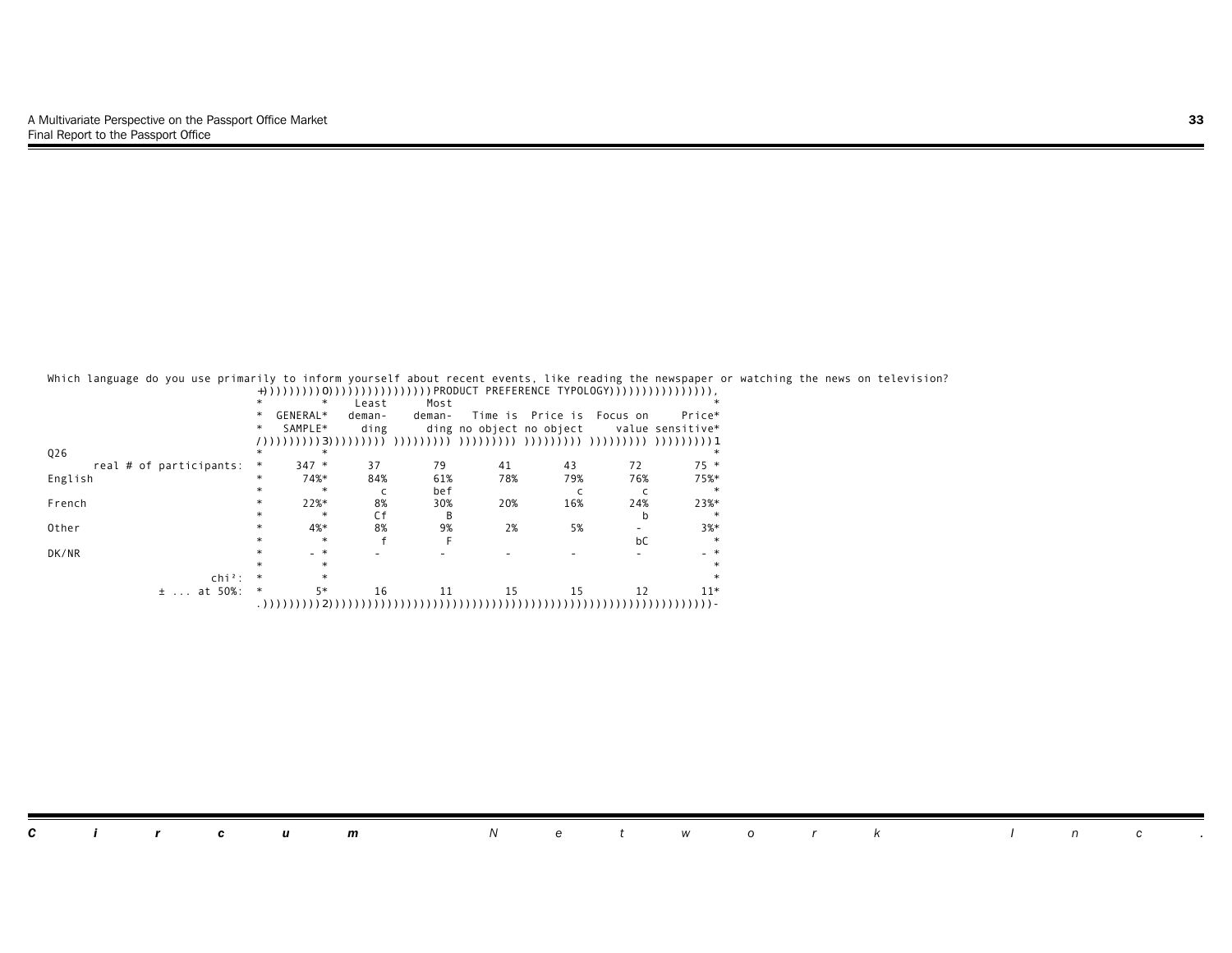| Which language do you use primarily to inform yourself about recent events, like reading the newspaper or watching the news on television? |                                                                                     |  |  |  |  |  |
|--------------------------------------------------------------------------------------------------------------------------------------------|-------------------------------------------------------------------------------------|--|--|--|--|--|
|                                                                                                                                            | +)))))))))0)))))))))))))))))))))))))PRODUCT PREFERENCE TYPOLOGY)))))))))))))))))))) |  |  |  |  |  |

|                         |        | ,,,,,,,,,,,,,,, |        |        |     |                          |                           |                  |
|-------------------------|--------|-----------------|--------|--------|-----|--------------------------|---------------------------|------------------|
|                         |        |                 | Least  | Most   |     |                          |                           |                  |
|                         | $*$    | GENERAL*        | deman- | deman- |     |                          | Time is Price is Focus on | Price*           |
|                         | $\ast$ | SAMPLE*         | ding   |        |     | ding no object no object |                           | value sensitive* |
|                         |        |                 |        |        |     |                          |                           | ,,,,,,,,,,,      |
| Q26                     |        |                 |        |        |     |                          |                           |                  |
| real # of participants: | $\ast$ | $347 *$         | 37     | 79     | 41  | 43                       | 72                        | $75 *$           |
| English                 | $\ast$ | 74%*            | 84%    | 61%    | 78% | 79%                      | 76%                       | 75%*             |
|                         |        |                 |        | bef    |     |                          |                           | ∗                |
| French                  | $\ast$ | $22%$ *         | 8%     | 30%    | 20% | 16%                      | 24%                       | 23%*             |
|                         |        | $\ast$          | Cf     | В      |     |                          | b                         |                  |
| Other                   |        | 4%*             | 8%     | 9%     | 2%  | 5%                       |                           | $3%*$            |
|                         |        | $\ast$          | £      |        |     |                          | bC                        | $\ast$           |
| DK/NR                   |        | $-$ *           |        |        |     |                          |                           |                  |
|                         |        | $\ast$          |        |        |     |                          |                           | $\ast$           |
| $\text{chi}^2$ :        | ∗      |                 |        |        |     |                          |                           | $\ast$           |
| at 50%:<br>$\pm$        | ∗      | $5*$            | 16     | 11     | 15  | 15                       | 12                        | $11*$            |
|                         |        | $\mathbb{Z}$    |        |        |     |                          |                           |                  |

|  |  |  | <b>Circum</b> Network |  |  |  |  |  |  |
|--|--|--|-----------------------|--|--|--|--|--|--|
|  |  |  |                       |  |  |  |  |  |  |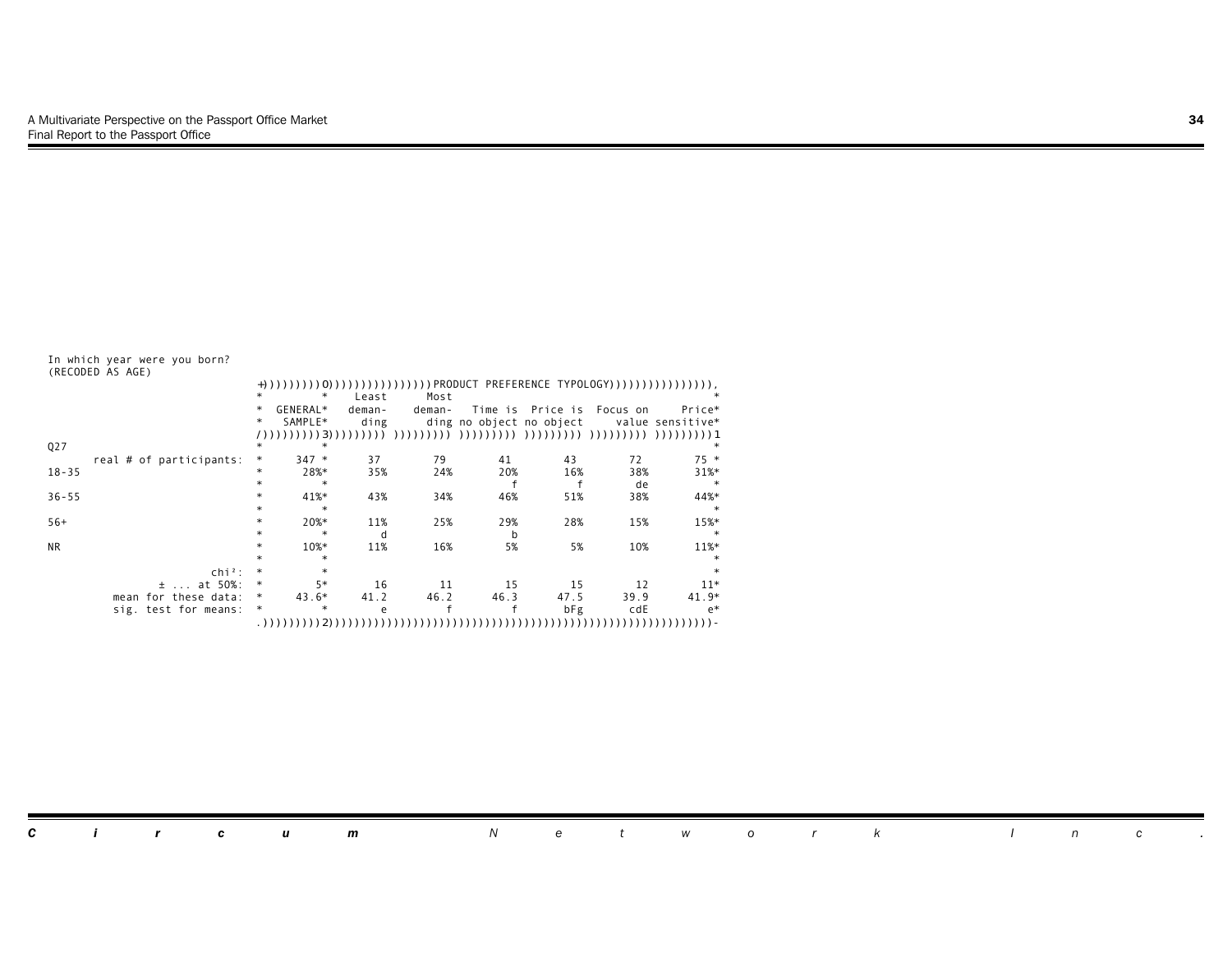| In which year were you born?<br>(RECODED AS AGE) |        |                      |        |        |         |                          |          |                                                   |
|--------------------------------------------------|--------|----------------------|--------|--------|---------|--------------------------|----------|---------------------------------------------------|
|                                                  |        |                      |        |        |         |                          |          | )))PRODUCT PREFERENCE TYPOLOGY)))))))))))))))))), |
|                                                  |        |                      | Least  | Most   |         |                          |          |                                                   |
|                                                  | $\ast$ | GENERAL*             | deman- | deman- | Time is | Price is                 | Focus on | Price*                                            |
|                                                  | $\ast$ | SAMPLE*              | ding   |        |         | ding no object no object |          | value sensitive*                                  |
|                                                  |        | /)))))))))3))))))))) |        |        |         |                          |          | ונננננננו ננננ                                    |
| Q27                                              |        |                      |        |        |         |                          |          |                                                   |
| real # of participants:                          | $\ast$ | $347 *$              | 37     | 79     | 41      | 43                       | 72       | $75 *$                                            |
| $18 - 35$                                        | $\ast$ | 28%*                 | 35%    | 24%    | 20%     | 16%                      | 38%      | 31%*                                              |
|                                                  |        |                      |        |        |         |                          | de       | $\ast$                                            |
| $36 - 55$                                        | $\ast$ | 41%*                 | 43%    | 34%    | 46%     | 51%                      | 38%      | 44%*                                              |
|                                                  | ∗      | $\ast$               |        |        |         |                          |          | $\ast$                                            |
| $56+$                                            | $\ast$ | $20%$ *              | 11%    | 25%    | 29%     | 28%                      | 15%      | 15%*                                              |
|                                                  | $\ast$ | $\ast$               | d      |        | b       |                          |          | $*$                                               |
| <b>NR</b>                                        | $\ast$ | $10%*$               | 11%    | 16%    | 5%      | 5%                       | 10%      | $11\%*$                                           |
|                                                  |        |                      |        |        |         |                          |          | $\ast$                                            |
| $\ch{i}^2$ :                                     |        |                      |        |        |         |                          |          |                                                   |
| at 50%:<br>$\pm$                                 | $\ast$ | $5*$                 | 16     | 11     | 15      | 15                       | 12       | $11*$                                             |
| mean for these data:                             | $\ast$ | $43.6*$              | 41.2   | 46.2   | 46.3    | 47.5                     | 39.9     | $41.9*$                                           |
| sig. test for means:                             | $\ast$ | ∗                    | e      |        |         | bFg                      | cdE      | $e^*$                                             |
|                                                  |        | $.))))))))$ 2)       |        |        |         |                          |          |                                                   |

|  |  |  | Circum Network Inc. |  |  |  |  |  |  |
|--|--|--|---------------------|--|--|--|--|--|--|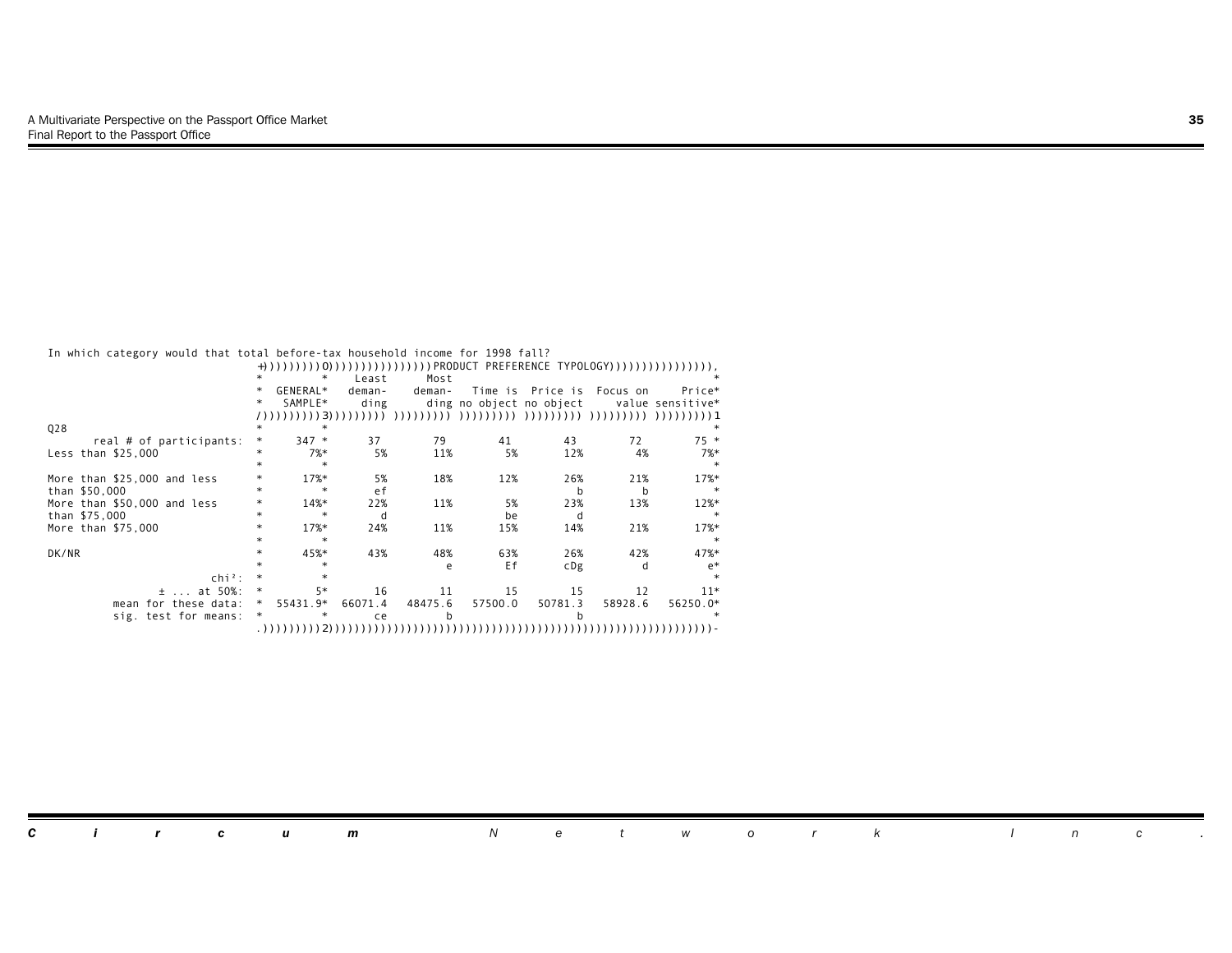In which category would that total before-tax household income for 1998 fall?

|                             |        |                                      |         |         |                          |         |                           | )))))))))))))PRODUCT PREFERENCE TYPOLOGY))))))))))))))))))) |
|-----------------------------|--------|--------------------------------------|---------|---------|--------------------------|---------|---------------------------|-------------------------------------------------------------|
|                             |        |                                      | Least   | Most    |                          |         |                           |                                                             |
|                             | *      | GENERAL*                             | deman-  | deman-  |                          |         | Time is Price is Focus on | Price*                                                      |
|                             | $\ast$ | SAMPLE*                              | ding    |         | ding no object no object |         |                           | value sensitive*                                            |
|                             |        |                                      |         |         |                          |         |                           |                                                             |
| Q28                         |        |                                      |         |         |                          |         |                           |                                                             |
| real # of participants:     | $\ast$ | $347 *$                              | 37      | 79      | 41                       | 43      | 72                        | 75 *                                                        |
| Less than \$25,000          | *      | 7%*                                  | 5%      | 11%     | 5%                       | 12%     | 4%                        | 7%*                                                         |
|                             |        | ∗                                    |         |         |                          |         |                           |                                                             |
| More than \$25,000 and less | $\ast$ | $17%$ *                              | 5%      | 18%     | 12%                      | 26%     | 21%                       | $17%$ *                                                     |
| than \$50,000               | $\ast$ |                                      | ef      |         |                          | b       | $b$                       |                                                             |
| More than \$50,000 and less | $\ast$ | $14%$ *                              | 22%     | 11%     | 5%                       | 23%     | 13%                       | $12%$ *                                                     |
| than \$75.000               | *      |                                      | d       |         | be                       | d       |                           | $\ast$                                                      |
| More than \$75,000          | ∗      | $17%$ *                              | 24%     | 11%     | 15%                      | 14%     | 21%                       | $17%$ *                                                     |
|                             |        |                                      |         |         |                          |         |                           | $\ast$                                                      |
| DK/NR                       | $\ast$ | 45%*                                 | 43%     | 48%     | 63%                      | 26%     | 42%                       | 47%*                                                        |
|                             |        |                                      |         | e       | Ef                       | CDg     | d                         | $e^*$                                                       |
| $\ch{i}^2$ :                | ∗      |                                      |         |         |                          |         |                           |                                                             |
| at 50%:<br>$\pm$            | $\ast$ | 5*                                   | 16      | 11      | 15                       | 15      | 12                        | $11*$                                                       |
| mean for these data:        | $\ast$ | 55431.9*                             | 66071.4 | 48475.6 | 57500.0                  | 50781.3 | 58928.6                   | $56250.0*$                                                  |
| sig. test for means:        | $\ast$ |                                      | ce      |         |                          |         |                           |                                                             |
|                             |        | (1)(1)(1)(2)(1)(1)(1)(1)(1)(1)(1)(1) |         |         |                          |         |                           |                                                             |

| Circum Network Inc. |  |  |  |  |  |  |
|---------------------|--|--|--|--|--|--|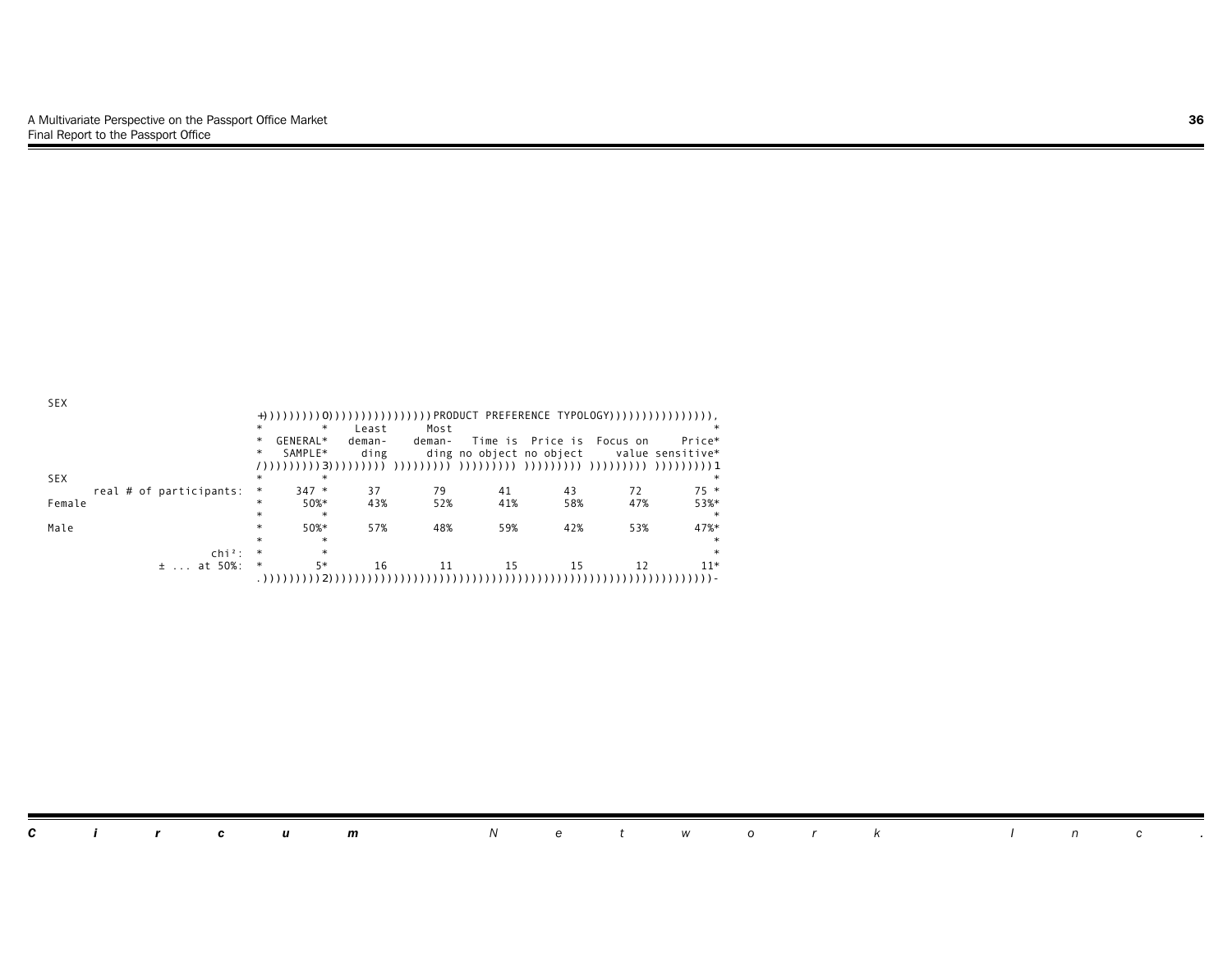| <b>SEX</b>              |        |               |        |        |     |                          |          |                                                    |
|-------------------------|--------|---------------|--------|--------|-----|--------------------------|----------|----------------------------------------------------|
|                         |        |               |        |        |     |                          |          | )))PRODUCT PREFERENCE TYPOLOGY))))))))))))))))))), |
|                         | $\ast$ | $\ast$        | Least  | Most   |     |                          |          |                                                    |
|                         | $\ast$ | GENERAL*      | deman- | deman- |     | Time is Price is         | Focus on | Price*                                             |
|                         | $\ast$ | SAMPLE*       | ding   |        |     | ding no object no object |          | value sensitive*                                   |
|                         |        |               |        |        |     |                          |          |                                                    |
| <b>SEX</b>              | $\ast$ | $*$           |        |        |     |                          |          | $\ast$                                             |
| real # of participants: | $\ast$ | $347 *$       | 37     | 79     | 41  | 43                       | 72       | $75 *$                                             |
| Female                  | $\ast$ | 50%*          | 43%    | 52%    | 41% | 58%                      | 47%      | 53%*                                               |
|                         | $\ast$ | $*$           |        |        |     |                          |          | $\ast$                                             |
| Male                    | $\ast$ | 50%*          | 57%    | 48%    | 59% | 42%                      | 53%      | 47%*                                               |
|                         | $\ast$ | $\ast$        |        |        |     |                          |          | $\ast$                                             |
| $\ch{i}^2$ :            | $\ast$ | $\ast$        |        |        |     |                          |          | $*$                                                |
| $\pm$ at 50%:           | $\ast$ | $5*$          | 16     | 11     | 15  | 15                       | 12       | $11*$                                              |
|                         |        | . ) ) ) ) ) ) |        |        |     |                          |          |                                                    |

|  |  |  | Circum Network Inc. |  |  |  |  |  |  |
|--|--|--|---------------------|--|--|--|--|--|--|
|  |  |  |                     |  |  |  |  |  |  |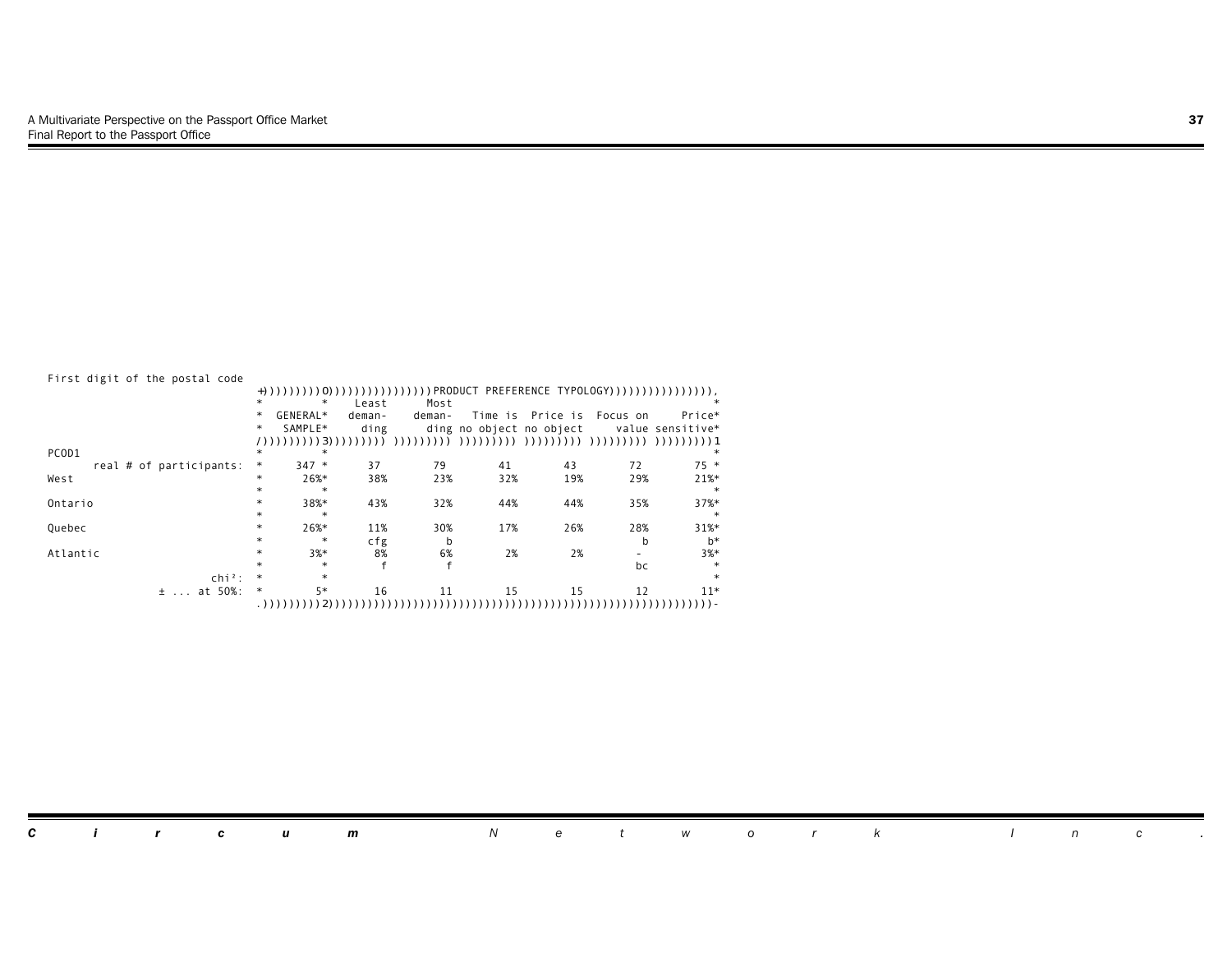| First digit of the postal code |        |                                                                   |        |        |     |                          |          | ()))PRODUCT PREFERENCE TYPOLOGY)))))))))))))))))), |
|--------------------------------|--------|-------------------------------------------------------------------|--------|--------|-----|--------------------------|----------|----------------------------------------------------|
|                                | $\ast$ | ∗                                                                 | Least  | Most   |     |                          |          |                                                    |
|                                | $\ast$ | GENERAL*                                                          | deman- | deman- |     | Time is Price is         | Focus on | Price*                                             |
|                                | $\ast$ | SAMPLE*                                                           | ding   |        |     | ding no object no object |          | value sensitive*                                   |
|                                |        | $(1)$ $(1)$ $(1)$ $(1)$ $(1)$ $(2)$ $(2)$ $(3)$ $(1)$ $(1)$ $(1)$ |        |        |     | ווווווו וווווווו ווווווו |          |                                                    |
| PCOD1                          | $\ast$ |                                                                   |        |        |     |                          |          |                                                    |
| real # of participants:        | $\ast$ | $347 *$                                                           | 37     | 79     | 41  | 43                       | 72       | $75 *$                                             |
| West                           | $\ast$ | 26%*                                                              | 38%    | 23%    | 32% | 19%                      | 29%      | 21%                                                |
|                                | $\ast$ | $\ast$                                                            |        |        |     |                          |          |                                                    |
| Ontario                        | $\ast$ | 38%*                                                              | 43%    | 32%    | 44% | 44%                      | 35%      | 37%*                                               |
|                                | $\ast$ | $\ast$                                                            |        |        |     |                          |          |                                                    |
| Quebec                         | $\ast$ | 26%*                                                              | 11%    | 30%    | 17% | 26%                      | 28%      | 31%*                                               |
|                                | $\ast$ | $\ast$                                                            | cfg    | b      |     |                          | b        | $h*$                                               |
| Atlantic                       | ∗      | $3%*$                                                             | 8%     | 6%     | 2%  | 2%                       |          | $3%$ *                                             |
|                                | $*$    | $*$                                                               | £      |        |     |                          | bc       | $\ast$                                             |
| $\text{chi}^2$ :               | $\ast$ | $*$                                                               |        |        |     |                          |          | $\ast$                                             |
| $\pm$ at 50%:                  | $\ast$ | $5*$                                                              | 16     | 11     | 15  | 15                       | 12       | $11*$                                              |
|                                |        |                                                                   |        |        |     |                          |          |                                                    |

| <b>Circum</b> Network Inc. |  |  |  |  |  |  |  |
|----------------------------|--|--|--|--|--|--|--|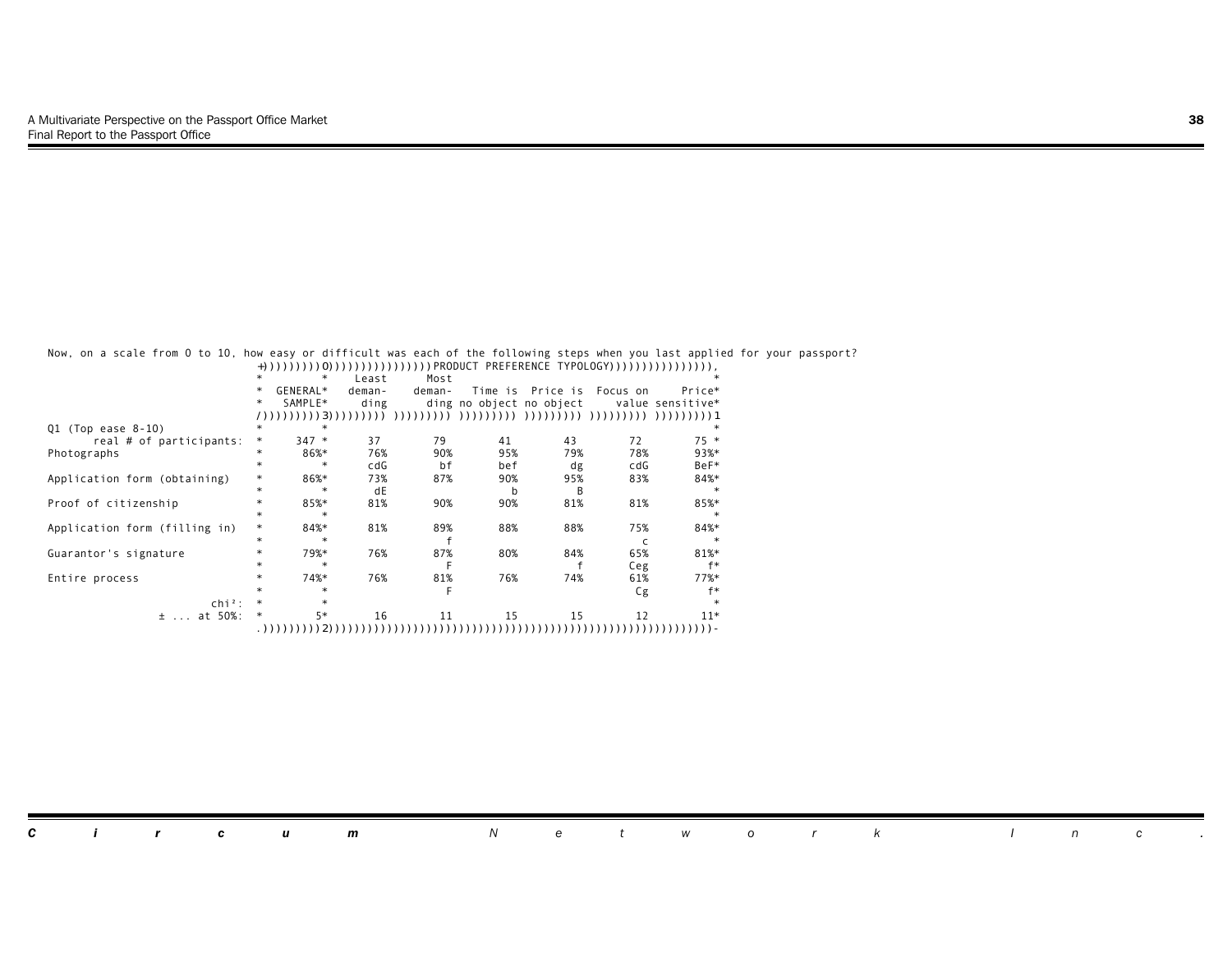| Now, on a scale from 0 to 10, how easy or difficult was each of the following steps when you last applied for your passport? |        |          |        |        |     |                           |     |                  |  |
|------------------------------------------------------------------------------------------------------------------------------|--------|----------|--------|--------|-----|---------------------------|-----|------------------|--|
|                                                                                                                              |        |          |        |        |     |                           |     |                  |  |
|                                                                                                                              |        |          | Least  | Most   |     |                           |     |                  |  |
|                                                                                                                              |        | GENERAL* | deman- | deman- |     | Time is Price is Focus on |     | Price*           |  |
|                                                                                                                              |        | SAMPLE*  | ding   |        |     | ding no object no object  |     | value sensitive* |  |
|                                                                                                                              |        |          |        |        |     |                           |     |                  |  |
| $Q1$ (Top ease 8-10)                                                                                                         |        |          |        |        |     |                           |     |                  |  |
| real # of participants:                                                                                                      |        | $347 *$  | 37     | 79     | 41  | 43                        | 72  | $75 *$           |  |
| Photographs                                                                                                                  |        | 86%*     | 76%    | 90%    | 95% | 79%                       | 78% | 93%*             |  |
|                                                                                                                              |        |          | cdG    | bf     | bef | dg                        | cdG | BeF*             |  |
| Application form (obtaining)                                                                                                 | $\ast$ | 86%*     | 73%    | 87%    | 90% | 95%                       | 83% | 84%*             |  |
|                                                                                                                              |        |          | dE     |        |     |                           |     |                  |  |
| Proof of citizenship                                                                                                         |        | 85%*     | 81%    | 90%    | 90% | 81%                       | 81% | 85%*             |  |
|                                                                                                                              |        |          |        |        |     |                           |     |                  |  |
| Application form (filling in)                                                                                                | $\ast$ | 84%*     | 81%    | 89%    | 88% | 88%                       | 75% | 84%*             |  |
|                                                                                                                              |        |          |        |        |     |                           |     |                  |  |
| Guarantor's signature                                                                                                        |        | 79%*     | 76%    | 87%    | 80% | 84%                       | 65% | 81%*             |  |
|                                                                                                                              |        |          |        |        |     |                           | Ceg | $f*$             |  |
| Entire process                                                                                                               |        | 74%*     | 76%    | 81%    | 76% | 74%                       | 61% | 77%*             |  |
|                                                                                                                              |        |          |        |        |     |                           | Cg  | $f*$             |  |
| $\mathsf{chi}^2$ :                                                                                                           |        |          |        |        |     |                           |     |                  |  |
| at 50%:<br>$\pm$                                                                                                             | $\ast$ | 5*       | 16     | 11     | 15  | 15                        | 12  | $11*$            |  |
|                                                                                                                              |        |          |        |        |     |                           |     |                  |  |

|  |  | i r c u m | Network Inc. |  |  |  |  |  |  |
|--|--|-----------|--------------|--|--|--|--|--|--|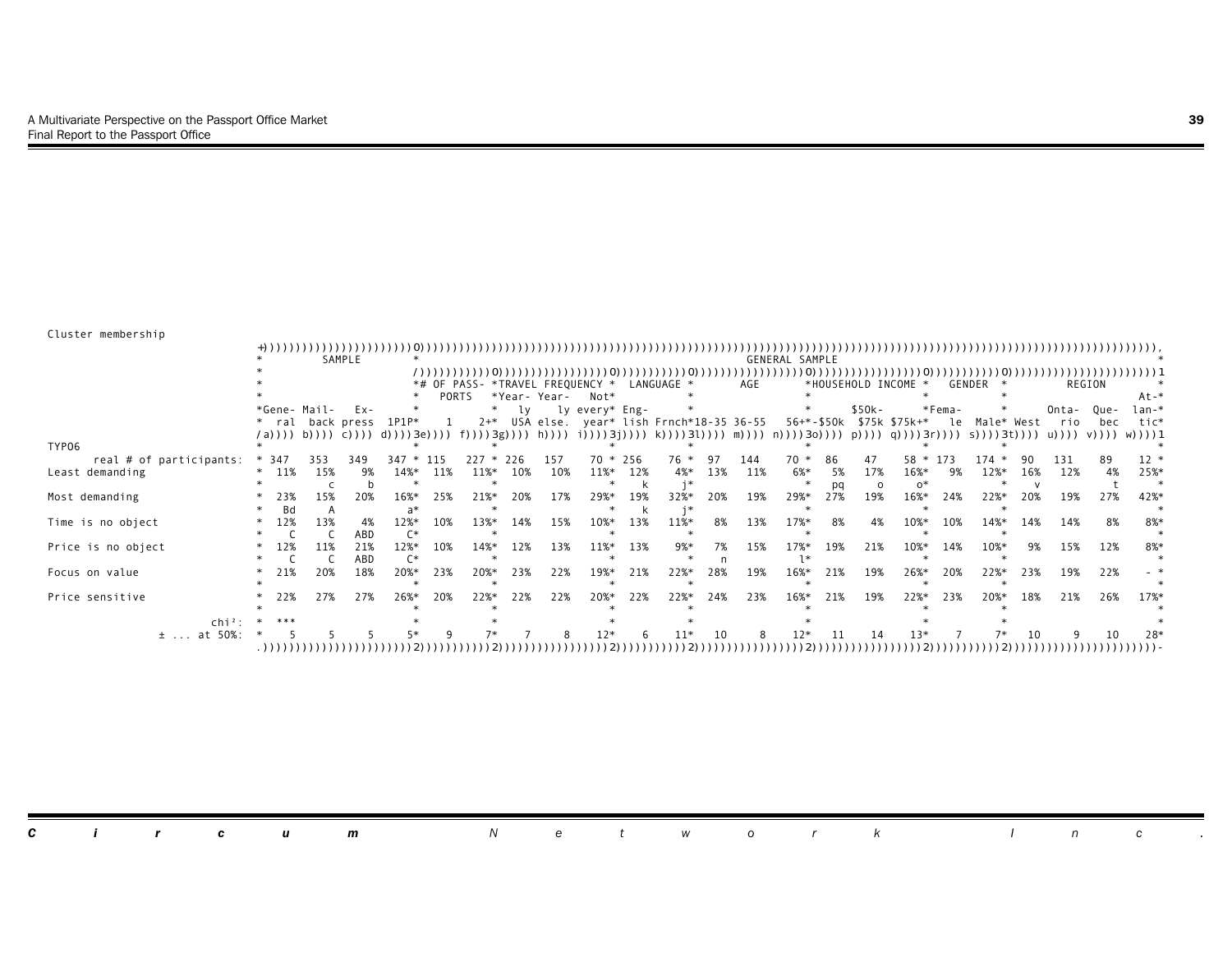Cluster membership

|                         |        |              | SAMPLE |                                                                                                                                  |       |          |     |              |                                 |     |                                        |     |     | GENERAL SAMPLE |     |         |                          |        |               |     |       |        |            |
|-------------------------|--------|--------------|--------|----------------------------------------------------------------------------------------------------------------------------------|-------|----------|-----|--------------|---------------------------------|-----|----------------------------------------|-----|-----|----------------|-----|---------|--------------------------|--------|---------------|-----|-------|--------|------------|
|                         |        |              |        |                                                                                                                                  |       |          |     |              |                                 |     |                                        |     |     |                |     |         |                          |        |               |     |       |        |            |
|                         |        |              |        |                                                                                                                                  |       |          |     |              | *# OF PASS- *TRAVEL FREQUENCY * |     | LANGUAGE *                             |     | AGE |                |     |         | *HOUSEHOLD INCOME *      |        | GENDER        |     |       | REGION |            |
|                         |        |              |        |                                                                                                                                  | PORTS |          |     | *Year- Year- | Not*                            |     |                                        |     |     |                |     |         |                          |        |               |     |       |        | $At -$     |
|                         |        | *Gene- Mail- | Ex-    |                                                                                                                                  |       |          | 1 v |              | ly every* Eng-                  |     |                                        |     |     |                |     | $$50k-$ |                          | *Fema- |               |     | Onta- | - Oue  | lan-*      |
|                         |        |              |        | * ral back press 1P1P*                                                                                                           |       | $7 + *$  |     |              |                                 |     | USA else. year* lish Frnch*18-35 36-55 |     |     |                |     |         | 56+*-\$50k \$75k \$75k+* |        | le Male* West |     | rio   | -bec   | tic*       |
|                         |        |              |        | /a)))) b)))) c)))) d))))3e)))) f)))3g)))) h)))) i))))3j)))) k)))3l)))) m)))) m)))30)))) p))) q))))3r)))) s))))3t)))) u)))) v)))) |       |          |     |              |                                 |     |                                        |     |     |                |     |         |                          |        |               |     |       |        | $w))$ )) 1 |
| TYP06                   |        |              |        |                                                                                                                                  |       |          |     |              |                                 |     |                                        |     |     |                |     |         |                          |        |               |     |       |        |            |
| real # of participants: | $*347$ | 353          | 349    | 347                                                                                                                              | * 115 | 227      | 226 | 157          | $70*$                           | 256 | 76 *                                   |     | 144 | 70 *           | 86  | 47      | 58.                      | 173    | 174           |     | 131   | 89     |            |
| Least demanding         | 11%    | 15%          | 9%     | 14%                                                                                                                              | 11%   | $11\% *$ | 10% | 10%          | $11\%*$                         | 12% | 4%*                                    | 13% | 11% | $6%*$          | 5%  | 17%     | 16%*                     | 9%     | 12%*          | 16% | 12%   | 4%     | 25%*       |
|                         |        |              |        |                                                                                                                                  |       |          |     |              |                                 |     |                                        |     |     |                |     |         |                          |        |               |     |       |        |            |
| Most demanding          | 23%    | 15%          | 20%    | 16%*                                                                                                                             | 25%   | 21%      | 20% | 17%          | 29%*                            | 19% | $32%$ *                                | 20% | 19% | 29%*           | 27% | 19%     | 16%*                     | 24%    | $22%$ *       | 20% | 19%   | 27%    | 42%*       |
|                         |        | Вd           |        |                                                                                                                                  |       |          |     |              |                                 |     |                                        |     |     |                |     |         |                          |        |               |     |       |        |            |
| Time is no object       | 12%    | 13%          | 4%     |                                                                                                                                  | 10%   | 13%*     | 14% | 15%          | $10% *$                         | 13% | $11\%*$                                | 8%  | 13% | $17%$ *        | 8%  | 4%      | 10%*                     | 10%    | $14%$ *       | 14% | 14%   | 8%     | 8%*        |
|                         |        |              | ABD    |                                                                                                                                  |       |          |     |              |                                 |     |                                        |     |     |                |     |         |                          |        |               |     |       |        |            |
| Price is no object      | 12%    | 11%          | 21%    | $12%$ *                                                                                                                          | 10%   | 14%*     | 12% | 13%          | $11\%*$                         | 13% | $9%*$                                  | 7%  | 15% | 17%*           | 19% | 21%     | $10\% *$                 | 14%    | $10%*$        | 9%  | 15%   | 12%    | 8%*        |
|                         |        |              | ABD    |                                                                                                                                  |       |          |     |              |                                 |     |                                        |     |     |                |     |         |                          |        |               |     |       |        |            |
| Focus on value          | 21%    | 20%          | 18%    | 20%*                                                                                                                             | 23%   | 20%*     | 23% | 22%          | 19%*                            | 21% | 22%*                                   | 28% | 19% | $16%*$         | 21% | 19%     | 26%*                     | 20%    | $22%*$        | 23% | 19%   | 22%    |            |
|                         |        |              |        |                                                                                                                                  |       |          |     |              |                                 |     |                                        |     |     |                |     |         |                          |        |               |     |       |        |            |
| Price sensitive         | 22%    | 27%          | 27%    | 26%*                                                                                                                             | 20%   | $22%$ *  | 22% | 22%          | 20%*                            | 22% | 22%*                                   | 24% | 23% | $16%*$         | 21% | 19%     | 22%*                     | 23%    | 20%*          | 18% | 21%   | 26%    | 17%*       |
|                         |        |              |        |                                                                                                                                  |       |          |     |              |                                 |     |                                        |     |     |                |     |         |                          |        |               |     |       |        |            |
| $chi^2$ :               | $***$  |              |        |                                                                                                                                  |       |          |     |              |                                 |     |                                        |     |     |                |     |         |                          |        |               |     |       |        |            |
| at 50%:<br>$\pm$        |        |              |        |                                                                                                                                  |       |          |     |              | 1 フォ                            |     |                                        | 10  |     |                |     | 14      | $13*$                    |        |               |     |       |        | 98۰        |
|                         |        |              |        | $\ldots \\$                                                                                                                      |       |          |     |              |                                 |     |                                        |     |     |                |     |         |                          |        |               |     |       |        |            |
|                         |        |              |        |                                                                                                                                  |       |          |     |              |                                 |     |                                        |     |     |                |     |         |                          |        |               |     |       |        |            |

|  |  |  |  |  |  |  | <b>Circum</b> Network Inc. |  |  |  |  |  |  |  |  |  |  |  |
|--|--|--|--|--|--|--|----------------------------|--|--|--|--|--|--|--|--|--|--|--|
|--|--|--|--|--|--|--|----------------------------|--|--|--|--|--|--|--|--|--|--|--|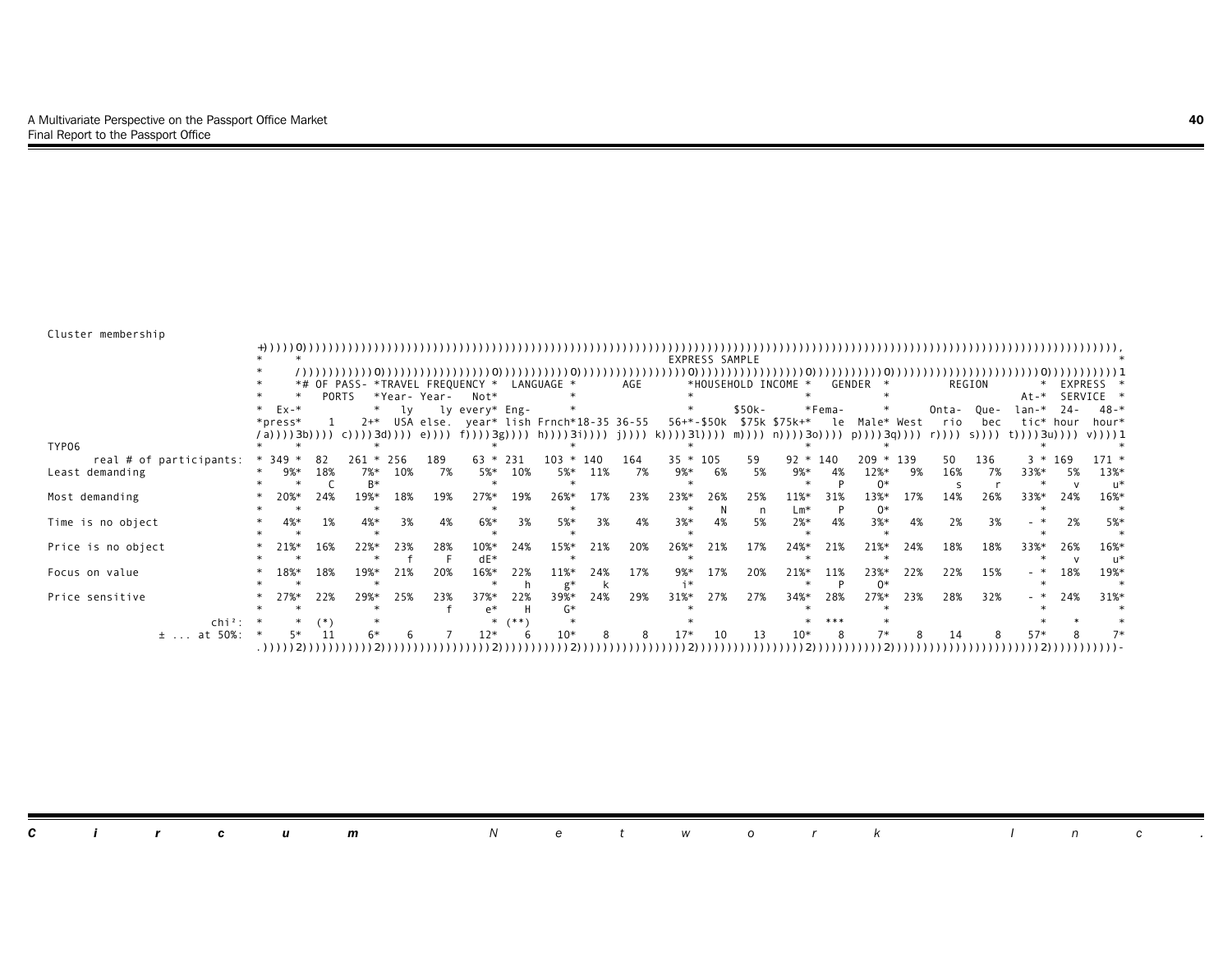Cluster membership

|                         |        |          |     |                                                                                                               |     |              |                |     |            |     |     |                                                                 |     | EXPRESS SAMPLE |                     |        |               |     |       |        |                       |           |                              |
|-------------------------|--------|----------|-----|---------------------------------------------------------------------------------------------------------------|-----|--------------|----------------|-----|------------|-----|-----|-----------------------------------------------------------------|-----|----------------|---------------------|--------|---------------|-----|-------|--------|-----------------------|-----------|------------------------------|
|                         |        |          |     | *# OF PASS- *TRAVEL FREQUENCY *                                                                               |     |              |                |     | LANGUAGE * |     | AGE |                                                                 |     |                | *HOUSEHOLD INCOME * |        | GENDER        |     |       | REGION |                       |           | 111111111111111<br>EXPRESS * |
|                         |        |          |     | <b>PORTS</b>                                                                                                  |     | *Year- Year- | Not*           |     |            |     |     |                                                                 |     |                |                     |        |               |     |       |        | $At - *$              |           | SERVICE *                    |
|                         | $\ast$ | $Ex - *$ |     |                                                                                                               | lv  |              | ly every* Eng- |     |            |     |     |                                                                 |     | $$50k-$        |                     | *Fema- |               |     | Onta- | Oue-   | lan-*                 | $24 -$    | $48 - *$                     |
|                         |        | *press*  |     | $7 + *$                                                                                                       |     |              |                |     |            |     |     | USA else. vear* lish Frnch*18-35 36-55 56+*-\$50k \$75k \$75k+* |     |                |                     |        | le Male* West |     | rio   | bec    | tic* hour             |           | hour*                        |
|                         |        |          |     | /a)))3b)))) c)))3d)))) e))) f)))3g))) h)))3i)))) j))) k)))3l)))) m))) m)))30))) p)))3q))) r)))3q))) r))) s))) |     |              |                |     |            |     |     |                                                                 |     |                |                     |        |               |     |       |        | $(t))$ ))3u)))) v)))1 |           |                              |
| TYP06                   |        |          |     |                                                                                                               |     |              |                |     |            |     |     |                                                                 |     |                |                     |        |               |     |       |        |                       |           |                              |
| real # of participants: |        | 349      | 82  | $261$ *                                                                                                       | 256 | 189          | $63 *$         | 231 | 103        | 140 | 164 | $35 *$                                                          | 105 | 59             | $92 *$              | 140    | 209           | 139 | 50    | 136    |                       | $3 * 169$ | 171                          |
| Least demanding         |        | $9%*$    | 18% | $7%$ *                                                                                                        | 10% | 7%           | 5%*            | 10% | $5%$ *     | 11% | 7%  | $9%*$                                                           | 6%  | 5%             | 9%*                 | 4%     | $12%$ *       | 9%  | 16%   | 7%     | $33%*$                | 5%        | 13%*                         |
|                         |        |          |     |                                                                                                               |     |              |                |     |            |     |     |                                                                 |     |                |                     |        |               |     |       |        |                       |           |                              |
| Most demanding          |        | 20%*     | 24% | 19%*                                                                                                          | 18% | 19%          | $27%$ *        | 19% | 26%*       | 17% | 23% | $23%$ *                                                         | 26% | 25%            | 11%*                | 31%    | 13%*          | 17% | 14%   | 26%    | 33%*                  | 24%       | 16%*                         |
|                         |        |          |     |                                                                                                               |     |              |                |     |            |     |     |                                                                 |     |                | $Lm*$               |        |               |     |       |        |                       |           |                              |
| Time is no object       |        |          | 1%  | $4%$ *                                                                                                        | 3%  | 4%           | 6%*            | 3%  | 5%*        | 3%  | 4%  | $3%$ *                                                          |     | 5%             | $2%$ *              |        | $3%$ *        | 4%  | 2%    | 3%     |                       |           | 5%*                          |
|                         |        |          |     |                                                                                                               |     |              |                |     |            |     |     |                                                                 |     |                |                     |        |               |     |       |        |                       |           |                              |
| Price is no object      |        | 21%*     | 16% | 22%                                                                                                           | 23% | 28%          | 10%            | 24% | 15%*       | 21% | 20% | 26%*                                                            | 21% | 17%            | 24%*                | 21%    | 21%*          | 24% | 18%   | 18%    | 33%*                  | 26%       | 16%*                         |
|                         |        |          |     |                                                                                                               |     |              | dE*            |     |            |     |     |                                                                 |     |                |                     |        |               |     |       |        |                       |           |                              |
| Focus on value          |        | 18%*     | 18% | 19%*                                                                                                          | 21% | 20%          | 16%*           | 22% | $11\%*$    | 24% | 17% | $9%*$                                                           | 17% | 20%            | 21%*                | 11%    | 23%*          | 22% | 22%   | 15%    |                       | 18%       | 19%*                         |
|                         |        |          |     |                                                                                                               |     |              |                |     |            |     |     |                                                                 |     |                |                     |        |               |     |       |        |                       |           |                              |
| Price sensitive         |        | 27%*     | 22% | 29%*                                                                                                          | 25% | 23%          | $37%$ *        | 22% | 39%*       | 24% | 29% | $31\%*$                                                         | 27% | 27%            | 34%*                | 28%    | 27%*          | 23% | 28%   | 32%    | $-$ *                 | 24%       | $31\%*$                      |
|                         |        |          |     |                                                                                                               |     |              |                |     |            |     |     |                                                                 |     |                |                     |        |               |     |       |        |                       |           |                              |
| $\mathsf{chi}^2$ :      |        |          | (*) |                                                                                                               |     |              |                |     |            |     |     |                                                                 |     |                |                     |        |               |     |       |        |                       |           |                              |
| at 50%:<br>$\pm$        |        | 도 *      | 11  |                                                                                                               |     |              | 17*            |     |            |     |     | $17*$                                                           | 1 ∩ | 13             | 1∩∗                 |        |               |     | 14    |        |                       |           |                              |
|                         |        |          |     |                                                                                                               |     |              |                |     |            |     |     |                                                                 |     |                |                     |        |               |     |       |        |                       |           |                              |

|  |  |  | <b>Circum</b> Network Inc. |  |  |  |  |  |  |
|--|--|--|----------------------------|--|--|--|--|--|--|
|  |  |  |                            |  |  |  |  |  |  |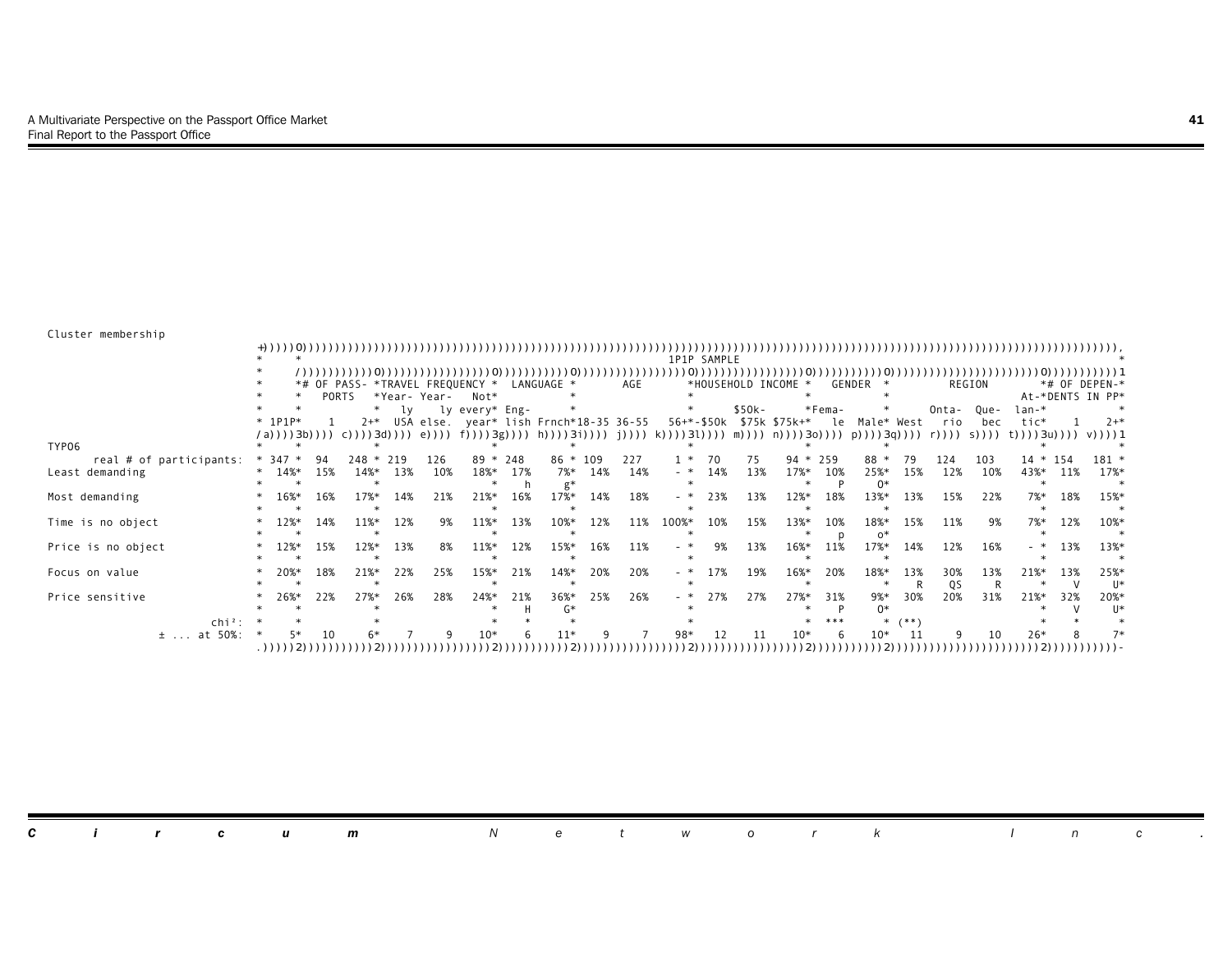#### Cluster membership

|                                  |              |     |             |     |              |                                 |     |                                                                                                                                |     |     | 1P1P SAMPLE |     |        |                     |        |               |        |       |        |         |     |                                         |
|----------------------------------|--------------|-----|-------------|-----|--------------|---------------------------------|-----|--------------------------------------------------------------------------------------------------------------------------------|-----|-----|-------------|-----|--------|---------------------|--------|---------------|--------|-------|--------|---------|-----|-----------------------------------------|
|                                  |              |     |             |     |              | *# OF PASS- *TRAVEL FREQUENCY * |     | LANGUAGE *                                                                                                                     |     | AGE |             |     |        | *HOUSEHOLD INCOME * |        | GENDER *      |        |       | REGION |         |     | ,,,,,,,,,,,,,,,,<br>$*$ # OF DEPEN- $*$ |
|                                  |              |     | PORTS       |     | *Year- Year- | Not*                            |     |                                                                                                                                |     |     |             |     |        |                     |        |               |        |       |        |         |     | At-*DENTS IN PP*                        |
|                                  |              |     |             | lν  |              | ly every* Eng-                  |     |                                                                                                                                |     |     |             |     | \$50k- |                     | *Fema- |               |        | Onta- | Oue-   | lan-*   |     |                                         |
|                                  | $*$ 1P1P $*$ |     | $2+$ *      |     |              |                                 |     | USA else. year* lish Frnch*18-35 36-55 56+*-\$50k \$75k \$75k+*                                                                |     |     |             |     |        |                     |        | le Male* West |        | rio   | -bec   | tic*    |     |                                         |
|                                  |              |     |             |     |              |                                 |     | /a))))3b)))) c)))3d)))) e))) f))))3g))) h)))3i)))) j))) k))))3l)))) m)))) m)))30))) a)))30))) p)))3q))) r)))) s)))) t)))3u)))) |     |     |             |     |        |                     |        |               |        |       |        |         |     | $(v))$ ) 1                              |
| TYP06<br>real # of participants: | 347          | 94  | $248 * 219$ |     | 126          | 89<br>∗                         | 248 | 86 *                                                                                                                           | 109 | 227 |             | 70  | 75     | 94                  | 259    | 88            | 79     | 124   | 103    |         | 154 | 181                                     |
| Least demanding                  | 14%*         | 15% | 14%*        | 13% | 10%          | 18%*                            | 17% | 7%*                                                                                                                            | 14% | 14% | $- *$       | 14% | 13%    | $17%*$              | 10%    | 25%*          | 15%    | 12%   | 10%    | 43%*    | 11% | 17%                                     |
|                                  |              |     |             |     |              |                                 |     |                                                                                                                                |     |     |             |     |        |                     |        |               |        |       |        |         |     |                                         |
| Most demanding                   | 16%*         | 16% | 17%         | 14% | 21%          | $21\%*$                         | 16% | $17%*$                                                                                                                         | 14% | 18% | $- *$       | 23% | 13%    | 12%*                | 18%    | 13%*          | 13%    | 15%   | 22%    | 7%*     | 18% | 15%*                                    |
| Time is no object                | 12%*         | 14% | $11\%*$     | 12% | 9%           | 11%*                            | 13% | 10%*                                                                                                                           | 12% | 11% | 100%*       | 10% | 15%    | 13%*                | 10%    | 18%*          | 15%    | 11%   | 9%     | 7%*     | 12% | 10%*                                    |
|                                  |              |     |             |     |              |                                 |     |                                                                                                                                |     |     |             |     |        |                     |        |               |        |       |        |         |     |                                         |
| Price is no object               | $12%*$       | 15% | $12%$ *     | 13% | 8%           | $11\%*$                         | 12% | 15%*                                                                                                                           | 16% | 11% | $-$ *       | 9%  | 13%    | 16%*                | 11%    | $17\%*$       | 14%    | 12%   | 16%    |         | 13% | 13%*                                    |
|                                  |              |     |             |     |              |                                 |     |                                                                                                                                |     |     |             |     |        |                     |        |               |        |       |        |         |     |                                         |
| Focus on value                   | 20%*         | 18% | $21\%*$     | 22% | 25%          | 15%*                            | 21% | 14%*                                                                                                                           | 20% | 20% | $- *$       | 17% | 19%    | 16%*                | 20%    | 18%*          | 13%    | 30%   | 13%    | $21\%*$ | 13% | 25%*                                    |
| Price sensitive                  | 26%*         | 22% | 27%*        | 26% | 28%          | 24%*                            | 21% | 36%*                                                                                                                           | 25% | 26% | $- *$       | 27% | 27%    | 27%*                | 31%    | $9%*$         | 30%    | 20%   | 31%    | 21%*    | 32% | $20%$ *                                 |
|                                  |              |     |             |     |              |                                 |     |                                                                                                                                |     |     |             |     |        |                     |        |               |        |       |        |         |     |                                         |
| $chi^2$ :                        |              |     |             |     |              |                                 |     |                                                                                                                                |     |     |             |     |        |                     |        |               | $(**)$ |       |        |         |     |                                         |
| at 50%:<br>$\pm$                 |              | 10  |             |     |              |                                 |     | $11*$                                                                                                                          |     |     | $98*$       |     |        | $10*$               |        | $n*$          |        |       |        |         |     |                                         |
|                                  |              |     |             |     |              |                                 |     |                                                                                                                                |     |     |             |     |        |                     |        |               |        |       |        |         |     |                                         |

|  |  | <b>Circum</b> Network Inc. |  |  |  |  |  |  |
|--|--|----------------------------|--|--|--|--|--|--|
|  |  |                            |  |  |  |  |  |  |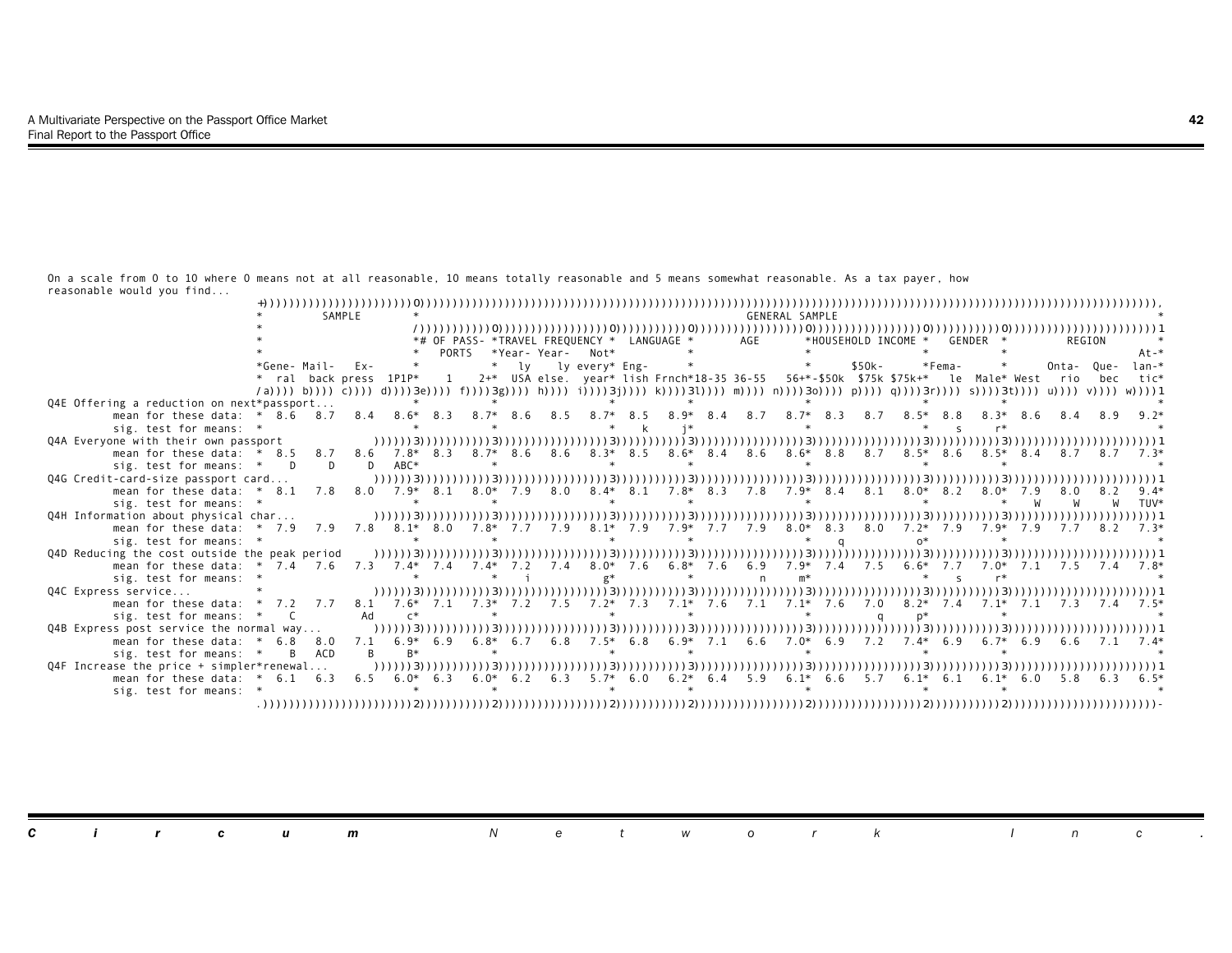On a scale from 0 to 10 where 0 means not at all reasonable, 10 means totally reasonable and 5 means somewhat reasonable. As a tax payer, how reasonable would you find... +)))))))))))))))))))))))0))))))))))))))))))))))))))))))))))))))))))))))))))))))))))))))))))))))))))))))))))))))))))))))))))))))))))))))))), \* SAMPLE \* GENERAL SAMPLE \* \* /)))))))))))0)))))))))))))))))0)))))))))))0)))))))))))))))))0)))))))))))))))))0)))))))))))0)))))))))))))))))))))))1 \* \*# OF PASS- \*TRAVEL FREQUENCY \* LANGUAGE \* AGE \*HOUSEHOLD INCOME \* GENDER \* REGION \* \* \* PORTS \*Year- Year- Not\* \* \* \* \* At-\* \*Gene- Mail- Ex- \* \* ly ly every\* Eng- \* \* \$50k- \*Fema- \* Onta- Que- lan-\* 1 2+\* USA else. year\* lish Frnch\*18-35 36-55 56+\*-\$50k \$75k \$75k+\* le Male\* West rio bec tic\* /a)))) b)))) c)))) d))))3e)))) f))))3g)))) h)))) i))))3j)))) k))))3l)))) m)))) n))))3o)))) p)))) q))))3r)))) s))))3t)))) u)))) v)))) w))))1 Q4E Offering a reduction on next\*passport... \* \* \* \* \* \* \* \* mean for these data: \* 8.6 8.7 8.4 8.6\* 8.3 8.7\* 8.6 8.5 8.7\* 8.5 8.9\* 8.4 8.7 8.7\* 8.3 8.7 8.5\* 8.8 8.3\* 8.6 8.4 8.9 9.2\* sig. test for means: \* \* \* \* k j\* \* \* s r\* \* Q4A Everyone with their own passport ))))))3)))))))))))3)))))))))))))))))3)))))))))))3)))))))))))))))))3)))))))))))))))))3)))))))))))3)))))))))))))))))))))))1 mean for these data: \* 8.5 8.7 8.6 7.8\* 8.3 8.7\* 8.6 8.6 8.3\* 8.5 8.6\* 8.4 8.6 8.6\* 8.8 8.7 8.5\* 8.6 8.5\* 8.4 8.7 8.7 7.3\* sig. test for means: \* D D D ABC\* \* \* \* \* \* \* \* \* \* \* \* Q4G Credit-card-size passport card... ))))))3)))))))))))3)))))))))))))))))3)))))))))))3)))))))))))))))))3)))))))))))))))))3)))))))))))3)))))))))))))))))))))))1 mean for these data: \* 8.1 7.8 8.0 7.9\* 8.1 8.0\* 7.9 8.0 8.4\* 8.1 7.8\* 8.3 7.8 7.9\* 8.4 8.1 8.0\* 8.2 8.0\* 7.9 8.0 8.2 9.4\* sig. test for means: \* \* \* \* \* \* \* \* W W W TUV\* Q4H Information about physical char... ))))))3)))))))))))3)))))))))))))))))3)))))))))))3)))))))))))))))))3)))))))))))))))))3)))))))))))3)))))))))))))))))))))))1 mean for these data: \* 7.9 7.9 7.8 8.1\* 8.0 7.8\* 7.7 7.9 8.1\* 7.9 7.9\* 7.7 7.9 8.0\* 8.3 8.0 7.2\* 7.9 7.9\* 7.9 7.7 8.2 7.3\* sig. test for means: \* \* \* \* \* \* q o\* \* \* Q4D Reducing the cost outside the peak period ))))))3)))))))))))3)))))))))))))))))3)))))))))))3)))))))))))))))))3)))))))))))))))))3)))))))))))3)))))))))))))))))))))))1 mean for these data: \* 7.4 7.6 7.3 7.4\* 7.4 7.4\* 7.2 7.4 8.0\* 7.6 6.8\* 7.6 6.9 7.9\* 7.4 7.5 6.6\* 7.7 7.0\* 7.1 7.5 7.4 7.8\* sig. test for means: \* \* \* i g\* \* n m\* \* s r\* \*  $\mathcal{S}(\mathbf{S}(\mathbf{S}(\mathbf{S}(\mathbf{S}(\mathbf{S}(\mathbf{S}(\mathbf{S}(\mathbf{S}(\mathbf{S}(\mathbf{S}(\mathbf{S}(\mathbf{S}(\mathbf{S}(\mathbf{S}(\mathbf{S}(\mathbf{S}(\mathbf{S}(\mathbf{S}(\mathbf{S}(\mathbf{S}(\mathbf{S}(\mathbf{S}(\mathbf{S}(\mathbf{S}(\mathbf{S}(\mathbf{S}(\mathbf{S}(\mathbf{S}(\mathbf{S}(\mathbf{S}(\mathbf{S}(\mathbf{S}(\mathbf{S}(\mathbf{S}(\mathbf{S}(\mathbf{$  mean for these data: \* 7.2 7.7 8.1 7.6\* 7.1 7.3\* 7.2 7.5 7.2\* 7.3 7.1\* 7.6 7.1 7.1\* 7.6 7.0 8.2\* 7.4 7.1\* 7.1 7.3 7.4 7.5\* sig. test for means: \* C Ad c\* \* \* \* \* q p\* \* \* Q4B Express post service the normal way... ))))))3)))))))))))3)))))))))))))))))3)))))))))))3)))))))))))))))))3)))))))))))))))))3)))))))))))3)))))))))))))))))))))))1 mean for these data: \* 6.8 8.0 7.1 6.9\* 6.9 6.8\* 6.7 6.8 7.5\* 6.8 6.9\* 7.1 6.6 7.0\* 6.9 7.2 7.4\* 6.9 6.7\* 6.9 6.6 7.1 7.4\* sig. test for means:  $*$  B ACD B  $B*$  Q4F Increase the price + simpler\*renewal... ))))))3)))))))))))3)))))))))))))))))3)))))))))))3)))))))))))))))))3)))))))))))))))))3)))))))))))3)))))))))))))))))))))))1 mean for these data: \* 6.1 6.3 6.5 6.0\* 6.3 6.0\* 6.2 6.3 5.7\* 6.0 6.2\* 6.4 5.9 6.1\* 6.6 5.7 6.1\* 6.1 6.1\* 6.0 5.8 6.3 6.5\* sig. test for means: \* .)))))))))))))))))))))))2)))))))))))2)))))))))))))))))2)))))))))))2)))))))))))))))))2)))))))))))))))))2)))))))))))2)))))))))))))))))))))))-

|  |  | <b>Circum</b> Network Inc. |  |  |  |  |  |  |  |
|--|--|----------------------------|--|--|--|--|--|--|--|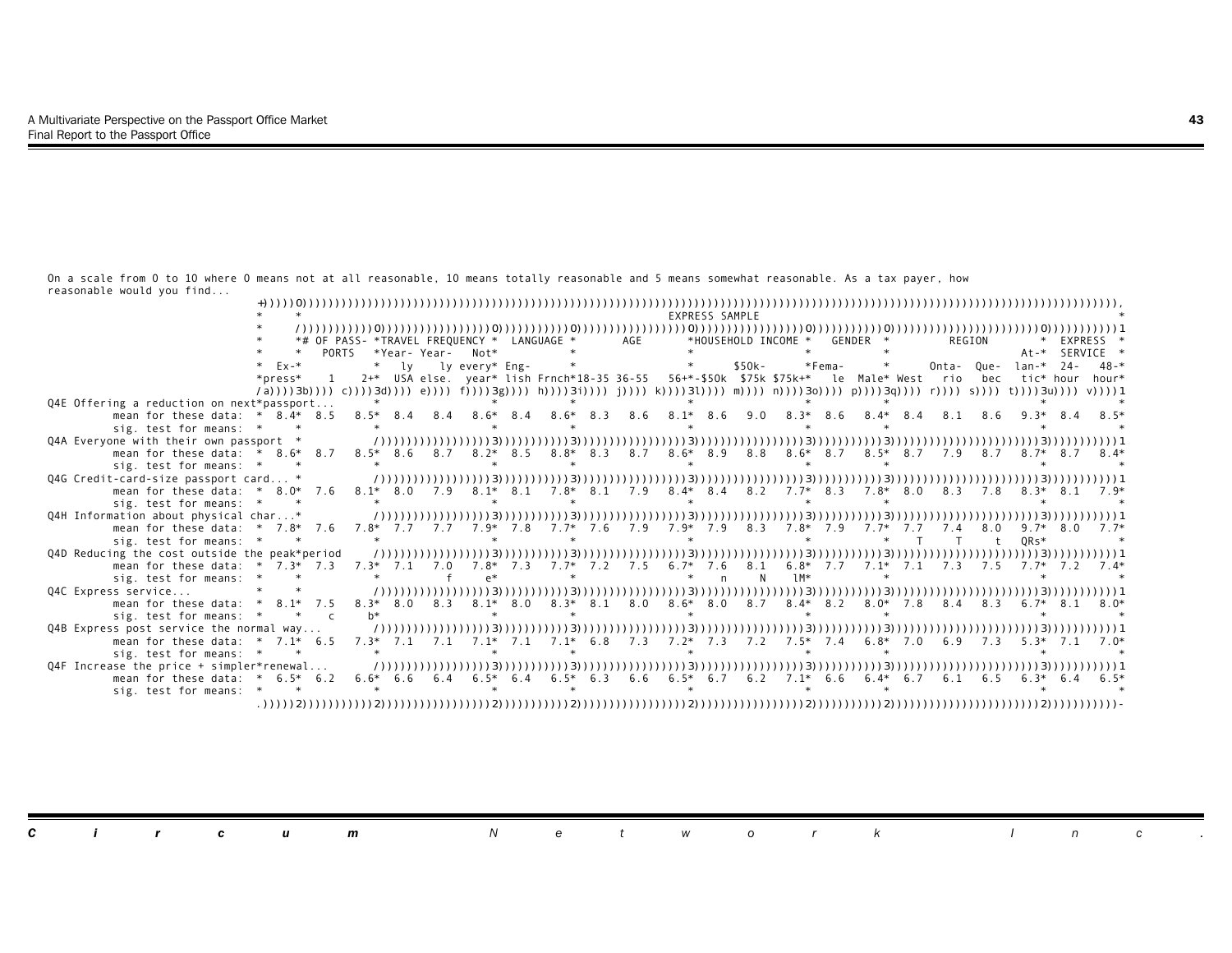reasonable would you find... +)))))0))))))))))))))))))))))))))))))))))))))))))))))))))))))))))))))))))))))))))))))))))))))))))))))))))))))))))))))))))))))))))))), \* \* EXPRESS SAMPLE \* \* /)))))))))))0)))))))))))))))))0)))))))))))0)))))))))))))))))0)))))))))))))))))0)))))))))))0)))))))))))))))))))))))0)))))))))))1 \* \*# OF PASS- \*TRAVEL FREQUENCY \* LANGUAGE \* AGE \*HOUSEHOLD INCOME \* GENDER \* REGION \* EXPRESS \* \* \* PORTS \*Year- Year- Not\* \* \* \* \* \* \* \*<br>\* Ex-\* \* ly lyevery\*Eng- \* \* \* \$50k- \*Fema-\$50k- \*Fema- \* 0nta- Que- lan-\* 24- 48-\* \*press\* 1 2+\* USA else. year\* lish Frnch\*18-35 36-55 56+\*-\$50k \$75k \$75k+\* le Male\* West rio bec tic\* hour hour\* /a))))3b)))) c))))3d)))) e)))) f))))3g)))) h))))3i)))) j)))) k))))3l)))) m)))) n))))3o)))) p))))3q)))) r)))) s)))) t))))3u)))) v))))1 Q4E Offering a reduction on next\*passport... \* \* \* \* \* \* \* \* mean for these data: \* 8.4\* 8.5 8.5\* 8.4 8.4 8.6\* 8.4 8.6\* 8.3 8.6 8.1\* 8.6 9.0 8.3\* 8.6 8.4\* 8.4 8.1 8.6 sig. test for means: \* \* \* \* \* \* \* \* \* \* Q4A Everyone with their own passport \* /)))))))))))))))))3)))))))))))3)))))))))))))))))3)))))))))))))))))3)))))))))))3)))))))))))))))))))))))3)))))))))))1 mean for these data: \* 8.6\* 8.7 8.5\* 8.6 8.7 8.2\* 8.5 8.8\* 8.3 8.7 8.6\* 8.9 8.8 8.6\* 8.7 8.5\* 8.7 7.9 8.7 8.7\* 8.7 8.4\* sig. test for means: \* \* \* \* \* \* \* \* \* \* Q4G Credit-card-size passport card... \* /)))))))))))))))))3)))))))))))3)))))))))))))))))3)))))))))))))))))3)))))))))))3)))))))))))))))))))))))3)))))))))))1 mean for these data: \* 8.0\* 7.6 8.1\* 8.0 7.9 8.1\* 8.1 7.8\* 8.1 7.9 8.4\* 8.4 8.2 7.7\* 8.3 7.8\* 8.0 8.3 7.8 8.3\* 8.1 7.9\* sig. test for means: \* \* \*<br> $Q4H$  Information about physical char...\* Q4H Information about physical char...\* /)))))))))))))))))3)))))))))))3)))))))))))))))))3)))))))))))))))))3)))))))))))3)))))))))))))))))))))))3)))))))))))1 mean for these data: \* 7.8\* 7.6 7.8\* 7.7 7.7 7.9\* 7.8 7.7\* 7.6 7.9 7.9\* 7.9 8.3 7.8\* 7.9 7.7\* 7.7 7.4 8.0 9.7\* 8.0 7.7\* sig. test for means: \* \* \* \* \* \* \* \* T T t QRs\* \* Q4D Reducing the cost outside the peak\*period /)))))))))))))))))3)))))))))))3)))))))))))))))))3)))))))))))))))))3)))))))))))3)))))))))))))))))))))))3)))))))))))1 mean for these data: \* 7.3\* 7.3 7.3\* 7.1 7.0 7.8\* 7.3 7.7\* 7.2 7.5 6.7\* 7.6 8.1 6.8\* 7.7 7.1\* 7.1 7.3 7.5 7.7\* 7.2 7.4\* sig. test for means: \* \* \* f e\* \* \* n N lM\* \* \* \* Q4C Express service... \* \* /)))))))))))))))))3)))))))))))3)))))))))))))))))3)))))))))))))))))3)))))))))))3)))))))))))))))))))))))3)))))))))))1 mean for these data: \* 8.1\* 7.5 8.3\* 8.0 8.3 8.1\* 8.0 8.3\* 8.1 8.0 8.6\* 8.0 8.7 8.4\* 8.2 8.0\* 7.8 8.4 8.3 6.7\* 8.1 8.0\* sig. test for means:  $*$   $*$   $\subset$   $b*$  Q4B Express post service the normal way... /)))))))))))))))))3)))))))))))3)))))))))))))))))3)))))))))))))))))3)))))))))))3)))))))))))))))))))))))3)))))))))))1 mean for these data: \* 7.1\* 6.5 7.3\* 7.1 7.1 7.1\* 7.1 7.1\* 6.8 7.3 7.2\* 7.3 7.2 7.5\* 7.4 6.8\* 7.0 6.9 7.3 5.3\* 7.1 7.0\* sig. test for means: \* Q4F Increase the price + simpler\*renewal... /)))))))))))))))))3)))))))))))3)))))))))))))))))3)))))))))))))))))3)))))))))))3)))))))))))))))))))))))3)))))))))))1 mean for these data: \* 6.5\* 6.2 6.6\* 6.6 6.4 6.5\* 6.4 6.5\* 6.3 6.6 6.5\* 6.7 6.2 7.1\* 6.6 6.4\* 6.7 6.1 6.5 6.3\* 6.4 6.5\* sig. test for means: \* \* \* .)))))2)))))))))))2)))))))))))))))))2)))))))))))2)))))))))))))))))2)))))))))))))))))2)))))))))))2)))))))))))))))))))))))2)))))))))))-

On a scale from 0 to 10 where 0 means not at all reasonable, 10 means totally reasonable and 5 means somewhat reasonable. As a tax payer, how

|  |  | $C$ i r c u | $N$ et w |  | the contract of the contract of the contract of the contract of the contract of the contract of the contract of | $\Omega$ r | $\mathbf{k}$ and $\mathbf{k}$ and $\mathbf{k}$ and $\mathbf{k}$ and $\mathbf{k}$ and $\mathbf{k}$ and $\mathbf{k}$ and $\mathbf{k}$ and $\mathbf{k}$ and $\mathbf{k}$ and $\mathbf{k}$ and $\mathbf{k}$ and $\mathbf{k}$ and $\mathbf{k}$ and $\mathbf{k}$ and $\mathbf{k}$ and $\mathbf{k}$ and $\mathbf{k}$ and $\mathbf{k$ |  |  |
|--|--|-------------|----------|--|-----------------------------------------------------------------------------------------------------------------|------------|-------------------------------------------------------------------------------------------------------------------------------------------------------------------------------------------------------------------------------------------------------------------------------------------------------------------------------|--|--|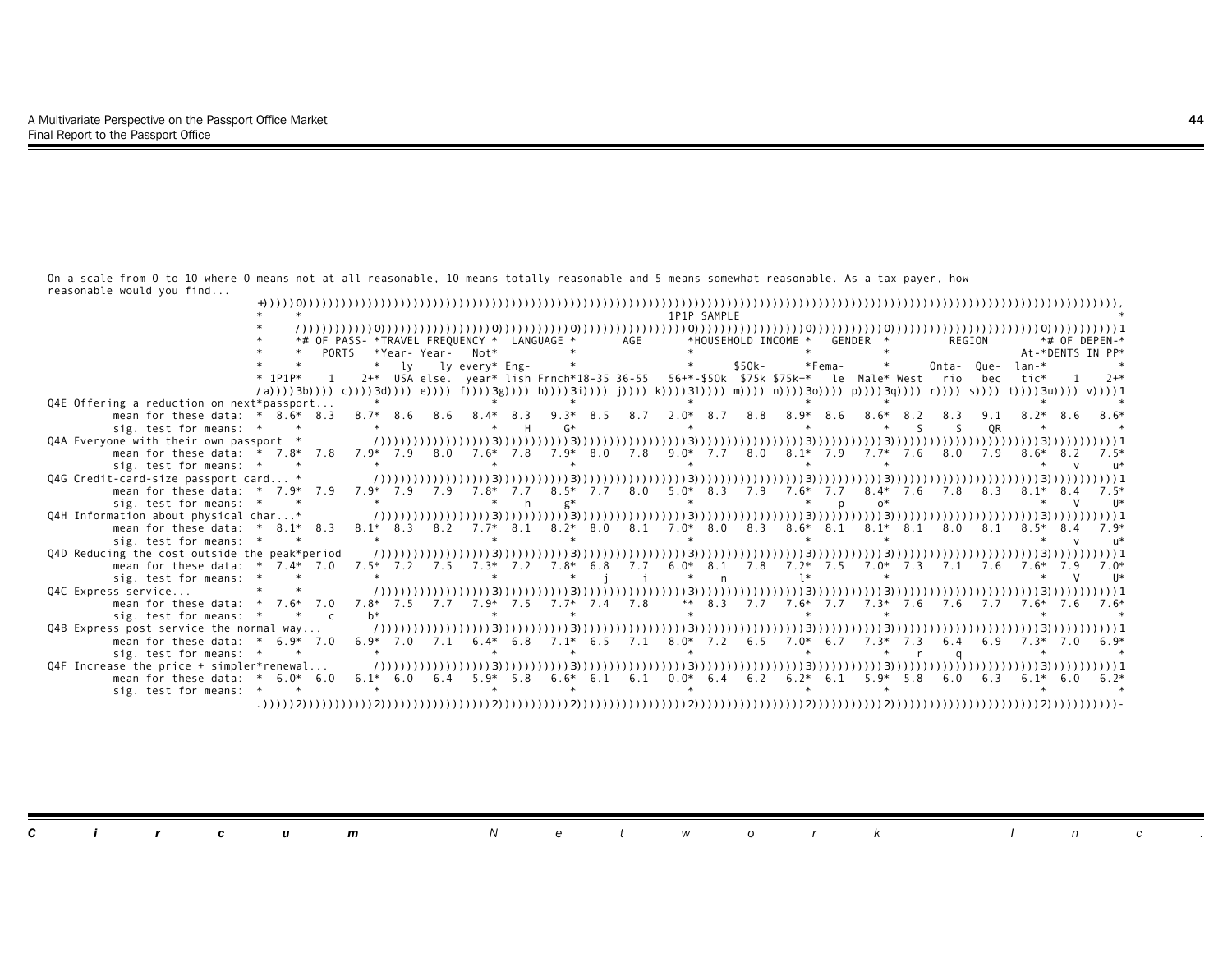reasonable would you find... +)))))0))))))))))))))))))))))))))))))))))))))))))))))))))))))))))))))))))))))))))))))))))))))))))))))))))))))))))))))))))))))))))))), \* \* 1P1P SAMPLE \* \* /)))))))))))0)))))))))))))))))0)))))))))))0)))))))))))))))))0)))))))))))))))))0)))))))))))0)))))))))))))))))))))))0)))))))))))1 \* \*# OF PASS- \*TRAVEL FREQUENCY \* LANGUAGE \* AGE \*HOUSEHOLD INCOME \* GENDER \* REGION \*# OF DEPEN-\* \* \* PORTS \*Year- Year- Not\* \* \* \* \* At-\*DENTS IN PP\* \* \* \* ly ly every\* Eng- \* \* \$50k- \*Fema- \* Onta- Que- lan-\* \* 1 2+\* USA else. year\* lish Frnch\*18-35 36-55 56+\*-\$50k \$75k \$75k+\* le Male\* West rio bec tic\* 1 /a))))3b)))) c))))3d)))) e)))) f))))3g)))) h))))3i)))) j)))) k))))3l)))) m)))) n))))3o)))) p))))3q)))) r)))) s)))) t))))3u)))) v))))1 Q4E Offering a reduction on next\*passport... \* \* \* \* \* \* \* \* mean for these data:  $* 8.6 * 8.3$  sig. test for means: \* \* \* \* H G\* \* \* \* S S QR \* \* Q4A Everyone with their own passport \* /)))))))))))))))))3)))))))))))3)))))))))))))))))3)))))))))))))))))3)))))))))))3)))))))))))))))))))))))3)))))))))))1 mean for these data: \* 7.8\* 7.8 7.9\* 7.9 8.0 7.6\* 7.8 7.9\* 8.0 7.8 9.0\* 7.7 8.0 8.1\* 7.9 7.7\* 7.6 8.0 7.9 8.6\* 8.2 7.5\* sig. test for means: \* \* \* \* \* \* \* \* \* v u\* Q4G Credit-card-size passport card... \* /)))))))))))))))))3)))))))))))3)))))))))))))))))3)))))))))))))))))3)))))))))))3)))))))))))))))))))))))3)))))))))))1 mean for these data: \* 7.9\* 7.9 7.9\* 7.9 7.9 7.8\* 7.7 8.5\* 7.7 8.0 5.0\* 8.3 7.9 7.6\* 7.7 8.4\* 7.6 7.8 8.3 8.1\* 8.4 7.5\* sig. test for means: \* \* \* \* h g\* \* \* p o\* \* V U\* Q4H Information about physical char...\* /)))))))))))))))))3)))))))))))3)))))))))))))))))3)))))))))))))))))3)))))))))))3)))))))))))))))))))))))3)))))))))))1 mean for these data: \* 8.1\* 8.3 8.1\* 8.3 8.2 7.7\* 8.1 8.2\* 8.0 8.1 7.0\* 8.0 8.3 8.6\* 8.1 8.1\* 8.1 8.0 8.1 8.5\* 8.4 7.9\* sig. test for means: \* \* \* \* \* \* \* \* \* v u\* Q4D Reducing the cost outside the peak\*period /)))))))))))))))))3)))))))))))3)))))))))))))))))3)))))))))))))))))3)))))))))))3)))))))))))))))))))))))3)))))))))))1 mean for these data: \* 7.4\* 7.0 7.5\* 7.2 7.5 7.3\* 7.2 7.8\* 6.8 7.7 6.0\* 8.1 7.8 7.2\* 7.5 7.0\* 7.3 7.1 7.6 7.6\* 7.9 7.0\* sig. test for means: \* \* \* \* \* j i \* n l\* \* \* V U\* Q4C Express service... \* \* /)))))))))))))))))3)))))))))))3)))))))))))))))))3)))))))))))))))))3)))))))))))3)))))))))))))))))))))))3)))))))))))1 mean for these data: \* 7.6\* 7.0 7.8\* 7.5 7.7 7.9\* 7.5 7.7\* 7.4 7.8 \*\* 8.3 7.7 7.6\* 7.7 7.3\* 7.6 7.6 7.7 7.6\* 7.6 7.6\* sig. test for means:  $*$   $*$   $\subset$   $b*$  Q4B Express post service the normal way... /)))))))))))))))))3)))))))))))3)))))))))))))))))3)))))))))))))))))3)))))))))))3)))))))))))))))))))))))3)))))))))))1 mean for these data: \* 6.9\* 7.0 6.9\* 7.0 7.1 6.4\* 6.8 7.1\* 6.5 7.1 8.0\* 7.2 6.5 7.0\* 6.7 7.3\* 7.3 6.4 6.9 7.3\* 7.0 6.9\* sig. test for means: \* \* \* \* \* \* \* \* r q \* \* Q4F Increase the price + simpler\*renewal... /)))))))))))))))))3)))))))))))3)))))))))))))))))3)))))))))))))))))3)))))))))))3)))))))))))))))))))))))3)))))))))))1 mean for these data: \* 6.0\* 6.0 6.1\* 6.0 6.4 5.9\* 5.8 6.6\* 6.1 6.1 0.0\* 6.4 6.2 6.2\* 6.1 5.9\* 5.8 6.0 6.3 6.1\* 6.0 6.2\* sig. test for means: \* \* \* .)))))2)))))))))))2)))))))))))))))))2)))))))))))2)))))))))))))))))2)))))))))))))))))2)))))))))))2)))))))))))))))))))))))2)))))))))))-

On a scale from 0 to 10 where 0 means not at all reasonable, 10 means totally reasonable and 5 means somewhat reasonable. As a tax payer, how

|  |  |  | <b>Circum</b> Network Inc. |  |  |  |  |  |  |
|--|--|--|----------------------------|--|--|--|--|--|--|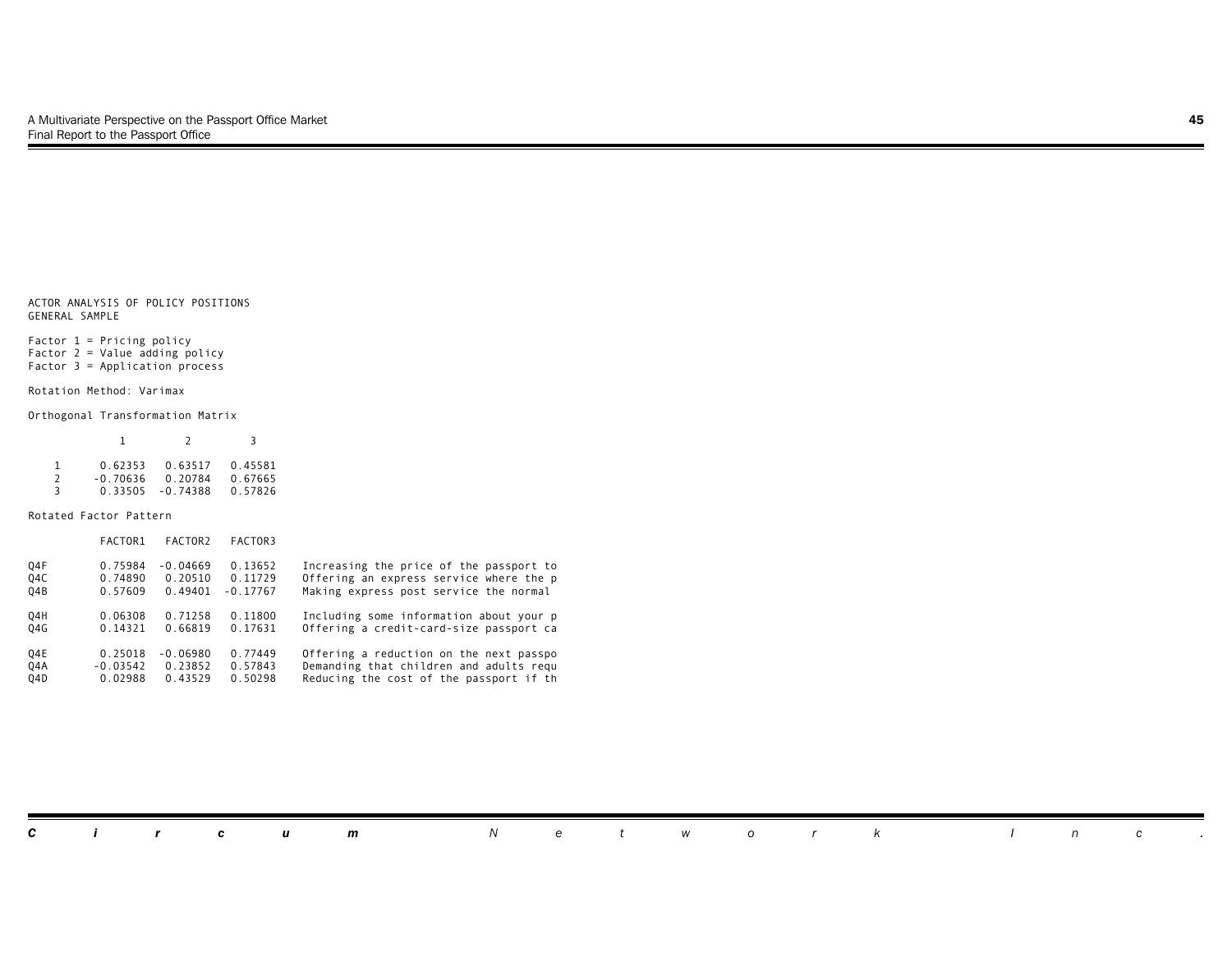ACTOR ANALYSIS OF POLICY POSITIONS GENERAL SAMPLE

Factor 1 = Pricing policy Factor 2 = Value adding policy Factor 3 = Application process

Rotation Method: Varimax

Orthogonal Transformation Matrix

|   | 0.62353    | 0.63517  | 0.45581 |
|---|------------|----------|---------|
|   | $-0.70636$ | 0.20784  | 0.67665 |
| ₹ | 0.33505    | -0.74388 | 0.57826 |

Rotated Factor Pattern

|     | FACTOR1    | FACTOR2    | FACTOR3    |                                          |
|-----|------------|------------|------------|------------------------------------------|
| Q4F | 0.75984    | $-0.04669$ | 0.13652    | Increasing the price of the passport to  |
| Q4C | 0.74890    | 0.20510    | 0.11729    | Offering an express service where the p  |
| 04B | 0.57609    | 0.49401    | $-0.17767$ | Making express post service the normal   |
| 04H | 0.06308    | 0.71258    | 0.11800    | Including some information about your p  |
| 04G | 0.14321    | 0.66819    | 0.17631    | Offering a credit-card-size passport ca  |
| Q4E | 0.25018    | $-0.06980$ | 0.77449    | Offering a reduction on the next passpo  |
| Q4A | $-0.03542$ | 0.23852    | 0.57843    | Demanding that children and adults requ  |
| 04D | 0.02988    | 0.43529    | 0.50298    | Reducing the cost of the passport if the |

| <b>Circum</b> Network Inc. |  |  |  |  |  |  |  |  |  |  |  |  |  |  |  |  |  |  |
|----------------------------|--|--|--|--|--|--|--|--|--|--|--|--|--|--|--|--|--|--|
|----------------------------|--|--|--|--|--|--|--|--|--|--|--|--|--|--|--|--|--|--|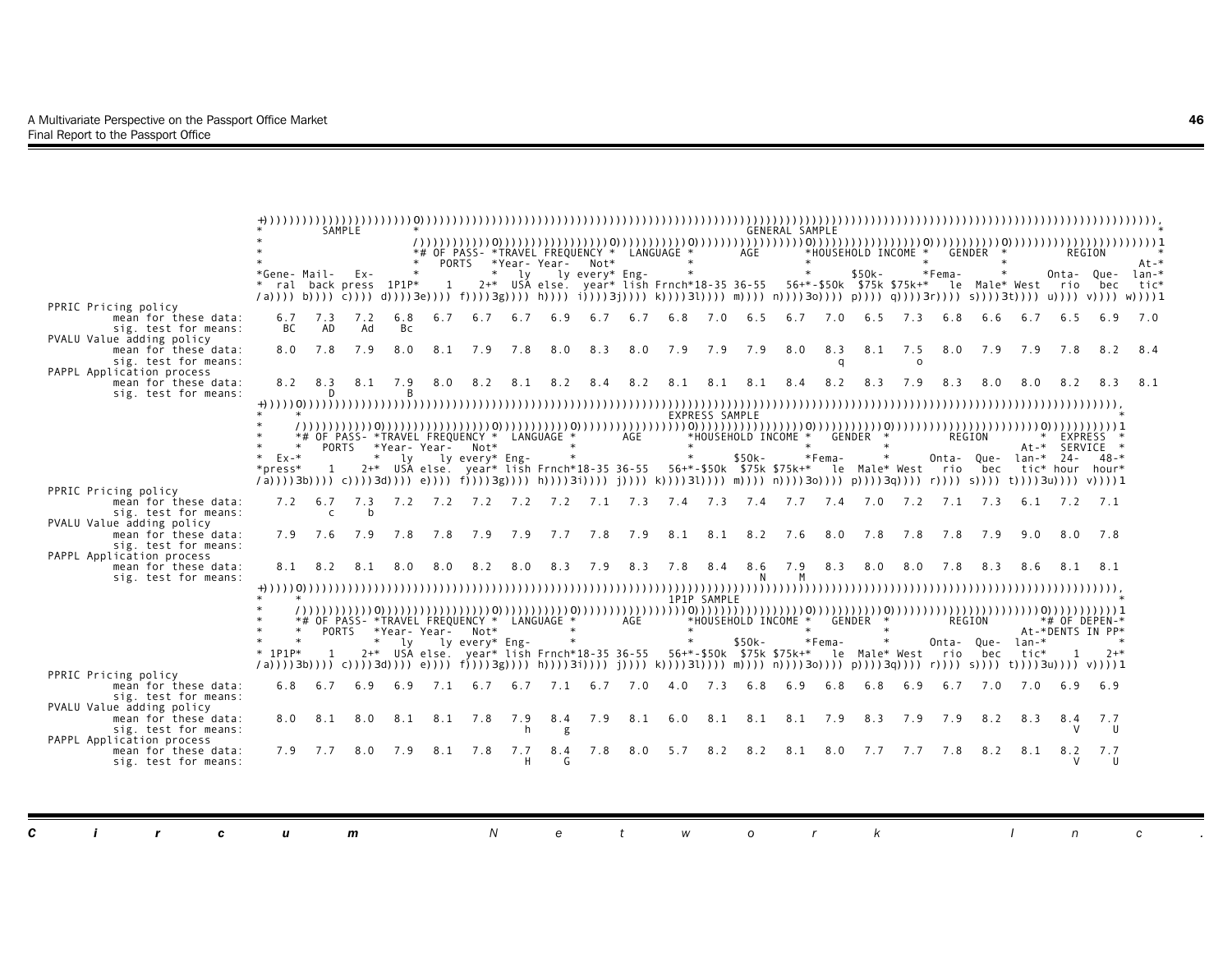|                                                                           |                                                                                                                                                         |                     | SAMPLE                           |           |     |                                                                                        |         |     |                   |     |         |                |         | GENERAL SAMPLE                                                                                        |        |                              |     |        |                     |                          |     |                                                        |          |
|---------------------------------------------------------------------------|---------------------------------------------------------------------------------------------------------------------------------------------------------|---------------------|----------------------------------|-----------|-----|----------------------------------------------------------------------------------------|---------|-----|-------------------|-----|---------|----------------|---------|-------------------------------------------------------------------------------------------------------|--------|------------------------------|-----|--------|---------------------|--------------------------|-----|--------------------------------------------------------|----------|
|                                                                           |                                                                                                                                                         |                     |                                  |           |     | *# OF PASS- *TRAVEL FREQUENCY * LANGUAGE *<br>PORTS                                    |         |     | *Year- Year- Not* |     |         |                | AGE     |                                                                                                       |        | *HOUSEHOLD INCOME * GENDER * |     |        |                     |                          |     | REGION                                                 | $At - *$ |
|                                                                           | *Gene- Mail-<br>/a))) b)))) c)))) d))))3e)))) f)))3g))) h)))) i)))3g)))) k)))3i))) k)))3l))) m))) n)))30))) a)))) g)))3r))) s)))3t)))) v))) v)))) w)))1 |                     | Ex-<br>* ral back_press 1P1P* 1* |           |     |                                                                                        | $*$ lv  |     | lv every* Eng-    |     | $\ast$  |                |         | 2 <sup>+*</sup> USA else. year* lish Frnch*18-35 36-55 56+*-\$50k \$75k \$75k+* le Male* West rio bec |        | $$50k-$                      |     | *Fema- |                     |                          |     | Onta- Que- lan-*                                       | tic*     |
| PPRIC Pricing policy<br>mean for these data:<br>sig. test for means:      | 6.7<br>BC.                                                                                                                                              | 7.3<br>AD           | 7.2<br>Ad                        | 6.8<br>Bc | 6.7 | 6.7                                                                                    | 6.7     | 6.9 | 6.7               | 6.7 | 6.8     | 7.0            | 6.5     | 6.7                                                                                                   | 7.0    | 6.5                          | 7.3 | 6.8    |                     |                          |     | 69                                                     | 7.0      |
| PVALU Value adding policy<br>mean for these data:<br>sig. test for means: | 8.0                                                                                                                                                     |                     | 7.9                              | 8.0       | 8.1 | 7.9 7.8                                                                                |         | 8.0 | 8.3               | 8.0 |         |                |         | 7.9 7.9 7.9 8.0                                                                                       | 8.3    | 8.1                          | 7.5 | 8.0    | 7.9                 | 7.9 7.8                  |     | 8.2                                                    | 8.4      |
| PAPPL Application process<br>mean for these data:<br>sig. test for means: |                                                                                                                                                         | 8.2 8.3             |                                  | 8.1 7.9   | 8.0 |                                                                                        | 8.2 8.1 | 8.2 | 8.4               |     |         |                |         | 8.2 8.1 8.1 8.1 8.4 8.2                                                                               |        | 8.3                          | 7.9 | 8.3    | 8.0                 | 8.0                      | 8.2 | 8.3                                                    |          |
|                                                                           |                                                                                                                                                         |                     |                                  |           |     |                                                                                        |         |     |                   |     |         | EXPRESS SAMPLE |         |                                                                                                       |        |                              |     |        |                     |                          |     |                                                        |          |
|                                                                           | $Ex - *$                                                                                                                                                | $\ast$              |                                  | $*$ lv    |     | *# OF PASS- *TRAVEL FREQUENCY * LANGUAGE *<br>PORTS *Year-Year- Not*<br>ly every* Eng- |         |     | $\ast$            | AGE |         |                | $$50k-$ | *HOUSEHOLD INCOME *                                                                                   | *Fema- | GENDER *                     |     |        | REGION<br>Onta-Oue- |                          |     | (1)<br>* EXPRESS *<br>At-* SERVICE *<br>lan-* 24- 48-* |          |
|                                                                           | *press*<br>/a))))3b)))) c))))3d)))) e)))) f)))3g)))) h)))3i)))) j))) k)))3l)))) m)))3n))) n)))330))) p)))330))) r))) s))) t)))3u)))) v)))1              |                     |                                  |           |     | 2+* USA else. year* lish Frnch*18-35 36-55 56+*-\$50k \$75k \$75k+*                    |         |     |                   |     |         |                |         |                                                                                                       |        | le Male* West rio bec        |     |        |                     |                          |     | tic* hour hour*                                        |          |
| PPRIC Pricing policy<br>mean for these data:<br>sig. test for means:      | 7.2                                                                                                                                                     | 6.7<br>$\mathsf{C}$ | 7.3<br><sub>h</sub>              |           |     | 7.2 7.2 7.2 7.2 7.2 7.1 7.3                                                            |         |     |                   |     |         |                |         | 7.4 7.3 7.4 7.7 7.4                                                                                   |        | 7.0                          | 7.2 | 7.1    | 7.3                 | 6.1                      |     | 7.2 7.1                                                |          |
| PVALU Value adding policy<br>mean for these data:<br>sig. test for means: | 7.9                                                                                                                                                     | 7.6                 | 7.9                              | 7.8       | 7.8 | 7.9                                                                                    | 7.9     | 7.7 | 7.8               | 7.9 |         | 8.1 8.1        | 8.2     | 7.6                                                                                                   | 8.0    | 7.8                          | 7.8 | 7.8    | 7.9                 | 9.0                      | 8.0 | 7.8                                                    |          |
| PAPPL Application process<br>mean for these data:<br>sig. test for means: |                                                                                                                                                         | 8.1 8.2             |                                  | 8.1 8.0   | 8.0 | 8.2 8.0                                                                                |         | 8.3 | 7.9               | 8.3 | 7.8     |                | 8.4 8.6 | 7.9                                                                                                   | 8.3    | 8.0                          | 8.0 | 7.8    | 8.3                 | 8.6                      |     | 8.1 8.1                                                |          |
|                                                                           |                                                                                                                                                         |                     |                                  |           |     |                                                                                        |         |     |                   |     |         | 1P1P SAMPLE    |         |                                                                                                       |        |                              |     |        |                     |                          |     |                                                        |          |
|                                                                           |                                                                                                                                                         |                     | PORTS                            |           |     | *# OF PASS- *TRAVEL FREQUENCY * LANGUAGE *<br>*Year- Year- - Not*                      |         |     |                   | AGE |         |                |         | *HOUSEHOLD INCOME *                                                                                   |        | GENDER *                     |     |        | REGION              |                          |     | (1)<br>*# OF DEPEN-*<br>At-*DENTS IN PP*               |          |
|                                                                           | $*$ 1P1P $*$<br>/a)))3b)))) c)))3d)))) e)))) f)))3g)))) h)))3i)))) j))) k)))3l)))) m)))3n))) m)))30))) p)))330))) r))) s))) t)))3u)))) v)))1            |                     |                                  | 1v        |     | ly every* Eng-<br>2+* USA else. year* lish Frnch*18-35 36-55 56+*-\$50k \$75k \$75k+*  |         |     | $\ast$            |     | $\ast$  |                | $$50k-$ |                                                                                                       | *Fema- | le Male*West rio             |     |        | bec                 | Onta- Oue- lan-*<br>tic* |     | $2+*$                                                  |          |
| PPRIC Pricing policy<br>mean for these data:<br>sig. test for means:      | 6.8                                                                                                                                                     | 6.7                 | 6.9                              | 6.9       | 7.1 | 6.7                                                                                    | 6.7     | 7.1 | 6.7               | 7.0 | 4.0     | 7.3            | 6.8     |                                                                                                       |        |                              | 6.9 | 6.7    | 7.0                 | 7.0                      | 6.9 | 6.9                                                    |          |
| PVALU Value adding policy<br>mean for these data:<br>sig. test for means: | 8.0                                                                                                                                                     | 8.1                 | 8.0                              | 8.1       |     | 8.1 7.8 7.9                                                                            |         | 8.4 | 7.9               |     | 8.1 6.0 |                |         | 8.1 8.1 8.1 7.9                                                                                       |        | 8.3                          | 7.9 | 7.9    | 8.2                 | 8.3                      | 8.4 | 7.7<br>$\mathbf{U}$                                    |          |
| PAPPL Application process<br>mean for these data:<br>sig. test for means: | 7.9                                                                                                                                                     | 7.7                 |                                  |           |     | 8.0 7.9 8.1 7.8 7.7                                                                    |         | 8.4 | 7.8               |     |         |                |         | 8.0 5.7 8.2 8.2 8.1 8.0 7.7 7.7 7.8 8.2 8.1                                                           |        |                              |     |        |                     |                          | 8.2 | 7.7                                                    |          |
|                                                                           |                                                                                                                                                         |                     |                                  |           |     |                                                                                        |         |     |                   |     |         |                |         |                                                                                                       |        |                              |     |        |                     |                          |     |                                                        |          |

|  |  | <b>Circum</b> Network Inc. |  |  |  |  |  |  |
|--|--|----------------------------|--|--|--|--|--|--|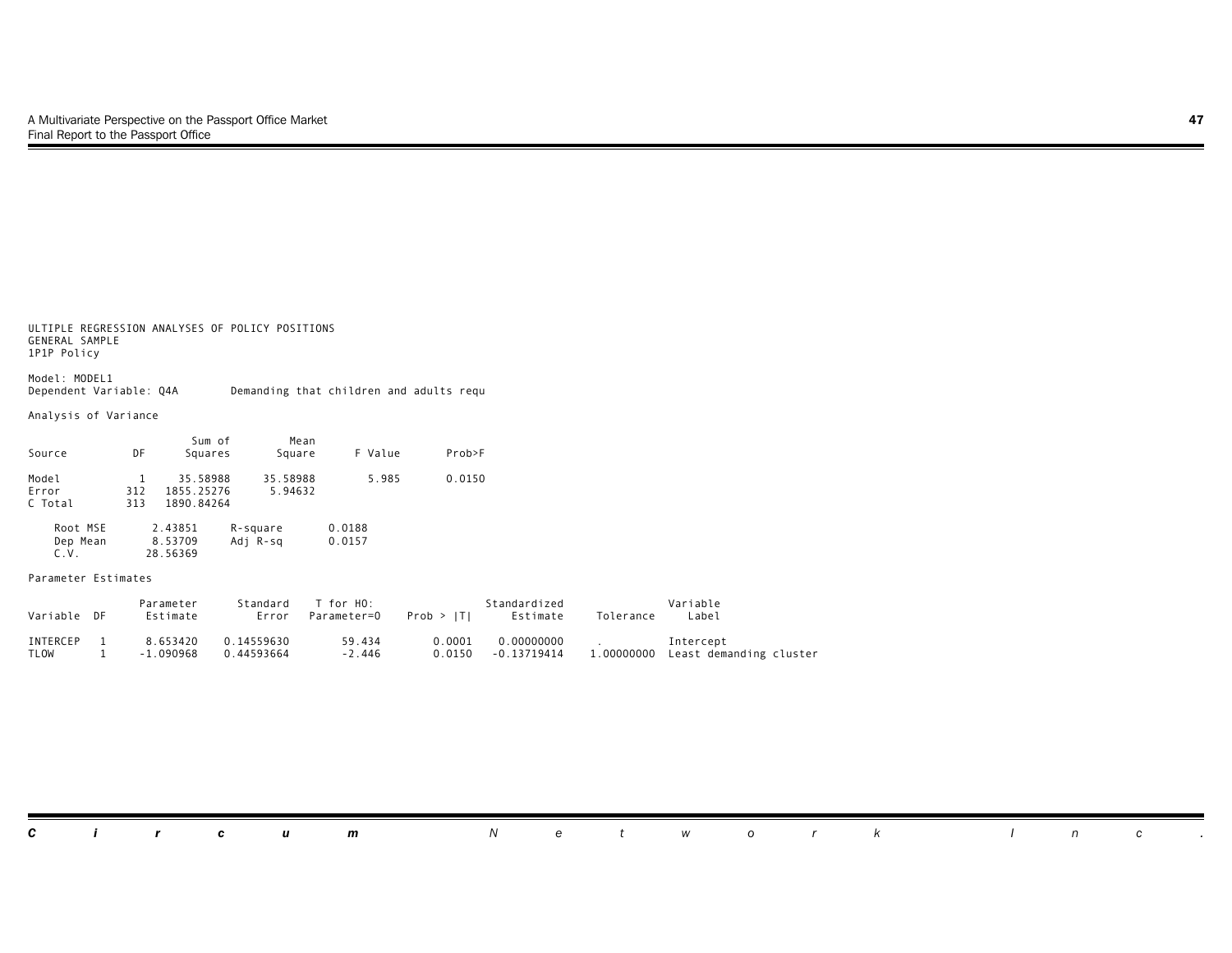ULTIPLE REGRESSION ANALYSES OF POLICY POSITIONS GENERAL SAMPLE 1P1P Policy

Model: MODEL1<br>Dependent Variable: Q4A Demanding that children and adults requ

Analysis of Variance

| Source                       | DF         | Sum of<br>Squares                    |                      | Mean<br>Square      | F Value          | Prob>F |
|------------------------------|------------|--------------------------------------|----------------------|---------------------|------------------|--------|
| Model<br>Error<br>C Total    | 312<br>313 | 35.58988<br>1855.25276<br>1890.84264 |                      | 35.58988<br>5.94632 | 5.985            | 0.0150 |
| Root MSE<br>Dep Mean<br>C.V. |            | 2.43851<br>8.53709<br>28.56369       | R-square<br>Adj R-sq |                     | 0.0188<br>0.0157 |        |

| Variable DF      | Parameter<br>Estimate | Standard<br>Error        | T for HO:<br>Parameter=0 | Prob >  T        | Standardized<br>Estimate  | Tolerance | Variable<br>Label                               |
|------------------|-----------------------|--------------------------|--------------------------|------------------|---------------------------|-----------|-------------------------------------------------|
| INTERCEP<br>TLOW | 8.653420<br>-1.090968 | 0.14559630<br>0.44593664 | 59.434<br>$-2.446$       | 0.0001<br>0.0150 | 0.00000000<br>-0.13719414 |           | Intercept<br>1.00000000 Least demanding cluster |

|  |  |  | <b>Circum</b> Network Inc. |  |  |  |  |  |  |
|--|--|--|----------------------------|--|--|--|--|--|--|
|  |  |  |                            |  |  |  |  |  |  |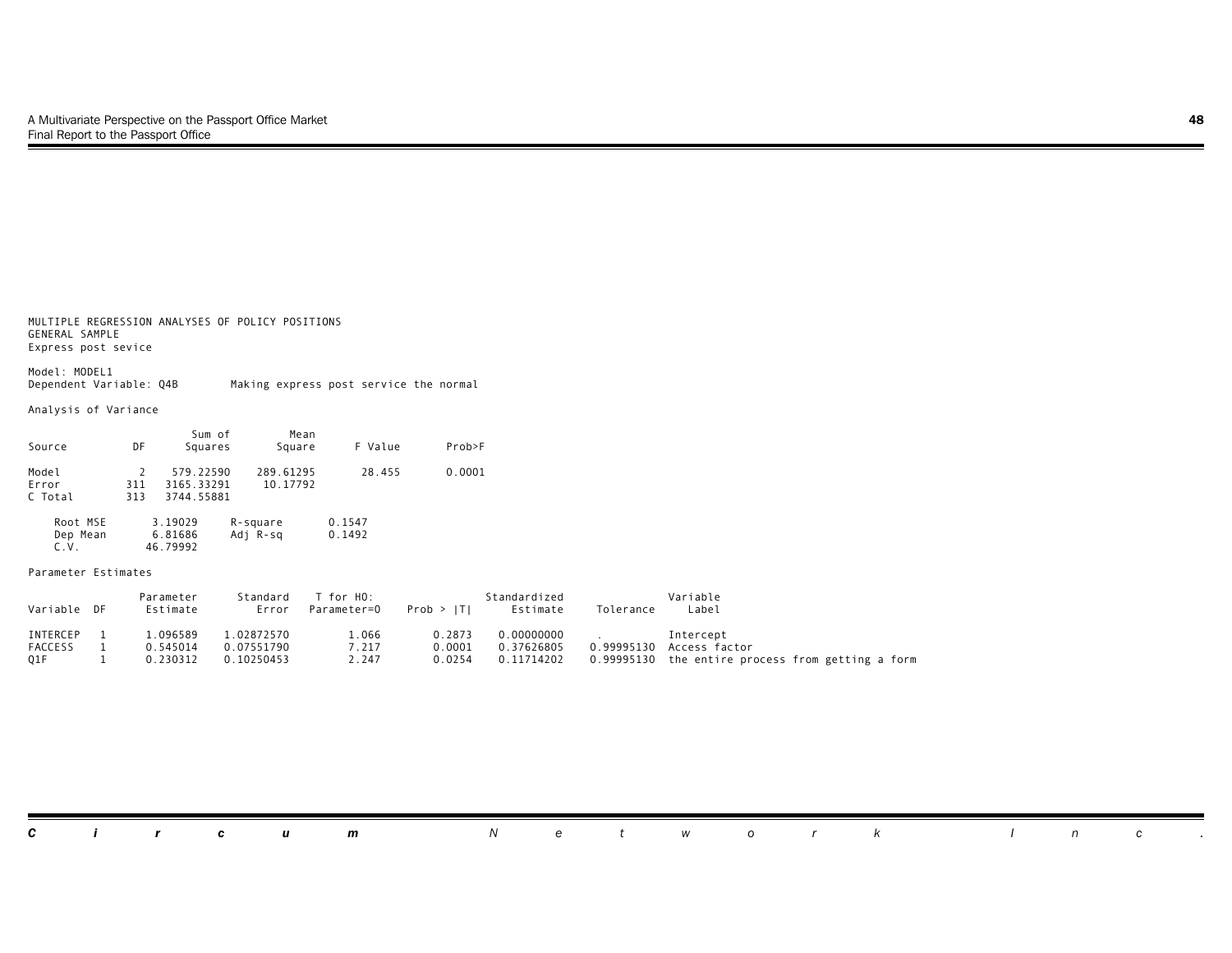MULTIPLE REGRESSION ANALYSES OF POLICY POSITIONS GENERAL SAMPLE Express post sevice

Model: MODEL1<br>Dependent Variable: Q4B Making express post service the normal

Analysis of Variance

| Source                       | DF  | Sum of<br>Squares              | Mean<br>Square        | F Value          | Prob>F |
|------------------------------|-----|--------------------------------|-----------------------|------------------|--------|
| Model<br>Error               | 311 | 579.22590<br>3165.33291        | 289.61295<br>10.17792 | 28.455           | 0.0001 |
| C Total                      | 313 | 3744.55881                     |                       |                  |        |
| Root MSE<br>Dep Mean<br>C.V. |     | 3.19029<br>6.81686<br>46.79992 | R-square<br>Adj R-sq  | 0.1547<br>0.1492 |        |

|             | Parameter | Standard   | T for HO:   |           | Standardized |           | Variable                                          |
|-------------|-----------|------------|-------------|-----------|--------------|-----------|---------------------------------------------------|
| Variable DF | Estimate  | Error      | Parameter=0 | Prob >  T | Estimate     | Tolerance | Label                                             |
| INTERCEP    | 1.096589  | 1.02872570 | 1.066       | 0.2873    | 0.00000000   |           | Intercept                                         |
| FACCESS     | 0.545014  | 0.07551790 | 7.217       | 0.0001    | 0.37626805   |           | 0.99995130 Access factor                          |
| Q1F         | 0.230312  | 0.10250453 | 2.247       | 0.0254    | 0.11714202   |           | 0.99995130 the entire process from getting a form |

|  |  |  | <b>Circum</b> Network Inc. |  |  |  |  |  |  |
|--|--|--|----------------------------|--|--|--|--|--|--|
|  |  |  |                            |  |  |  |  |  |  |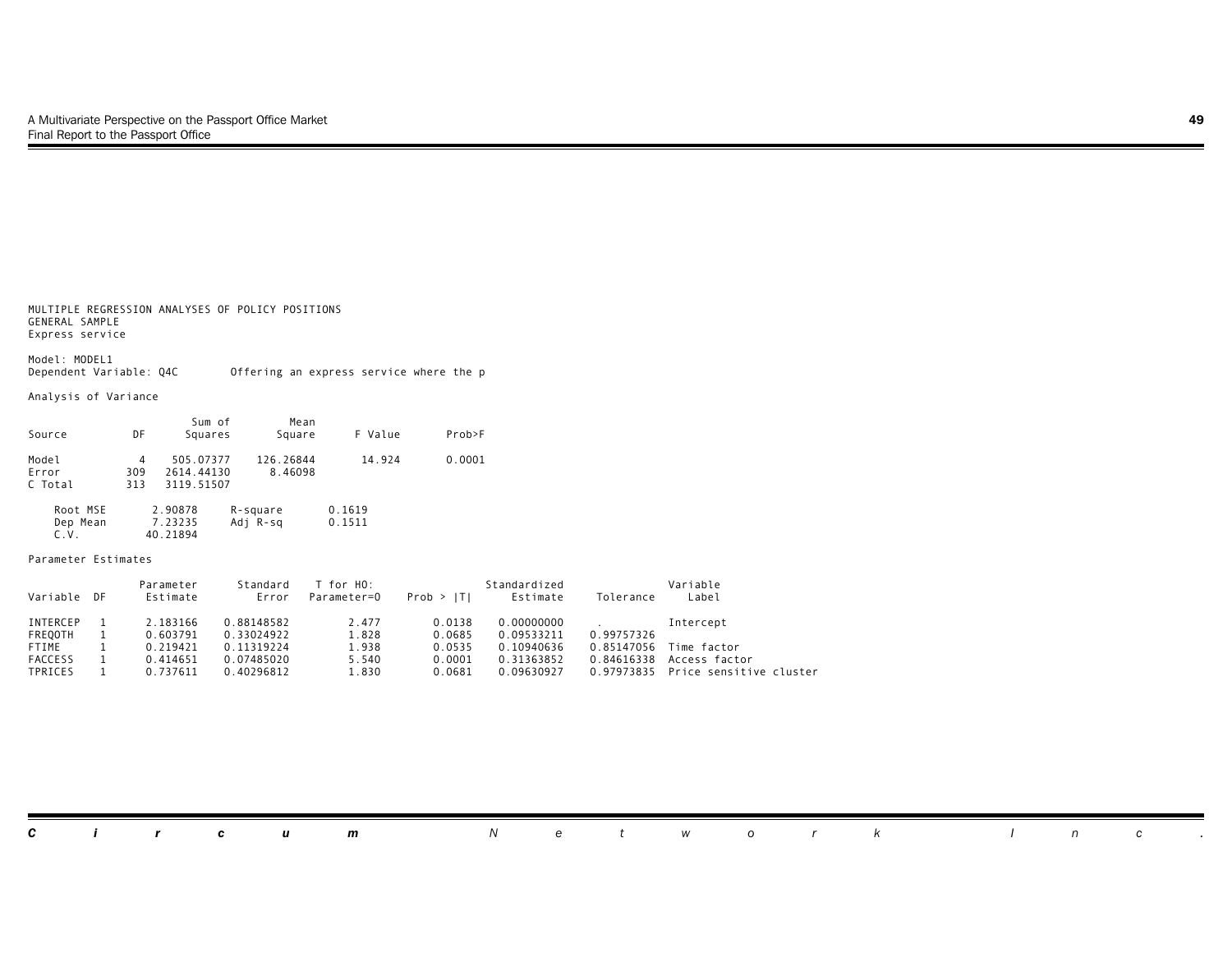MULTIPLE REGRESSION ANALYSES OF POLICY POSITIONS GENERAL SAMPLE Express service

Model: MODEL1<br>Dependent Variable: Q4C Offering an express service where the p

Analysis of Variance

| Source                       | DF              | Sum of<br>Squares                     | Mean<br>Square       | F Value          | Prob>F |
|------------------------------|-----------------|---------------------------------------|----------------------|------------------|--------|
| Model<br>Error<br>C Total    | 4<br>309<br>313 | 505.07377<br>2614.44130<br>3119.51507 | 126.26844<br>8.46098 | 14.924           | 0.0001 |
| Root MSE<br>Dep Mean<br>C.V. |                 | 2.90878<br>7.23235<br>40.21894        | R-square<br>Adi R-sq | 0.1619<br>0.1511 |        |

|             | Parameter | Standard   | T for HO:   |           | Standardized |            | Variable                |
|-------------|-----------|------------|-------------|-----------|--------------|------------|-------------------------|
| Variable DF | Estimate  | Error      | Parameter=0 | Prob >  T | Estimate     | Tolerance  | Label                   |
| INTERCEP    | 2.183166  | 0.88148582 | 2.477       | 0.0138    | 0.00000000   |            | Intercept               |
| FREQOTH     | 0.603791  | 0.33024922 | 1.828       | 0.0685    | 0.09533211   | 0.99757326 |                         |
| FTIME       | 0.219421  | 0.11319224 | 1.938       | 0.0535    | 0.10940636   | 0.85147056 | Time factor             |
| FACCESS     | 0.414651  | 0.07485020 | 5.540       | 0.0001    | 0.31363852   | 0.84616338 | Access factor           |
| TPRICES     | 0.737611  | 0.40296812 | 1.830       | 0.0681    | 0.09630927   | 0.97973835 | Price sensitive cluster |

|  |  | <b>Circum</b> Network Inc. |  |  |  |  |  |  |
|--|--|----------------------------|--|--|--|--|--|--|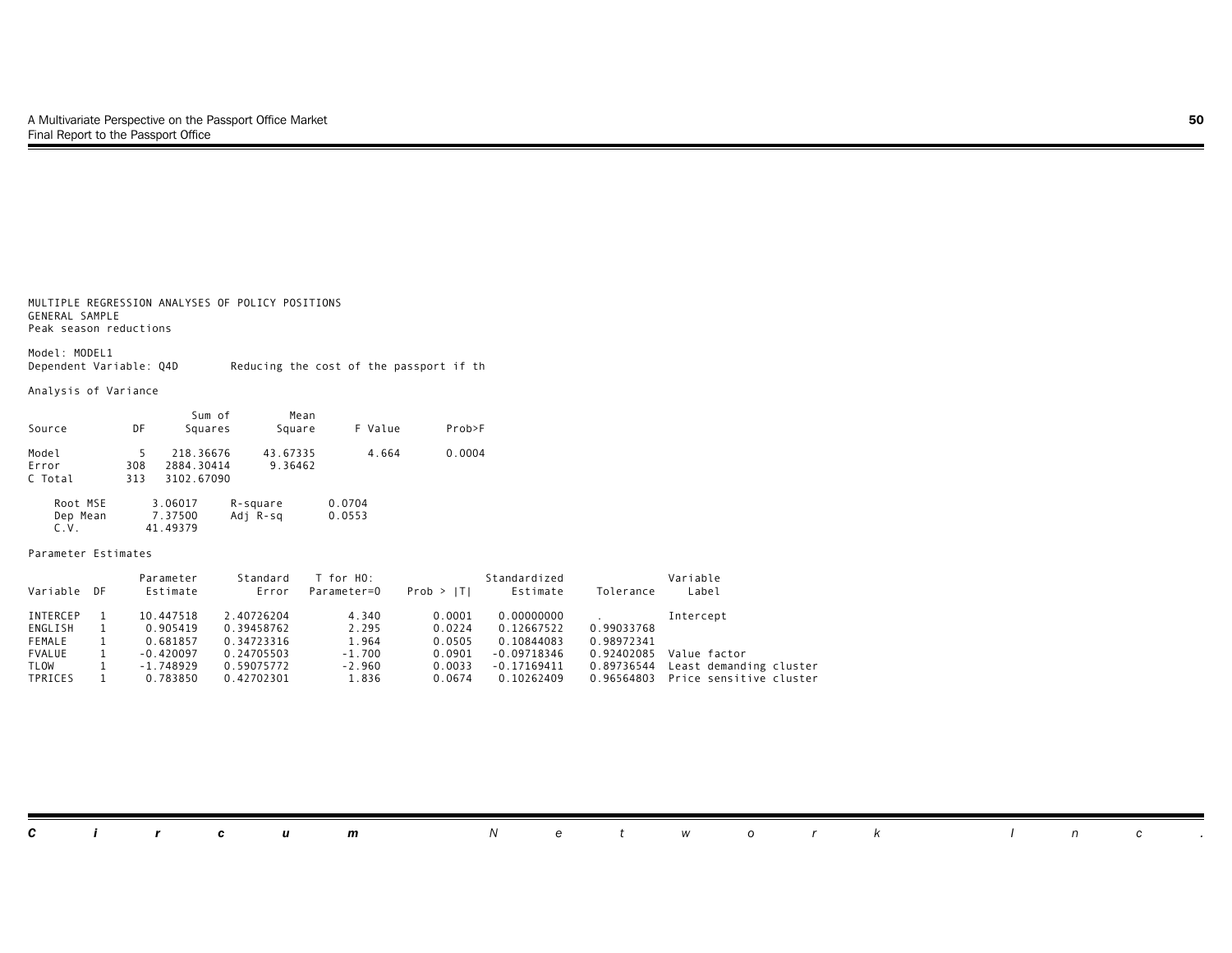MULTIPLE REGRESSION ANALYSES OF POLICY POSITIONS GENERAL SAMPLE Peak season reductions

Model: MODEL1<br>Dependent Variable: Q4D Reducing the cost of the passport if th

Analysis of Variance

| Source   | DF  | Sum of<br>Squares | Mean<br>Square | F Value | Prob>F |
|----------|-----|-------------------|----------------|---------|--------|
| Model    | 5.  | 218.36676         | 43.67335       | 4.664   | 0.0004 |
| Error    | 308 | 2884.30414        | 9.36462        |         |        |
| C Total  | 313 | 3102.67090        |                |         |        |
| Root MSE |     | 3.06017           | R-square       | 0.0704  |        |
| Dep Mean |     | 7.37500           | Adj R-sq       | 0.0553  |        |
| C.V.     |     | 41.49379          |                |         |        |

|             | Parameter   | Standard   | T for HO:   |           | Standardized  |            | Variable                |
|-------------|-------------|------------|-------------|-----------|---------------|------------|-------------------------|
| Variable DF | Estimate    | Error      | Parameter=0 | Prob >  T | Estimate      | Tolerance  | Label                   |
| INTERCEP    | 10.447518   | 2.40726204 | 4.340       | 0.0001    | 0.00000000    |            | Intercept               |
| ENGLISH     | 0.905419    | 0.39458762 | 2.295       | 0.0224    | 0.12667522    | 0.99033768 |                         |
| FEMALE      | 0.681857    | 0.34723316 | 1.964       | 0.0505    | 0.10844083    | 0.98972341 |                         |
| FVALUE      | $-0.420097$ | 0.24705503 | $-1.700$    | 0.0901    | $-0.09718346$ | 0.92402085 | Value factor            |
| TLOW        | $-1.748929$ | 0.59075772 | $-2.960$    | 0.0033    | $-0.17169411$ | 0.89736544 | Least demanding cluster |
| TPRICES     | 0.783850    | 0.42702301 | 1.836       | 0.0674    | 0.10262409    | 0.96564803 | Price sensitive cluster |

|  |  | <b>Circum</b> Network Inc. |  |  |  |  |  |  |
|--|--|----------------------------|--|--|--|--|--|--|
|  |  |                            |  |  |  |  |  |  |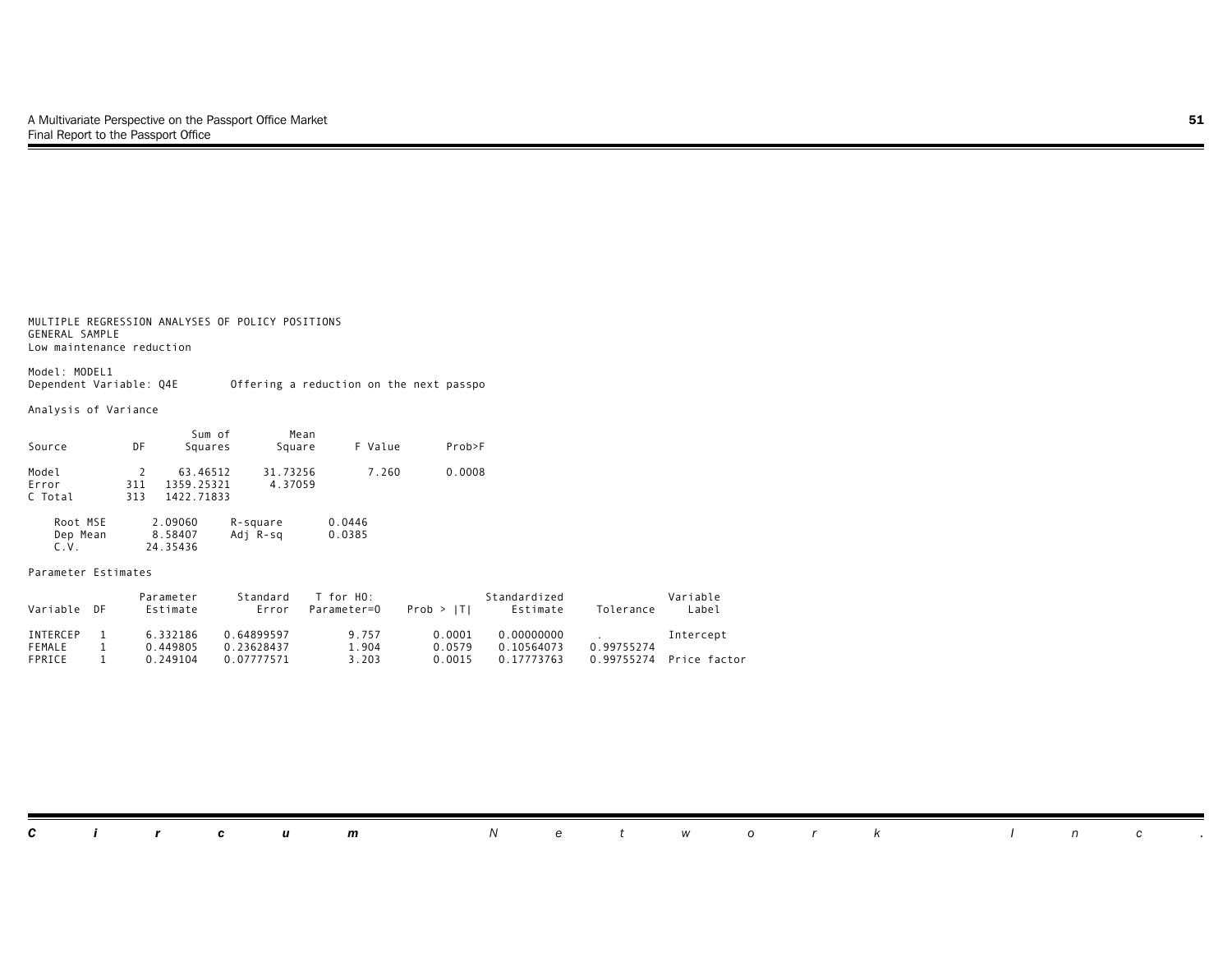MULTIPLE REGRESSION ANALYSES OF POLICY POSITIONS GENERAL SAMPLE Low maintenance reduction

Model: MODEL1<br>Dependent Variable: Q4E Offering a reduction on the next passpo

Analysis of Variance

| Source   | DF  | Sum of<br>Squares | Mean<br>Square | F Value | Prob>F |
|----------|-----|-------------------|----------------|---------|--------|
|          |     |                   |                |         |        |
| Model    |     | 63.46512          | 31.73256       | 7.260   | 0.0008 |
| Error    | 311 | 1359.25321        | 4.37059        |         |        |
| C Total  | 313 | 1422.71833        |                |         |        |
| Root MSE |     | 2.09060           | R-square       | 0.0446  |        |
| Dep Mean |     | 8.58407           | Adj R-sq       | 0.0385  |        |
| C.V.     |     | 24.35436          |                |         |        |

| Variable DF | Parameter<br>Estimate | Standard<br>Error | T for HO:<br>Parameter=0 | Prob >  T | Standardized<br>Estimate | Tolerance  | Variable<br>Label       |
|-------------|-----------------------|-------------------|--------------------------|-----------|--------------------------|------------|-------------------------|
| INTERCEP    | 6.332186              | 0 64899597        | 9 757                    | 0.0001    | 0.00000000               |            | Intercept               |
| FEMALE      | 0.449805              | 0.23628437        | 1.904                    | 0.0579    | 0.10564073               | 0.99755274 |                         |
| FPRICE      | 0.249104              | 0.07777571        | 3.203                    | 0.0015    | 0.17773763               |            | 0.99755274 Price factor |

|  |  |  | <b>Circum</b> Network Inc. |  |  |  |  |  |  |
|--|--|--|----------------------------|--|--|--|--|--|--|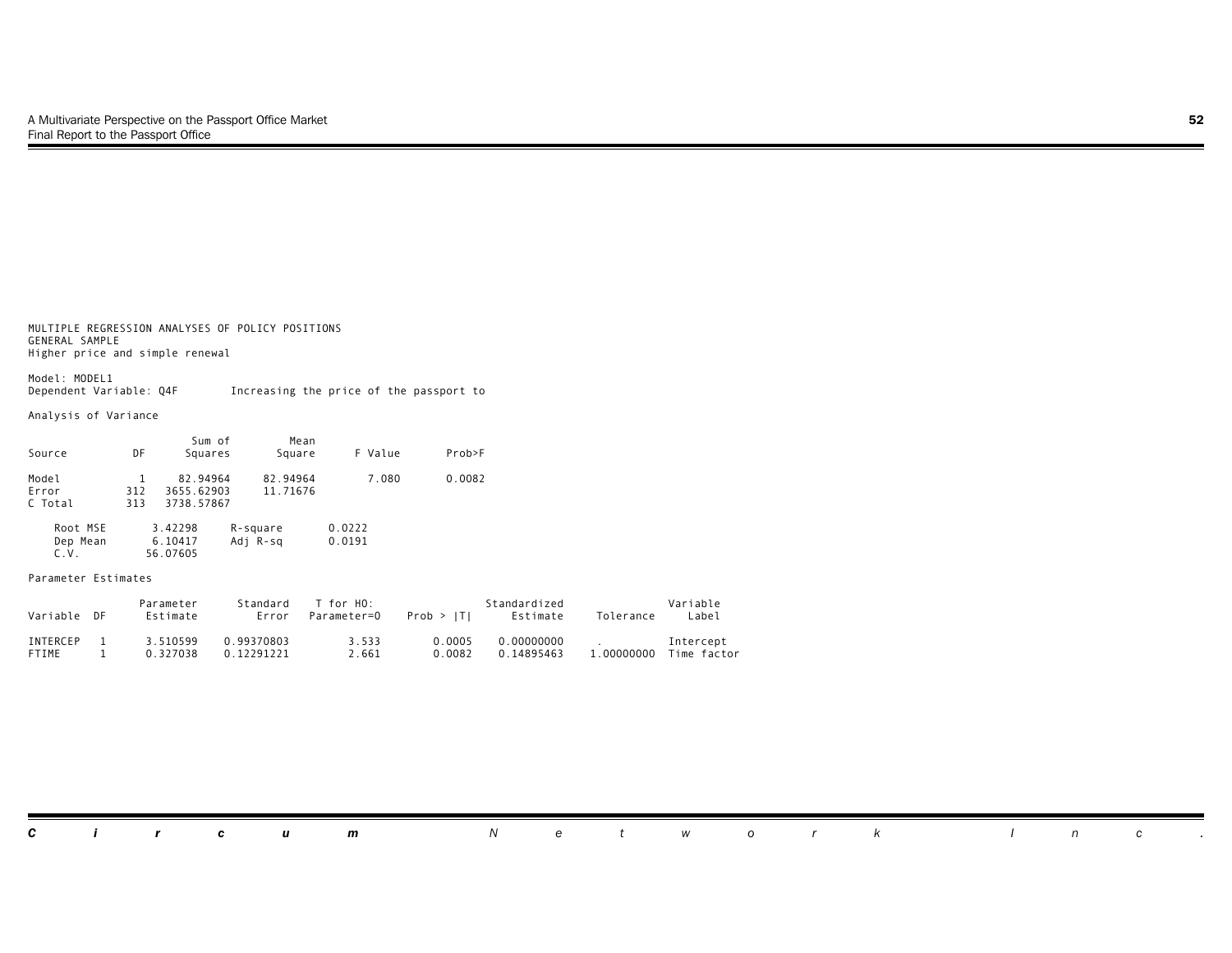MULTIPLE REGRESSION ANALYSES OF POLICY POSITIONS GENERAL SAMPLE Higher price and simple renewal

Model: MODEL1<br>Dependent Variable: Q4F Increasing the price of the passport to

Analysis of Variance

| Source                       | DF         | Sum of<br>Squares                    | Mean<br>Square       | F Value          | Prob>F |
|------------------------------|------------|--------------------------------------|----------------------|------------------|--------|
| Model<br>Error<br>C Total    | 312<br>313 | 82.94964<br>3655.62903<br>3738.57867 | 82.94964<br>11.71676 | 7.080            | 0.0082 |
| Root MSE<br>Dep Mean<br>C.V. |            | 3.42298<br>6.10417<br>56.07605       | R-square<br>Adj R-sq | 0.0222<br>0.0191 |        |

| Variable DF       | Parameter<br>Estimate | Standard<br>Error        | T for HO:<br>Parameter=0 | Prob >  T        | Standardized<br>Estimate | Tolerance  | Variable<br>Label        |
|-------------------|-----------------------|--------------------------|--------------------------|------------------|--------------------------|------------|--------------------------|
| INTERCEP<br>FTIME | 3 510599<br>0 327038  | 0.99370803<br>0 12291221 | 3.533<br>2.661           | 0.0005<br>0.0082 | 0.00000000<br>0.14895463 | 1.00000000 | Intercept<br>Time factor |

|  |  | Circum Network Inc. |  |  |  |  |  |  |
|--|--|---------------------|--|--|--|--|--|--|
|  |  |                     |  |  |  |  |  |  |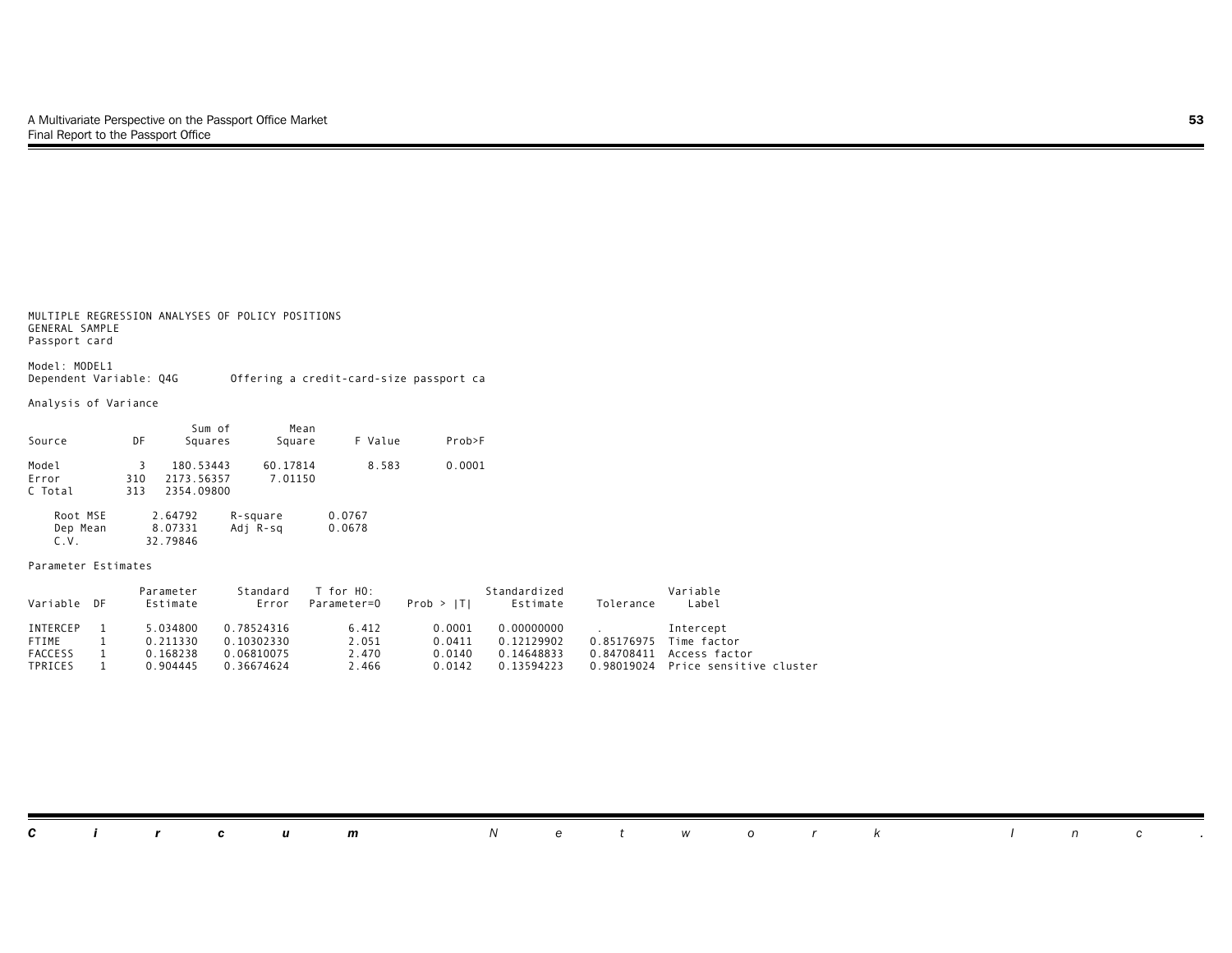MULTIPLE REGRESSION ANALYSES OF POLICY POSITIONS GENERAL SAMPLE Passport card

Model: MODEL1<br>Dependent Variable: Q4G Offering a credit-card-size passport ca

Analysis of Variance

| Source                       | DF         | Sum of<br>Squares                     | Mean<br>Square       | F Value          | Prob>F |
|------------------------------|------------|---------------------------------------|----------------------|------------------|--------|
| Model<br>Error<br>C Total    | 310<br>313 | 180.53443<br>2173.56357<br>2354.09800 | 60.17814<br>7.01150  | 8.583            | 0.0001 |
| Root MSE<br>Dep Mean<br>C.V. |            | 2.64792<br>8.07331<br>32.79846        | R-square<br>Adi R-sq | 0.0767<br>0.0678 |        |

|             |              | Parameter | Standard   | T for HO:                             |        | Standardized |           | Variable                           |
|-------------|--------------|-----------|------------|---------------------------------------|--------|--------------|-----------|------------------------------------|
| Variable DF |              | Estimate  |            | Error Parameter=0 Prob >  T  Estimate |        |              | Tolerance | Label                              |
| INTERCEP    |              | 5.034800  | 0.78524316 | 6.412                                 | 0.0001 | 0.00000000   |           | Intercept                          |
| FTIME       | $\mathbf{1}$ | 0.211330  | 0.10302330 | 2.051                                 | 0.0411 | 0.12129902   |           | 0.85176975 Time factor             |
| FACCESS     |              | 0.168238  | 0.06810075 | 2.470                                 | 0.0140 | 0.14648833   |           | 0.84708411 Access factor           |
| TPRICES     |              | 0.904445  | 0.36674624 | 2.466                                 | 0.0142 | 0.13594223   |           | 0.98019024 Price sensitive cluster |

| <b>Circum</b> Network Inc. |  |  |  |  |  |  |  |  |  |  |  |  |  |  |  |  |  |  |  |
|----------------------------|--|--|--|--|--|--|--|--|--|--|--|--|--|--|--|--|--|--|--|
|----------------------------|--|--|--|--|--|--|--|--|--|--|--|--|--|--|--|--|--|--|--|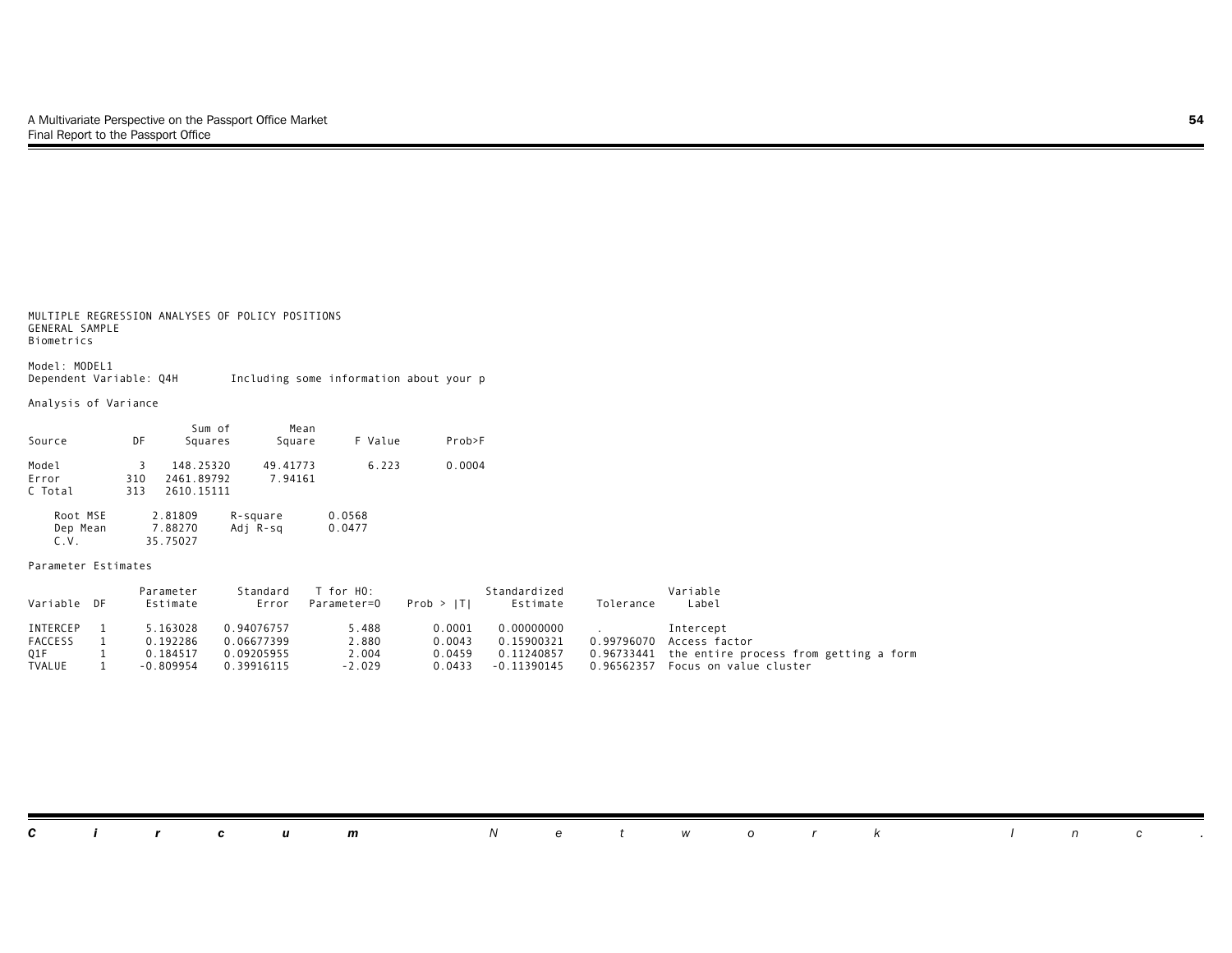MULTIPLE REGRESSION ANALYSES OF POLICY POSITIONS GENERAL SAMPLE Biometrics

Model: MODEL1<br>Dependent Variable: Q4H Including some information about your p

Analysis of Variance

| Source                       | DF              | Sum of<br>Squares                     | Mean<br>Square       | F Value          | Prob>F |
|------------------------------|-----------------|---------------------------------------|----------------------|------------------|--------|
| Model<br>Error<br>C Total    | 3<br>310<br>313 | 148.25320<br>2461.89792<br>2610.15111 | 49.41773<br>7.94161  | 6.223            | 0.0004 |
| Root MSE<br>Dep Mean<br>C.V. |                 | 2.81809<br>7.88270<br>35.75027        | R-square<br>Adj R-sq | 0.0568<br>0.0477 |        |

|             | Parameter | Standard   | T for HO:   |           | Standardized |           | Variable                                          |
|-------------|-----------|------------|-------------|-----------|--------------|-----------|---------------------------------------------------|
| Variable DF | Estimate  | Error      | Parameter=0 | Prob >  T | Estimate     | Tolerance | Label                                             |
| INTERCEP    | 5.163028  | 0.94076757 | 5.488       | 0.0001    | 0.00000000   |           | Intercept                                         |
| FACCESS     | 0.192286  | 0.06677399 | 2.880       | 0.0043    | 0.15900321   |           | 0.99796070 Access factor                          |
| Q1F         | 0.184517  | 0.09205955 | 2.004       | 0.0459    | 0.11240857   |           | 0.96733441 the entire process from getting a form |
| TVALUE      | -0.809954 | 0.39916115 | $-2.029$    | 0.0433    | -0.11390145  |           | 0.96562357 Focus on value cluster                 |

|  |  | <b>Circum</b> Network Inc. |  |  |  |  |  |  |
|--|--|----------------------------|--|--|--|--|--|--|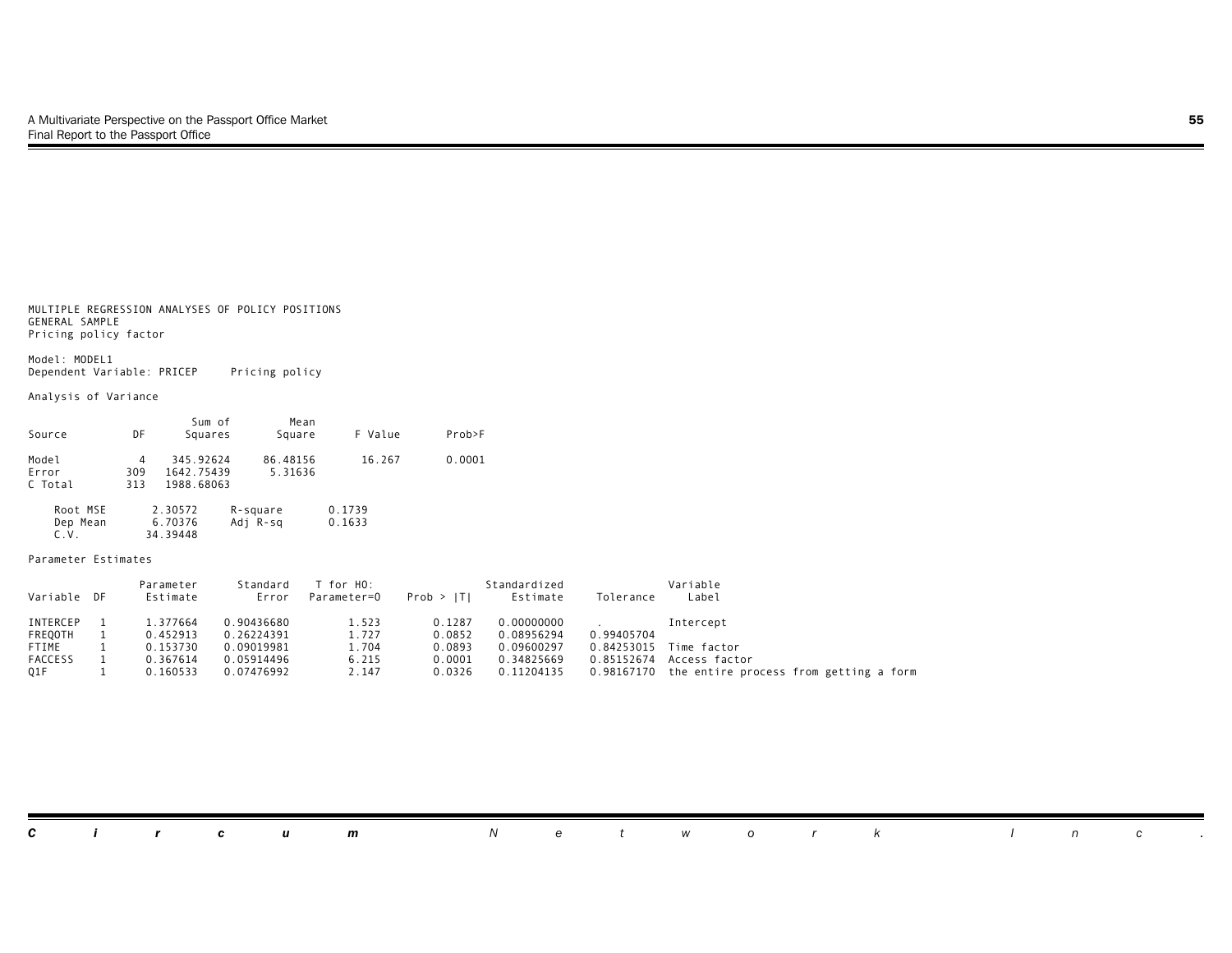MULTIPLE REGRESSION ANALYSES OF POLICY POSITIONS GENERAL SAMPLE Pricing policy factor

Model: MODEL1 Dependent Variable: PRICEP Pricing policy

### Analysis of Variance

| Source                       | DF              | Sum of<br>Squares                     | Mean<br>Square       | F Value          | Prob>F |
|------------------------------|-----------------|---------------------------------------|----------------------|------------------|--------|
| Model<br>Error<br>C Total    | 4<br>309<br>313 | 345.92624<br>1642.75439<br>1988.68063 | 86.48156<br>5.31636  | 16.267           | 0.0001 |
| Root MSE<br>Dep Mean<br>C.V. |                 | 2.30572<br>6.70376<br>34.39448        | R-square<br>Adj R-sq | 0.1739<br>0.1633 |        |

| Variable DF         | Parameter<br>Estimate | Standard<br>Error        | T for HO:<br>Parameter=0 | Prob >  T        | Standardized<br>Estimate | Tolerance  | Variable<br>Label                                 |
|---------------------|-----------------------|--------------------------|--------------------------|------------------|--------------------------|------------|---------------------------------------------------|
| INTERCEP<br>FREQOTH | 1.377664<br>0.452913  | 0.90436680<br>0.26224391 | 1.523<br>1.727           | 0.1287<br>0.0852 | 0.00000000<br>0.08956294 | 0.99405704 | Intercept                                         |
| FTIME               | 0.153730              | 0.09019981               | 1.704                    | 0.0893           | 0.09600297               | 0.84253015 | Time factor                                       |
| FACCESS             | 0.367614              | 0.05914496               | 6.215                    | 0.0001           | 0.34825669               |            | 0.85152674 Access factor                          |
| Q1F                 | 0.160533              | 0.07476992               | 2.147                    | 0.0326           | 0.11204135               |            | 0.98167170 the entire process from getting a form |

| <b>Circum</b> Network Inc. |  |  |  |  |  |  |  |  |  |  |  |  |  |  |  |  |  |  |
|----------------------------|--|--|--|--|--|--|--|--|--|--|--|--|--|--|--|--|--|--|
|----------------------------|--|--|--|--|--|--|--|--|--|--|--|--|--|--|--|--|--|--|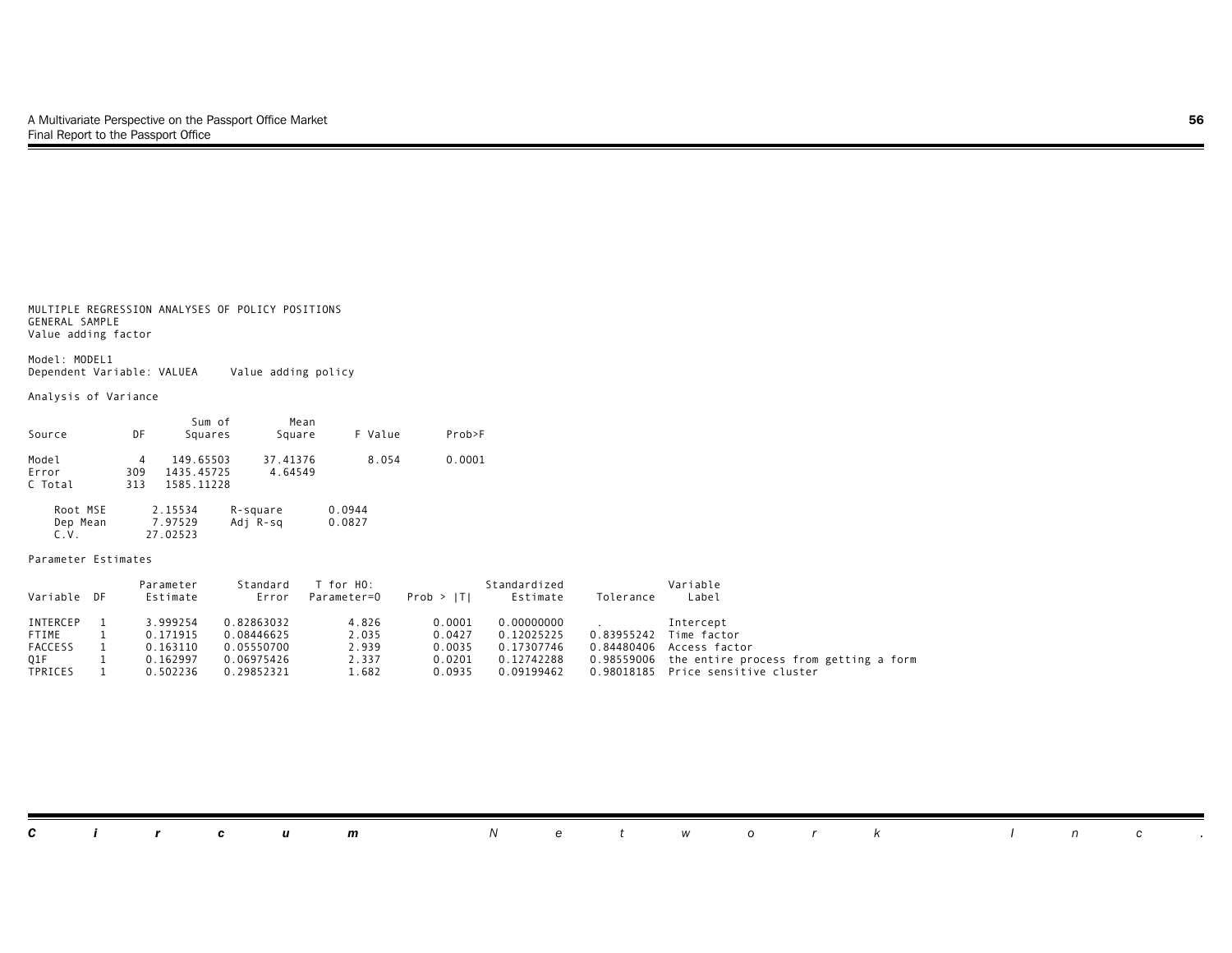MULTIPLE REGRESSION ANALYSES OF POLICY POSITIONS GENERAL SAMPLE Value adding factor

Model: MODEL1 Dependent Variable: VALUEA Value adding policy

Analysis of Variance

| Source                       | DF              | Sum of<br>Squares                     | Mean<br>Square       | F Value          | Prob>F |
|------------------------------|-----------------|---------------------------------------|----------------------|------------------|--------|
| Model<br>Error<br>C Total    | 4<br>309<br>313 | 149.65503<br>1435.45725<br>1585.11228 | 37.41376<br>4.64549  | 8.054            | 0.0001 |
| Root MSE<br>Dep Mean<br>C.V. |                 | 2.15534<br>7.97529<br>27.02523        | R-square<br>Adj R-sq | 0.0944<br>0.0827 |        |

|             | Parameter | Standard   | T for HO:   |           | Standardized |            | Variable                                          |
|-------------|-----------|------------|-------------|-----------|--------------|------------|---------------------------------------------------|
| Variable DF | Estimate  | Error      | Parameter=0 | Prob >  T | Estimate     | Tolerance  | Label                                             |
| INTERCEP    | 3.999254  | 0.82863032 | 4.826       | 0.0001    | 0.00000000   |            | Intercept                                         |
| FTIME       | 0.171915  | 0.08446625 | 2.035       | 0.0427    | 0.12025225   | 0.83955242 | Time factor                                       |
| FACCESS     | 0.163110  | 0.05550700 | 2.939       | 0.0035    | 0.17307746   |            | 0.84480406 Access factor                          |
| Q1F         | 0.162997  | 0.06975426 | 2.337       | 0.0201    | 0.12742288   |            | 0.98559006 the entire process from getting a form |
| TPRICES     | 0.502236  | 0.29852321 | 1.682       | 0.0935    | 0.09199462   |            | 0.98018185 Price sensitive cluster                |

|  |  |  | <b>Circum</b> Network Inc. |  |  |  |  |  |  |
|--|--|--|----------------------------|--|--|--|--|--|--|
|  |  |  |                            |  |  |  |  |  |  |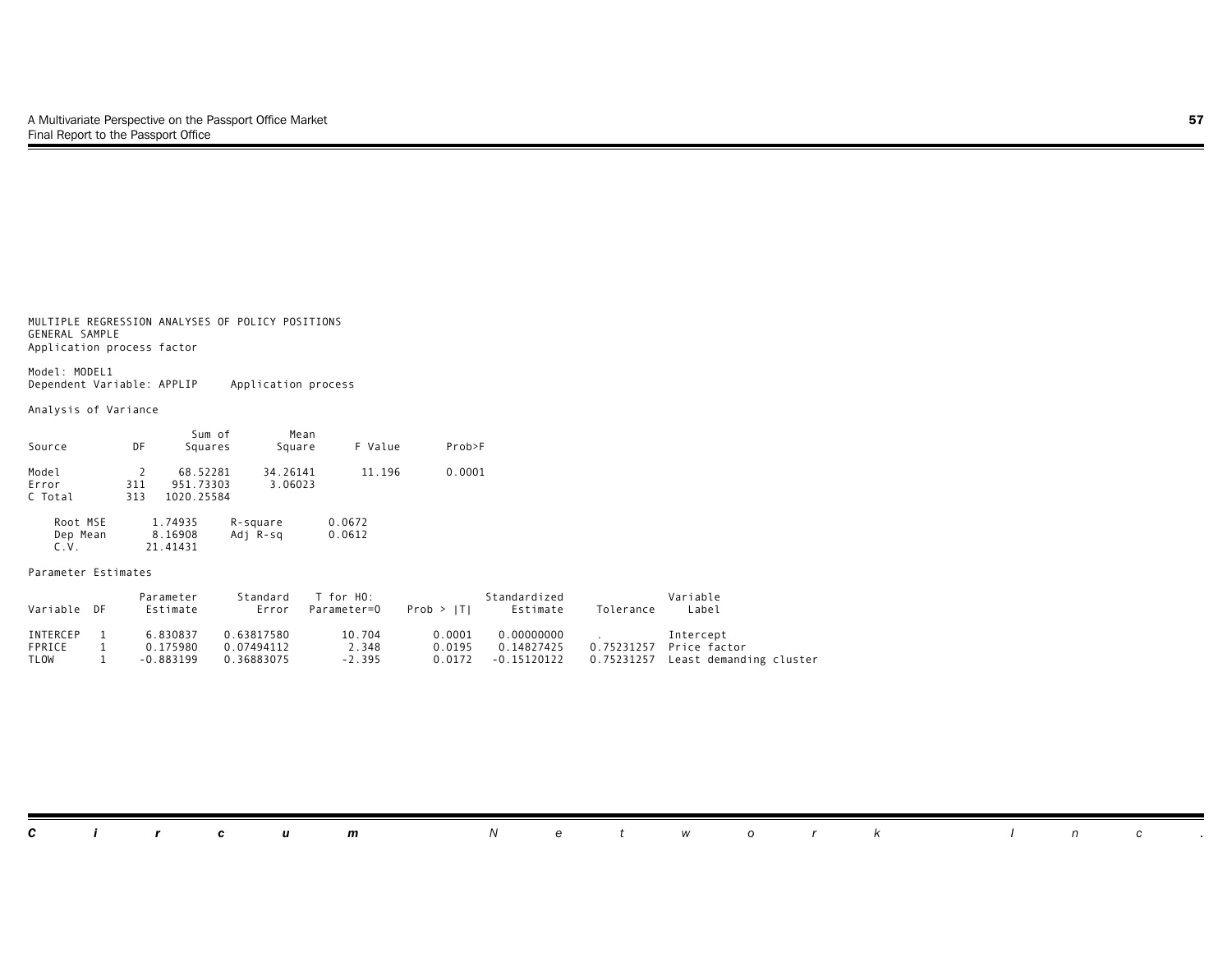MULTIPLE REGRESSION ANALYSES OF POLICY POSITIONS GENERAL SAMPLE Application process factor

Model: MODEL1 Dependent Variable: APPLIP Application process

### Analysis of Variance

|          |     | Sum of     | Mean     |         |        |
|----------|-----|------------|----------|---------|--------|
| Source   | DF  | Squares    | Square   | F Value | Prob>F |
| Model    | 2   | 68.52281   | 34.26141 | 11.196  | 0.0001 |
| Error    | 311 | 951.73303  | 3.06023  |         |        |
| C Total  | 313 | 1020.25584 |          |         |        |
| Root MSE |     | 1.74935    | R-square | 0.0672  |        |
| Dep Mean |     | 8.16908    | Adi R-sq | 0.0612  |        |
| C.V.     |     | 21.41431   |          |         |        |

| Variable DF | Parameter<br>Estimate | Standard<br>Error | T for HO:<br>Parameter=0 | Prob >  T | Standardized<br>Estimate | Tolerance  | Variable<br>Label                  |
|-------------|-----------------------|-------------------|--------------------------|-----------|--------------------------|------------|------------------------------------|
| INTERCEP    | 6.830837              | 0.63817580        | 10.704                   | 0.0001    | 0.00000000               |            | Intercept                          |
| FPRICE      | 0.175980              | 0.07494112        | 2.348                    | 0.0195    | 0.14827425               | 0.75231257 | Price factor                       |
| TLOW        | -0.883199             | 0.36883075        | $-2.395$                 | 0.0172    | -0.15120122              |            | 0.75231257 Least demanding cluster |

|  |  |  | <b>Circum</b> Network Inc. |  |  |  |  |  |  |
|--|--|--|----------------------------|--|--|--|--|--|--|